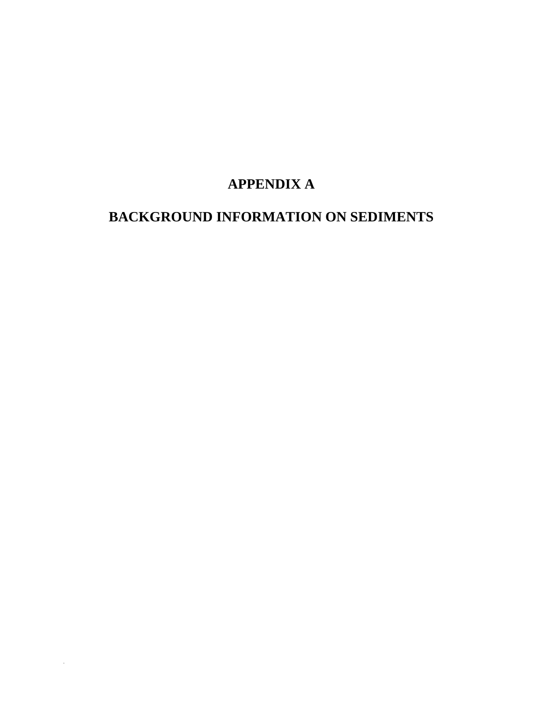# **APPENDIX A**

# **BACKGROUND INFORMATION ON SEDIMENTS**

 $\ddot{\phantom{a}}$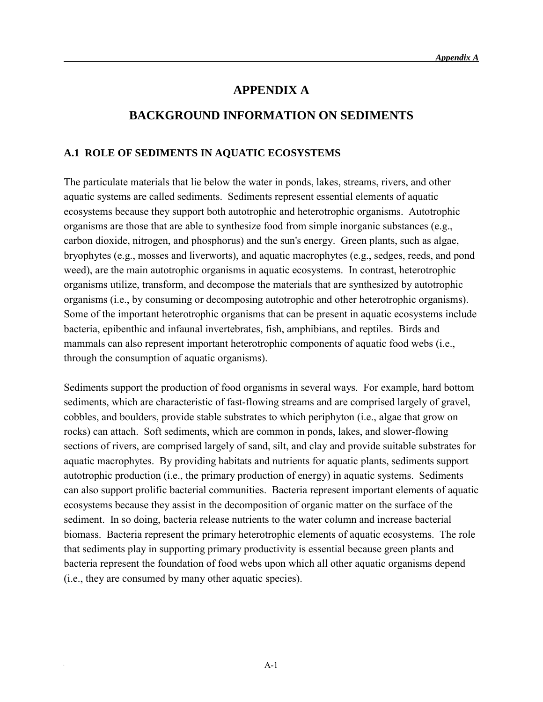## **APPENDIX A**

## **BACKGROUND INFORMATION ON SEDIMENTS**

#### **A.1 ROLE OF SEDIMENTS IN AQUATIC ECOSYSTEMS**

The particulate materials that lie below the water in ponds, lakes, streams, rivers, and other aquatic systems are called sediments. Sediments represent essential elements of aquatic ecosystems because they support both autotrophic and heterotrophic organisms. Autotrophic organisms are those that are able to synthesize food from simple inorganic substances (e.g., carbon dioxide, nitrogen, and phosphorus) and the sun's energy. Green plants, such as algae, bryophytes (e.g., mosses and liverworts), and aquatic macrophytes (e.g., sedges, reeds, and pond weed), are the main autotrophic organisms in aquatic ecosystems. In contrast, heterotrophic organisms utilize, transform, and decompose the materials that are synthesized by autotrophic organisms (i.e., by consuming or decomposing autotrophic and other heterotrophic organisms). Some of the important heterotrophic organisms that can be present in aquatic ecosystems include bacteria, epibenthic and infaunal invertebrates, fish, amphibians, and reptiles. Birds and mammals can also represent important heterotrophic components of aquatic food webs (i.e., through the consumption of aquatic organisms).

Sediments support the production of food organisms in several ways. For example, hard bottom sediments, which are characteristic of fast-flowing streams and are comprised largely of gravel, cobbles, and boulders, provide stable substrates to which periphyton (i.e., algae that grow on rocks) can attach. Soft sediments, which are common in ponds, lakes, and slower-flowing sections of rivers, are comprised largely of sand, silt, and clay and provide suitable substrates for aquatic macrophytes. By providing habitats and nutrients for aquatic plants, sediments support autotrophic production (i.e., the primary production of energy) in aquatic systems. Sediments can also support prolific bacterial communities. Bacteria represent important elements of aquatic ecosystems because they assist in the decomposition of organic matter on the surface of the sediment. In so doing, bacteria release nutrients to the water column and increase bacterial biomass. Bacteria represent the primary heterotrophic elements of aquatic ecosystems. The role that sediments play in supporting primary productivity is essential because green plants and bacteria represent the foundation of food webs upon which all other aquatic organisms depend (i.e., they are consumed by many other aquatic species).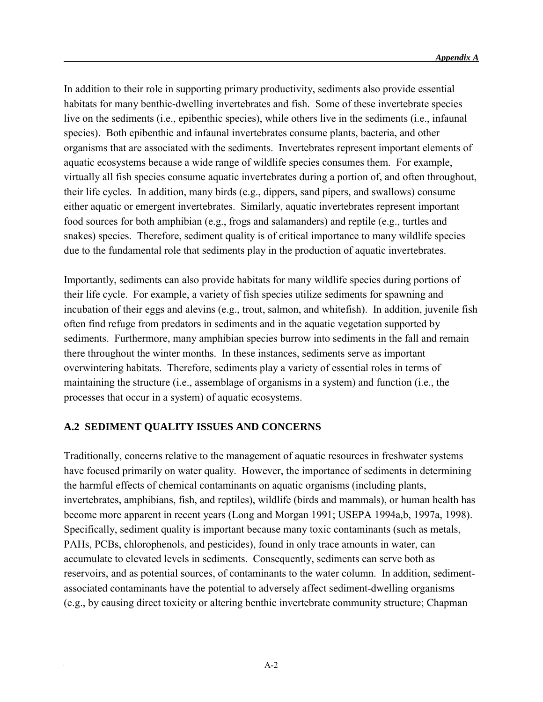In addition to their role in supporting primary productivity, sediments also provide essential habitats for many benthic-dwelling invertebrates and fish. Some of these invertebrate species live on the sediments (i.e., epibenthic species), while others live in the sediments (i.e., infaunal species). Both epibenthic and infaunal invertebrates consume plants, bacteria, and other organisms that are associated with the sediments. Invertebrates represent important elements of aquatic ecosystems because a wide range of wildlife species consumes them. For example, virtually all fish species consume aquatic invertebrates during a portion of, and often throughout, their life cycles. In addition, many birds (e.g., dippers, sand pipers, and swallows) consume either aquatic or emergent invertebrates. Similarly, aquatic invertebrates represent important food sources for both amphibian (e.g., frogs and salamanders) and reptile (e.g., turtles and snakes) species. Therefore, sediment quality is of critical importance to many wildlife species due to the fundamental role that sediments play in the production of aquatic invertebrates.

Importantly, sediments can also provide habitats for many wildlife species during portions of their life cycle. For example, a variety of fish species utilize sediments for spawning and incubation of their eggs and alevins (e.g., trout, salmon, and whitefish). In addition, juvenile fish often find refuge from predators in sediments and in the aquatic vegetation supported by sediments. Furthermore, many amphibian species burrow into sediments in the fall and remain there throughout the winter months. In these instances, sediments serve as important overwintering habitats. Therefore, sediments play a variety of essential roles in terms of maintaining the structure (i.e., assemblage of organisms in a system) and function (i.e., the processes that occur in a system) of aquatic ecosystems.

## **A.2 SEDIMENT QUALITY ISSUES AND CONCERNS**

Traditionally, concerns relative to the management of aquatic resources in freshwater systems have focused primarily on water quality. However, the importance of sediments in determining the harmful effects of chemical contaminants on aquatic organisms (including plants, invertebrates, amphibians, fish, and reptiles), wildlife (birds and mammals), or human health has become more apparent in recent years (Long and Morgan 1991; USEPA 1994a,b, 1997a, 1998). Specifically, sediment quality is important because many toxic contaminants (such as metals, PAHs, PCBs, chlorophenols, and pesticides), found in only trace amounts in water, can accumulate to elevated levels in sediments. Consequently, sediments can serve both as reservoirs, and as potential sources, of contaminants to the water column. In addition, sedimentassociated contaminants have the potential to adversely affect sediment-dwelling organisms (e.g., by causing direct toxicity or altering benthic invertebrate community structure; Chapman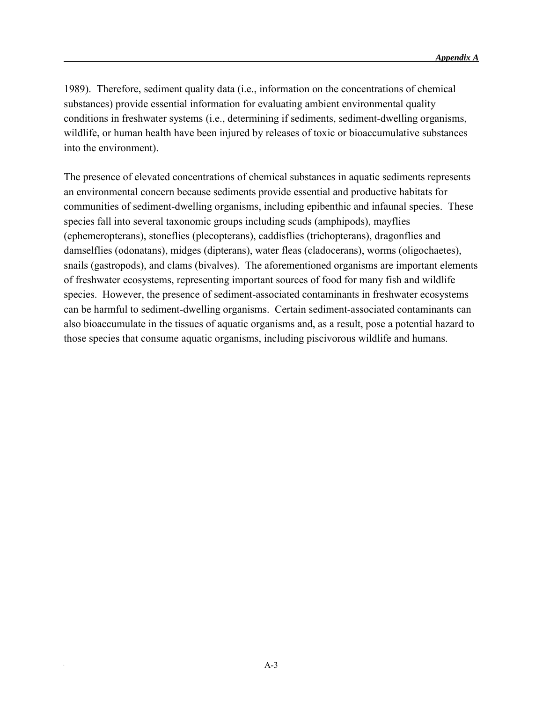1989). Therefore, sediment quality data (i.e., information on the concentrations of chemical substances) provide essential information for evaluating ambient environmental quality conditions in freshwater systems (i.e., determining if sediments, sediment-dwelling organisms, wildlife, or human health have been injured by releases of toxic or bioaccumulative substances into the environment).

The presence of elevated concentrations of chemical substances in aquatic sediments represents an environmental concern because sediments provide essential and productive habitats for communities of sediment-dwelling organisms, including epibenthic and infaunal species. These species fall into several taxonomic groups including scuds (amphipods), mayflies (ephemeropterans), stoneflies (plecopterans), caddisflies (trichopterans), dragonflies and damselflies (odonatans), midges (dipterans), water fleas (cladocerans), worms (oligochaetes), snails (gastropods), and clams (bivalves). The aforementioned organisms are important elements of freshwater ecosystems, representing important sources of food for many fish and wildlife species. However, the presence of sediment-associated contaminants in freshwater ecosystems can be harmful to sediment-dwelling organisms. Certain sediment-associated contaminants can also bioaccumulate in the tissues of aquatic organisms and, as a result, pose a potential hazard to those species that consume aquatic organisms, including piscivorous wildlife and humans.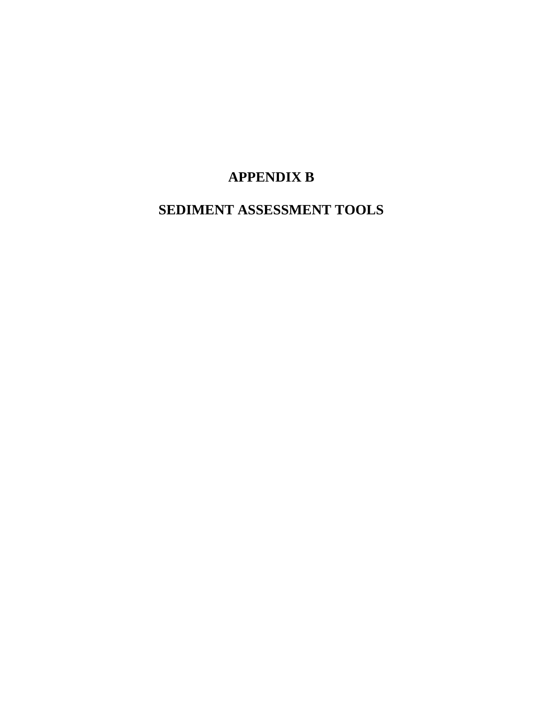# **APPENDIX B**

**SEDIMENT ASSESSMENT TOOLS**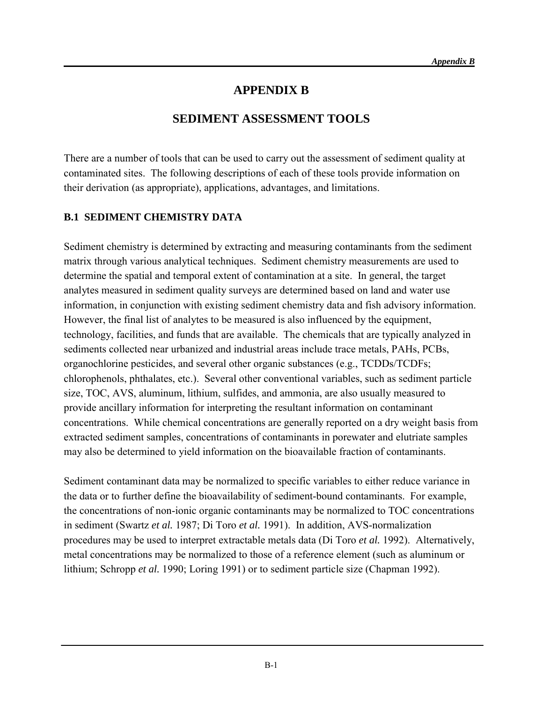## **APPENDIX B**

## **SEDIMENT ASSESSMENT TOOLS**

There are a number of tools that can be used to carry out the assessment of sediment quality at contaminated sites. The following descriptions of each of these tools provide information on their derivation (as appropriate), applications, advantages, and limitations.

#### **B.1 SEDIMENT CHEMISTRY DATA**

Sediment chemistry is determined by extracting and measuring contaminants from the sediment matrix through various analytical techniques. Sediment chemistry measurements are used to determine the spatial and temporal extent of contamination at a site. In general, the target analytes measured in sediment quality surveys are determined based on land and water use information, in conjunction with existing sediment chemistry data and fish advisory information. However, the final list of analytes to be measured is also influenced by the equipment, technology, facilities, and funds that are available. The chemicals that are typically analyzed in sediments collected near urbanized and industrial areas include trace metals, PAHs, PCBs, organochlorine pesticides, and several other organic substances (e.g., TCDDs/TCDFs; chlorophenols, phthalates, etc.). Several other conventional variables, such as sediment particle size, TOC, AVS, aluminum, lithium, sulfides, and ammonia, are also usually measured to provide ancillary information for interpreting the resultant information on contaminant concentrations. While chemical concentrations are generally reported on a dry weight basis from extracted sediment samples, concentrations of contaminants in porewater and elutriate samples may also be determined to yield information on the bioavailable fraction of contaminants.

Sediment contaminant data may be normalized to specific variables to either reduce variance in the data or to further define the bioavailability of sediment-bound contaminants. For example, the concentrations of non-ionic organic contaminants may be normalized to TOC concentrations in sediment (Swartz *et al.* 1987; Di Toro *et al.* 1991). In addition, AVS-normalization procedures may be used to interpret extractable metals data (Di Toro *et al.* 1992). Alternatively, metal concentrations may be normalized to those of a reference element (such as aluminum or lithium; Schropp *et al.* 1990; Loring 1991) or to sediment particle size (Chapman 1992).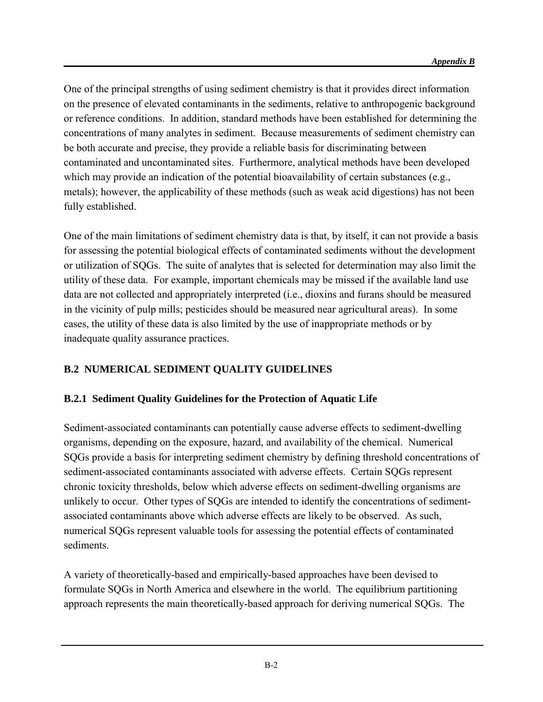One of the principal strengths of using sediment chemistry is that it provides direct information on the presence of elevated contaminants in the sediments, relative to anthropogenic background or reference conditions. In addition, standard methods have been established for determining the concentrations of many analytes in sediment. Because measurements of sediment chemistry can be both accurate and precise, they provide a reliable basis for discriminating between contaminated and uncontaminated sites. Furthermore, analytical methods have been developed which may provide an indication of the potential bioavailability of certain substances (e.g., metals); however, the applicability of these methods (such as weak acid digestions) has not been fully established.

One of the main limitations of sediment chemistry data is that, by itself, it can not provide a basis for assessing the potential biological effects of contaminated sediments without the development or utilization of SQGs. The suite of analytes that is selected for determination may also limit the utility of these data. For example, important chemicals may be missed if the available land use data are not collected and appropriately interpreted (i.e., dioxins and furans should be measured in the vicinity of pulp mills; pesticides should be measured near agricultural areas). In some cases, the utility of these data is also limited by the use of inappropriate methods or by inadequate quality assurance practices.

## **B.2 NUMERICAL SEDIMENT QUALITY GUIDELINES**

## **B.2.1 Sediment Quality Guidelines for the Protection of Aquatic Life**

Sediment-associated contaminants can potentially cause adverse effects to sediment-dwelling organisms, depending on the exposure, hazard, and availability of the chemical. Numerical SQGs provide a basis for interpreting sediment chemistry by defining threshold concentrations of sediment-associated contaminants associated with adverse effects. Certain SQGs represent chronic toxicity thresholds, below which adverse effects on sediment-dwelling organisms are unlikely to occur. Other types of SQGs are intended to identify the concentrations of sedimentassociated contaminants above which adverse effects are likely to be observed. As such, numerical SQGs represent valuable tools for assessing the potential effects of contaminated sediments.

A variety of theoretically-based and empirically-based approaches have been devised to formulate SQGs in North America and elsewhere in the world. The equilibrium partitioning approach represents the main theoretically-based approach for deriving numerical SQGs. The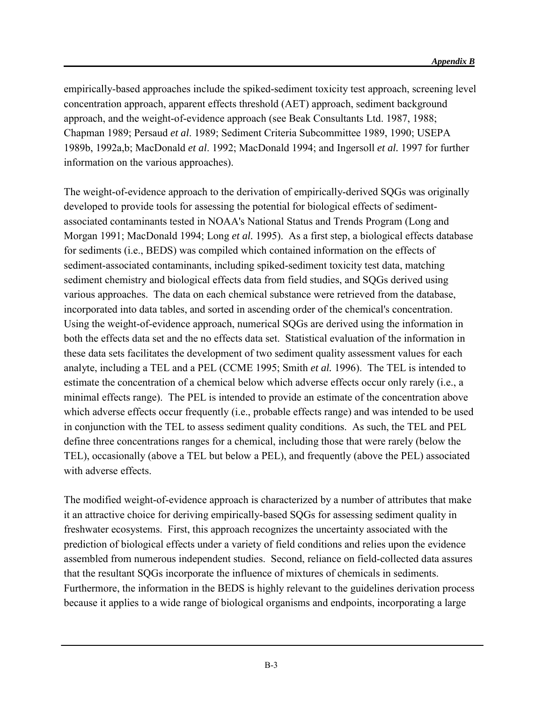empirically-based approaches include the spiked-sediment toxicity test approach, screening level concentration approach, apparent effects threshold (AET) approach, sediment background approach, and the weight-of-evidence approach (see Beak Consultants Ltd. 1987, 1988; Chapman 1989; Persaud *et al*. 1989; Sediment Criteria Subcommittee 1989, 1990; USEPA 1989b, 1992a,b; MacDonald *et al*. 1992; MacDonald 1994; and Ingersoll *et al.* 1997 for further information on the various approaches).

The weight-of-evidence approach to the derivation of empirically-derived SQGs was originally developed to provide tools for assessing the potential for biological effects of sedimentassociated contaminants tested in NOAA's National Status and Trends Program (Long and Morgan 1991; MacDonald 1994; Long *et al.* 1995). As a first step, a biological effects database for sediments (i.e., BEDS) was compiled which contained information on the effects of sediment-associated contaminants, including spiked-sediment toxicity test data, matching sediment chemistry and biological effects data from field studies, and SQGs derived using various approaches. The data on each chemical substance were retrieved from the database, incorporated into data tables, and sorted in ascending order of the chemical's concentration. Using the weight-of-evidence approach, numerical SQGs are derived using the information in both the effects data set and the no effects data set. Statistical evaluation of the information in these data sets facilitates the development of two sediment quality assessment values for each analyte, including a TEL and a PEL (CCME 1995; Smith *et al.* 1996). The TEL is intended to estimate the concentration of a chemical below which adverse effects occur only rarely (i.e., a minimal effects range). The PEL is intended to provide an estimate of the concentration above which adverse effects occur frequently (i.e., probable effects range) and was intended to be used in conjunction with the TEL to assess sediment quality conditions. As such, the TEL and PEL define three concentrations ranges for a chemical, including those that were rarely (below the TEL), occasionally (above a TEL but below a PEL), and frequently (above the PEL) associated with adverse effects.

The modified weight-of-evidence approach is characterized by a number of attributes that make it an attractive choice for deriving empirically-based SQGs for assessing sediment quality in freshwater ecosystems. First, this approach recognizes the uncertainty associated with the prediction of biological effects under a variety of field conditions and relies upon the evidence assembled from numerous independent studies. Second, reliance on field-collected data assures that the resultant SQGs incorporate the influence of mixtures of chemicals in sediments. Furthermore, the information in the BEDS is highly relevant to the guidelines derivation process because it applies to a wide range of biological organisms and endpoints, incorporating a large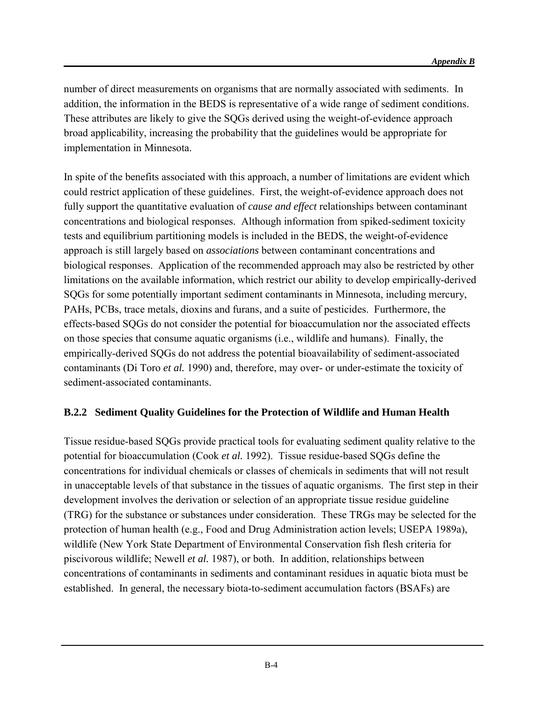number of direct measurements on organisms that are normally associated with sediments. In addition, the information in the BEDS is representative of a wide range of sediment conditions. These attributes are likely to give the SQGs derived using the weight-of-evidence approach broad applicability, increasing the probability that the guidelines would be appropriate for implementation in Minnesota.

In spite of the benefits associated with this approach, a number of limitations are evident which could restrict application of these guidelines. First, the weight-of-evidence approach does not fully support the quantitative evaluation of *cause and effect* relationships between contaminant concentrations and biological responses. Although information from spiked-sediment toxicity tests and equilibrium partitioning models is included in the BEDS, the weight-of-evidence approach is still largely based on *associations* between contaminant concentrations and biological responses. Application of the recommended approach may also be restricted by other limitations on the available information, which restrict our ability to develop empirically-derived SQGs for some potentially important sediment contaminants in Minnesota, including mercury, PAHs, PCBs, trace metals, dioxins and furans, and a suite of pesticides. Furthermore, the effects-based SQGs do not consider the potential for bioaccumulation nor the associated effects on those species that consume aquatic organisms (i.e., wildlife and humans). Finally, the empirically-derived SQGs do not address the potential bioavailability of sediment-associated contaminants (Di Toro *et al.* 1990) and, therefore, may over- or under-estimate the toxicity of sediment-associated contaminants.

## **B.2.2 Sediment Quality Guidelines for the Protection of Wildlife and Human Health**

Tissue residue-based SQGs provide practical tools for evaluating sediment quality relative to the potential for bioaccumulation (Cook *et al.* 1992). Tissue residue-based SQGs define the concentrations for individual chemicals or classes of chemicals in sediments that will not result in unacceptable levels of that substance in the tissues of aquatic organisms. The first step in their development involves the derivation or selection of an appropriate tissue residue guideline (TRG) for the substance or substances under consideration. These TRGs may be selected for the protection of human health (e.g., Food and Drug Administration action levels; USEPA 1989a), wildlife (New York State Department of Environmental Conservation fish flesh criteria for piscivorous wildlife; Newell *et al.* 1987), or both. In addition, relationships between concentrations of contaminants in sediments and contaminant residues in aquatic biota must be established. In general, the necessary biota-to-sediment accumulation factors (BSAFs) are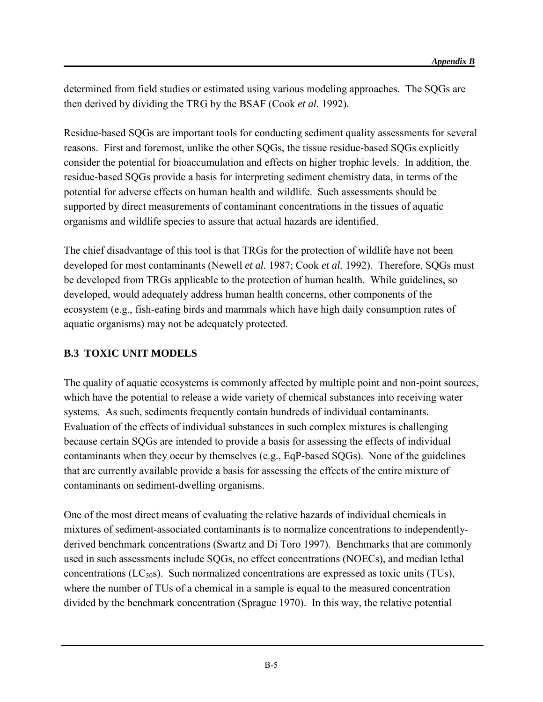determined from field studies or estimated using various modeling approaches. The SQGs are then derived by dividing the TRG by the BSAF (Cook *et al.* 1992).

Residue-based SQGs are important tools for conducting sediment quality assessments for several reasons. First and foremost, unlike the other SQGs, the tissue residue-based SQGs explicitly consider the potential for bioaccumulation and effects on higher trophic levels. In addition, the residue-based SQGs provide a basis for interpreting sediment chemistry data, in terms of the potential for adverse effects on human health and wildlife. Such assessments should be supported by direct measurements of contaminant concentrations in the tissues of aquatic organisms and wildlife species to assure that actual hazards are identified.

The chief disadvantage of this tool is that TRGs for the protection of wildlife have not been developed for most contaminants (Newell *et al.* 1987; Cook *et al.* 1992). Therefore, SQGs must be developed from TRGs applicable to the protection of human health. While guidelines, so developed, would adequately address human health concerns, other components of the ecosystem (e.g., fish-eating birds and mammals which have high daily consumption rates of aquatic organisms) may not be adequately protected.

## **B.3 TOXIC UNIT MODELS**

The quality of aquatic ecosystems is commonly affected by multiple point and non-point sources, which have the potential to release a wide variety of chemical substances into receiving water systems. As such, sediments frequently contain hundreds of individual contaminants. Evaluation of the effects of individual substances in such complex mixtures is challenging because certain SQGs are intended to provide a basis for assessing the effects of individual contaminants when they occur by themselves (e.g., EqP-based SQGs). None of the guidelines that are currently available provide a basis for assessing the effects of the entire mixture of contaminants on sediment-dwelling organisms.

One of the most direct means of evaluating the relative hazards of individual chemicals in mixtures of sediment-associated contaminants is to normalize concentrations to independentlyderived benchmark concentrations (Swartz and Di Toro 1997). Benchmarks that are commonly used in such assessments include SQGs, no effect concentrations (NOECs), and median lethal concentrations ( $LC_{50}$ s). Such normalized concentrations are expressed as toxic units (TUs), where the number of TUs of a chemical in a sample is equal to the measured concentration divided by the benchmark concentration (Sprague 1970). In this way, the relative potential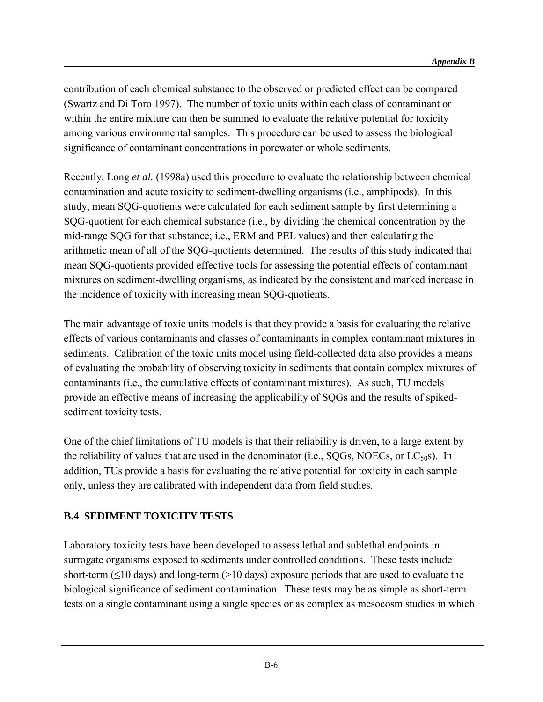contribution of each chemical substance to the observed or predicted effect can be compared (Swartz and Di Toro 1997). The number of toxic units within each class of contaminant or within the entire mixture can then be summed to evaluate the relative potential for toxicity among various environmental samples. This procedure can be used to assess the biological significance of contaminant concentrations in porewater or whole sediments.

Recently, Long *et al.* (1998a) used this procedure to evaluate the relationship between chemical contamination and acute toxicity to sediment-dwelling organisms (i.e., amphipods). In this study, mean SQG-quotients were calculated for each sediment sample by first determining a SQG-quotient for each chemical substance (i.e., by dividing the chemical concentration by the mid-range SQG for that substance; i.e., ERM and PEL values) and then calculating the arithmetic mean of all of the SQG-quotients determined. The results of this study indicated that mean SQG-quotients provided effective tools for assessing the potential effects of contaminant mixtures on sediment-dwelling organisms, as indicated by the consistent and marked increase in the incidence of toxicity with increasing mean SQG-quotients.

The main advantage of toxic units models is that they provide a basis for evaluating the relative effects of various contaminants and classes of contaminants in complex contaminant mixtures in sediments. Calibration of the toxic units model using field-collected data also provides a means of evaluating the probability of observing toxicity in sediments that contain complex mixtures of contaminants (i.e., the cumulative effects of contaminant mixtures). As such, TU models provide an effective means of increasing the applicability of SQGs and the results of spikedsediment toxicity tests.

One of the chief limitations of TU models is that their reliability is driven, to a large extent by the reliability of values that are used in the denominator (i.e.,  $SOGs$ ,  $NOECs$ , or  $LC<sub>50</sub>s$ ). In addition, TUs provide a basis for evaluating the relative potential for toxicity in each sample only, unless they are calibrated with independent data from field studies.

## **B.4 SEDIMENT TOXICITY TESTS**

Laboratory toxicity tests have been developed to assess lethal and sublethal endpoints in surrogate organisms exposed to sediments under controlled conditions. These tests include short-term ( $\leq$ 10 days) and long-term ( $>$ 10 days) exposure periods that are used to evaluate the biological significance of sediment contamination. These tests may be as simple as short-term tests on a single contaminant using a single species or as complex as mesocosm studies in which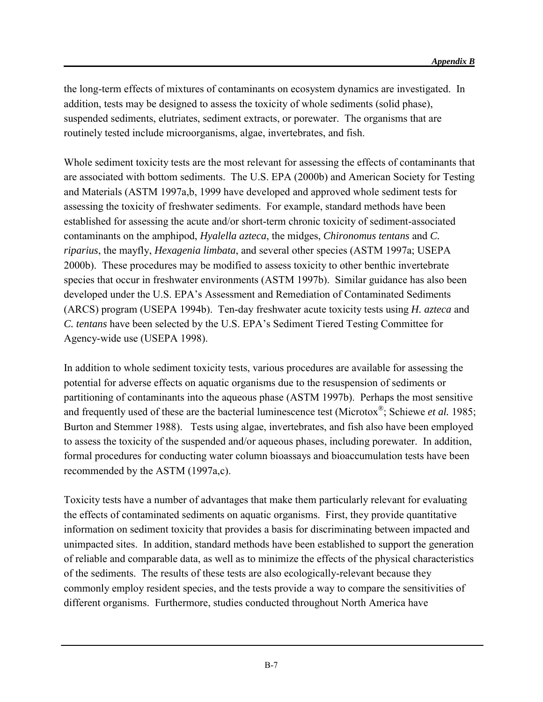the long-term effects of mixtures of contaminants on ecosystem dynamics are investigated. In addition, tests may be designed to assess the toxicity of whole sediments (solid phase), suspended sediments, elutriates, sediment extracts, or porewater. The organisms that are routinely tested include microorganisms, algae, invertebrates, and fish.

Whole sediment toxicity tests are the most relevant for assessing the effects of contaminants that are associated with bottom sediments. The U.S. EPA (2000b) and American Society for Testing and Materials (ASTM 1997a,b, 1999 have developed and approved whole sediment tests for assessing the toxicity of freshwater sediments. For example, standard methods have been established for assessing the acute and/or short-term chronic toxicity of sediment-associated contaminants on the amphipod, *Hyalella azteca*, the midges, *Chironomus tentans* and *C. riparius*, the mayfly, *Hexagenia limbata*, and several other species (ASTM 1997a; USEPA 2000b). These procedures may be modified to assess toxicity to other benthic invertebrate species that occur in freshwater environments (ASTM 1997b). Similar guidance has also been developed under the U.S. EPA's Assessment and Remediation of Contaminated Sediments (ARCS) program (USEPA 1994b). Ten-day freshwater acute toxicity tests using *H. azteca* and *C. tentans* have been selected by the U.S. EPA's Sediment Tiered Testing Committee for Agency-wide use (USEPA 1998).

In addition to whole sediment toxicity tests, various procedures are available for assessing the potential for adverse effects on aquatic organisms due to the resuspension of sediments or partitioning of contaminants into the aqueous phase (ASTM 1997b). Perhaps the most sensitive and frequently used of these are the bacterial luminescence test (Microtox®; Schiewe *et al.* 1985; Burton and Stemmer 1988). Tests using algae, invertebrates, and fish also have been employed to assess the toxicity of the suspended and/or aqueous phases, including porewater. In addition, formal procedures for conducting water column bioassays and bioaccumulation tests have been recommended by the ASTM (1997a,c).

Toxicity tests have a number of advantages that make them particularly relevant for evaluating the effects of contaminated sediments on aquatic organisms. First, they provide quantitative information on sediment toxicity that provides a basis for discriminating between impacted and unimpacted sites. In addition, standard methods have been established to support the generation of reliable and comparable data, as well as to minimize the effects of the physical characteristics of the sediments. The results of these tests are also ecologically-relevant because they commonly employ resident species, and the tests provide a way to compare the sensitivities of different organisms. Furthermore, studies conducted throughout North America have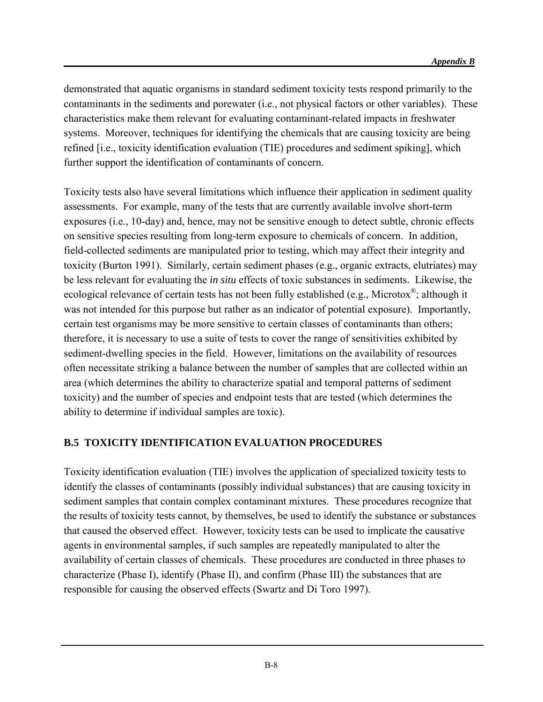demonstrated that aquatic organisms in standard sediment toxicity tests respond primarily to the contaminants in the sediments and porewater (i.e., not physical factors or other variables). These characteristics make them relevant for evaluating contaminant-related impacts in freshwater systems. Moreover, techniques for identifying the chemicals that are causing toxicity are being refined [i.e., toxicity identification evaluation (TIE) procedures and sediment spiking], which further support the identification of contaminants of concern.

Toxicity tests also have several limitations which influence their application in sediment quality assessments. For example, many of the tests that are currently available involve short-term exposures (i.e., 10-day) and, hence, may not be sensitive enough to detect subtle, chronic effects on sensitive species resulting from long-term exposure to chemicals of concern. In addition, field-collected sediments are manipulated prior to testing, which may affect their integrity and toxicity (Burton 1991). Similarly, certain sediment phases (e.g., organic extracts, elutriates) may be less relevant for evaluating the *in situ* effects of toxic substances in sediments. Likewise, the ecological relevance of certain tests has not been fully established (e.g., Microtox $^{\circledR}$ ; although it was not intended for this purpose but rather as an indicator of potential exposure). Importantly, certain test organisms may be more sensitive to certain classes of contaminants than others; therefore, it is necessary to use a suite of tests to cover the range of sensitivities exhibited by sediment-dwelling species in the field. However, limitations on the availability of resources often necessitate striking a balance between the number of samples that are collected within an area (which determines the ability to characterize spatial and temporal patterns of sediment toxicity) and the number of species and endpoint tests that are tested (which determines the ability to determine if individual samples are toxic).

#### **B.5 TOXICITY IDENTIFICATION EVALUATION PROCEDURES**

Toxicity identification evaluation (TIE) involves the application of specialized toxicity tests to identify the classes of contaminants (possibly individual substances) that are causing toxicity in sediment samples that contain complex contaminant mixtures. These procedures recognize that the results of toxicity tests cannot, by themselves, be used to identify the substance or substances that caused the observed effect. However, toxicity tests can be used to implicate the causative agents in environmental samples, if such samples are repeatedly manipulated to alter the availability of certain classes of chemicals. These procedures are conducted in three phases to characterize (Phase I), identify (Phase II), and confirm (Phase III) the substances that are responsible for causing the observed effects (Swartz and Di Toro 1997).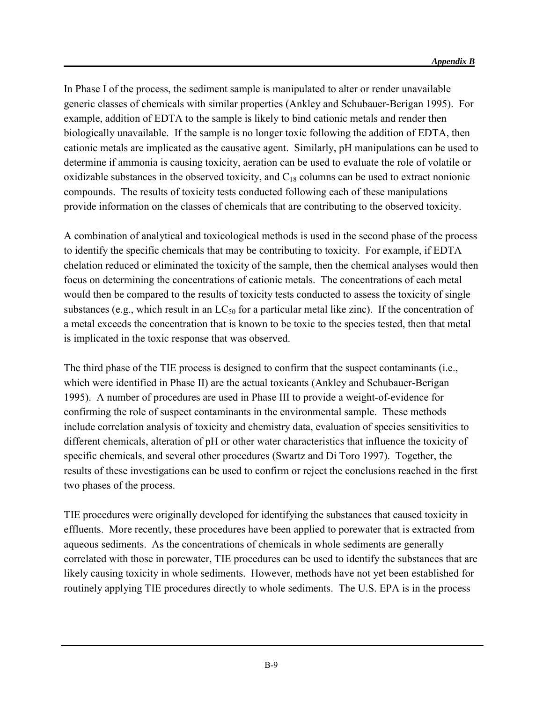In Phase I of the process, the sediment sample is manipulated to alter or render unavailable generic classes of chemicals with similar properties (Ankley and Schubauer-Berigan 1995). For example, addition of EDTA to the sample is likely to bind cationic metals and render then biologically unavailable. If the sample is no longer toxic following the addition of EDTA, then cationic metals are implicated as the causative agent. Similarly, pH manipulations can be used to determine if ammonia is causing toxicity, aeration can be used to evaluate the role of volatile or oxidizable substances in the observed toxicity, and  $C_{18}$  columns can be used to extract nonionic compounds. The results of toxicity tests conducted following each of these manipulations provide information on the classes of chemicals that are contributing to the observed toxicity.

A combination of analytical and toxicological methods is used in the second phase of the process to identify the specific chemicals that may be contributing to toxicity. For example, if EDTA chelation reduced or eliminated the toxicity of the sample, then the chemical analyses would then focus on determining the concentrations of cationic metals. The concentrations of each metal would then be compared to the results of toxicity tests conducted to assess the toxicity of single substances (e.g., which result in an  $LC_{50}$  for a particular metal like zinc). If the concentration of a metal exceeds the concentration that is known to be toxic to the species tested, then that metal is implicated in the toxic response that was observed.

The third phase of the TIE process is designed to confirm that the suspect contaminants (i.e., which were identified in Phase II) are the actual toxicants (Ankley and Schubauer-Berigan 1995). A number of procedures are used in Phase III to provide a weight-of-evidence for confirming the role of suspect contaminants in the environmental sample. These methods include correlation analysis of toxicity and chemistry data, evaluation of species sensitivities to different chemicals, alteration of pH or other water characteristics that influence the toxicity of specific chemicals, and several other procedures (Swartz and Di Toro 1997). Together, the results of these investigations can be used to confirm or reject the conclusions reached in the first two phases of the process.

TIE procedures were originally developed for identifying the substances that caused toxicity in effluents. More recently, these procedures have been applied to porewater that is extracted from aqueous sediments. As the concentrations of chemicals in whole sediments are generally correlated with those in porewater, TIE procedures can be used to identify the substances that are likely causing toxicity in whole sediments. However, methods have not yet been established for routinely applying TIE procedures directly to whole sediments. The U.S. EPA is in the process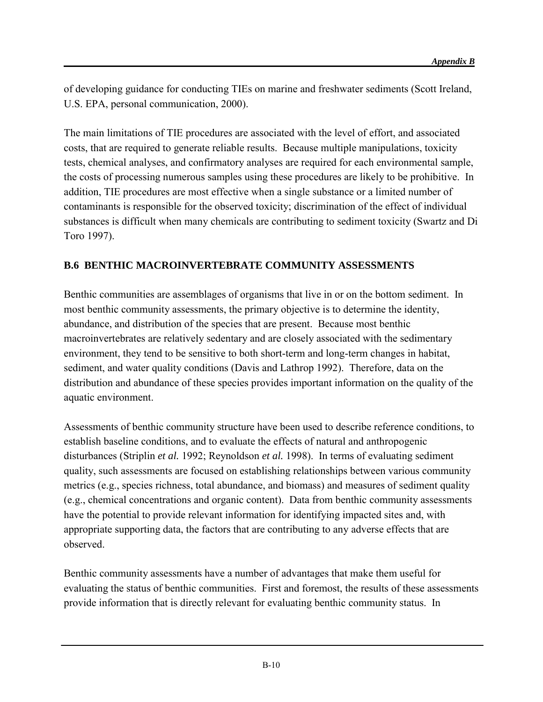of developing guidance for conducting TIEs on marine and freshwater sediments (Scott Ireland, U.S. EPA, personal communication, 2000).

The main limitations of TIE procedures are associated with the level of effort, and associated costs, that are required to generate reliable results. Because multiple manipulations, toxicity tests, chemical analyses, and confirmatory analyses are required for each environmental sample, the costs of processing numerous samples using these procedures are likely to be prohibitive. In addition, TIE procedures are most effective when a single substance or a limited number of contaminants is responsible for the observed toxicity; discrimination of the effect of individual substances is difficult when many chemicals are contributing to sediment toxicity (Swartz and Di Toro 1997).

## **B.6 BENTHIC MACROINVERTEBRATE COMMUNITY ASSESSMENTS**

Benthic communities are assemblages of organisms that live in or on the bottom sediment. In most benthic community assessments, the primary objective is to determine the identity, abundance, and distribution of the species that are present. Because most benthic macroinvertebrates are relatively sedentary and are closely associated with the sedimentary environment, they tend to be sensitive to both short-term and long-term changes in habitat, sediment, and water quality conditions (Davis and Lathrop 1992). Therefore, data on the distribution and abundance of these species provides important information on the quality of the aquatic environment.

Assessments of benthic community structure have been used to describe reference conditions, to establish baseline conditions, and to evaluate the effects of natural and anthropogenic disturbances (Striplin *et al.* 1992; Reynoldson *et al.* 1998). In terms of evaluating sediment quality, such assessments are focused on establishing relationships between various community metrics (e.g., species richness, total abundance, and biomass) and measures of sediment quality (e.g., chemical concentrations and organic content). Data from benthic community assessments have the potential to provide relevant information for identifying impacted sites and, with appropriate supporting data, the factors that are contributing to any adverse effects that are observed.

Benthic community assessments have a number of advantages that make them useful for evaluating the status of benthic communities. First and foremost, the results of these assessments provide information that is directly relevant for evaluating benthic community status. In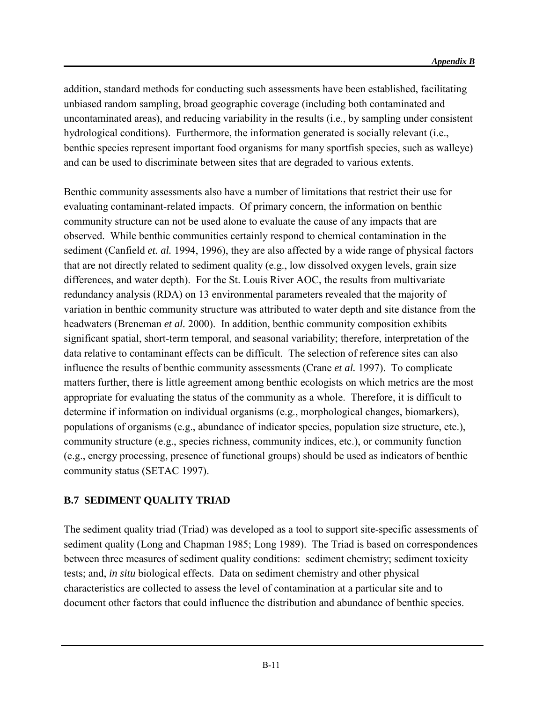addition, standard methods for conducting such assessments have been established, facilitating unbiased random sampling, broad geographic coverage (including both contaminated and uncontaminated areas), and reducing variability in the results (i.e., by sampling under consistent hydrological conditions). Furthermore, the information generated is socially relevant (i.e., benthic species represent important food organisms for many sportfish species, such as walleye) and can be used to discriminate between sites that are degraded to various extents.

Benthic community assessments also have a number of limitations that restrict their use for evaluating contaminant-related impacts. Of primary concern, the information on benthic community structure can not be used alone to evaluate the cause of any impacts that are observed. While benthic communities certainly respond to chemical contamination in the sediment (Canfield *et. al.* 1994, 1996), they are also affected by a wide range of physical factors that are not directly related to sediment quality (e.g., low dissolved oxygen levels, grain size differences, and water depth). For the St. Louis River AOC, the results from multivariate redundancy analysis (RDA) on 13 environmental parameters revealed that the majority of variation in benthic community structure was attributed to water depth and site distance from the headwaters (Breneman *et al.* 2000). In addition, benthic community composition exhibits significant spatial, short-term temporal, and seasonal variability; therefore, interpretation of the data relative to contaminant effects can be difficult. The selection of reference sites can also influence the results of benthic community assessments (Crane *et al.* 1997). To complicate matters further, there is little agreement among benthic ecologists on which metrics are the most appropriate for evaluating the status of the community as a whole. Therefore, it is difficult to determine if information on individual organisms (e.g., morphological changes, biomarkers), populations of organisms (e.g., abundance of indicator species, population size structure, etc.), community structure (e.g., species richness, community indices, etc.), or community function (e.g., energy processing, presence of functional groups) should be used as indicators of benthic community status (SETAC 1997).

## **B.7 SEDIMENT QUALITY TRIAD**

The sediment quality triad (Triad) was developed as a tool to support site-specific assessments of sediment quality (Long and Chapman 1985; Long 1989). The Triad is based on correspondences between three measures of sediment quality conditions: sediment chemistry; sediment toxicity tests; and, *in situ* biological effects. Data on sediment chemistry and other physical characteristics are collected to assess the level of contamination at a particular site and to document other factors that could influence the distribution and abundance of benthic species.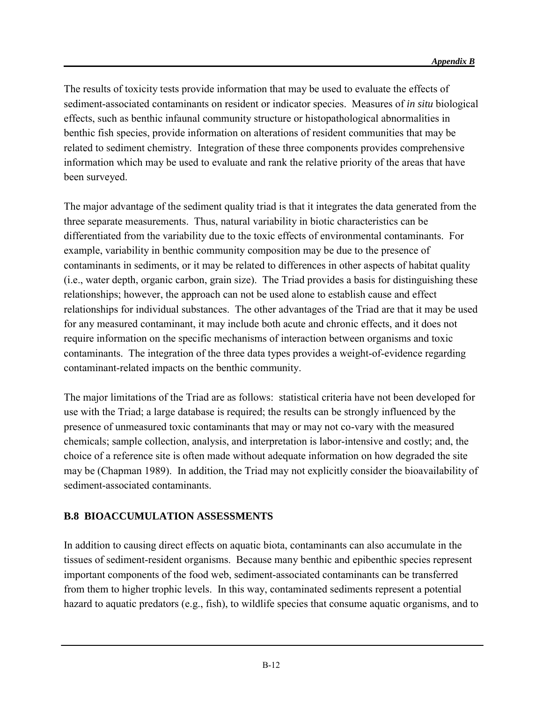The results of toxicity tests provide information that may be used to evaluate the effects of sediment-associated contaminants on resident or indicator species. Measures of *in situ* biological effects, such as benthic infaunal community structure or histopathological abnormalities in benthic fish species, provide information on alterations of resident communities that may be related to sediment chemistry. Integration of these three components provides comprehensive information which may be used to evaluate and rank the relative priority of the areas that have been surveyed.

The major advantage of the sediment quality triad is that it integrates the data generated from the three separate measurements. Thus, natural variability in biotic characteristics can be differentiated from the variability due to the toxic effects of environmental contaminants. For example, variability in benthic community composition may be due to the presence of contaminants in sediments, or it may be related to differences in other aspects of habitat quality (i.e., water depth, organic carbon, grain size). The Triad provides a basis for distinguishing these relationships; however, the approach can not be used alone to establish cause and effect relationships for individual substances. The other advantages of the Triad are that it may be used for any measured contaminant, it may include both acute and chronic effects, and it does not require information on the specific mechanisms of interaction between organisms and toxic contaminants. The integration of the three data types provides a weight-of-evidence regarding contaminant-related impacts on the benthic community.

The major limitations of the Triad are as follows: statistical criteria have not been developed for use with the Triad; a large database is required; the results can be strongly influenced by the presence of unmeasured toxic contaminants that may or may not co-vary with the measured chemicals; sample collection, analysis, and interpretation is labor-intensive and costly; and, the choice of a reference site is often made without adequate information on how degraded the site may be (Chapman 1989). In addition, the Triad may not explicitly consider the bioavailability of sediment-associated contaminants.

#### **B.8 BIOACCUMULATION ASSESSMENTS**

In addition to causing direct effects on aquatic biota, contaminants can also accumulate in the tissues of sediment-resident organisms. Because many benthic and epibenthic species represent important components of the food web, sediment-associated contaminants can be transferred from them to higher trophic levels. In this way, contaminated sediments represent a potential hazard to aquatic predators (e.g., fish), to wildlife species that consume aquatic organisms, and to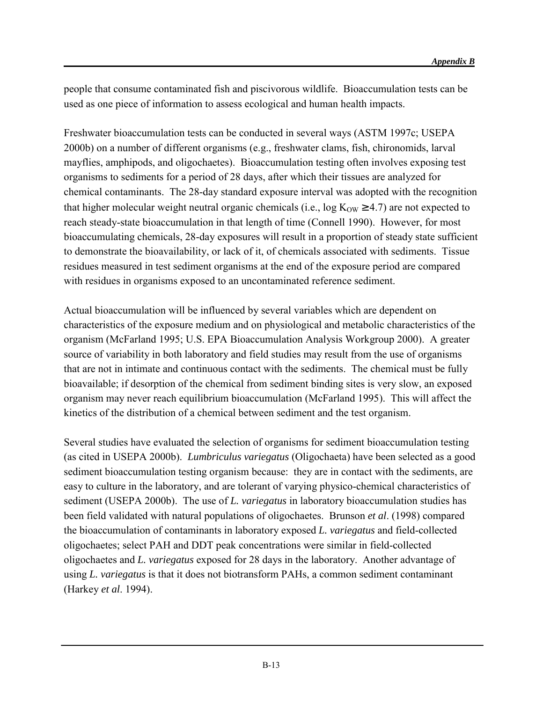people that consume contaminated fish and piscivorous wildlife. Bioaccumulation tests can be used as one piece of information to assess ecological and human health impacts.

Freshwater bioaccumulation tests can be conducted in several ways (ASTM 1997c; USEPA 2000b) on a number of different organisms (e.g., freshwater clams, fish, chironomids, larval mayflies, amphipods, and oligochaetes). Bioaccumulation testing often involves exposing test organisms to sediments for a period of 28 days, after which their tissues are analyzed for chemical contaminants. The 28-day standard exposure interval was adopted with the recognition that higher molecular weight neutral organic chemicals (i.e.,  $\log K_{OW} \ge 4.7$ ) are not expected to reach steady-state bioaccumulation in that length of time (Connell 1990). However, for most bioaccumulating chemicals, 28-day exposures will result in a proportion of steady state sufficient to demonstrate the bioavailability, or lack of it, of chemicals associated with sediments. Tissue residues measured in test sediment organisms at the end of the exposure period are compared with residues in organisms exposed to an uncontaminated reference sediment.

Actual bioaccumulation will be influenced by several variables which are dependent on characteristics of the exposure medium and on physiological and metabolic characteristics of the organism (McFarland 1995; U.S. EPA Bioaccumulation Analysis Workgroup 2000). A greater source of variability in both laboratory and field studies may result from the use of organisms that are not in intimate and continuous contact with the sediments. The chemical must be fully bioavailable; if desorption of the chemical from sediment binding sites is very slow, an exposed organism may never reach equilibrium bioaccumulation (McFarland 1995). This will affect the kinetics of the distribution of a chemical between sediment and the test organism.

Several studies have evaluated the selection of organisms for sediment bioaccumulation testing (as cited in USEPA 2000b). *Lumbriculus variegatus* (Oligochaeta) have been selected as a good sediment bioaccumulation testing organism because: they are in contact with the sediments, are easy to culture in the laboratory, and are tolerant of varying physico-chemical characteristics of sediment (USEPA 2000b). The use of *L. variegatus* in laboratory bioaccumulation studies has been field validated with natural populations of oligochaetes. Brunson *et al*. (1998) compared the bioaccumulation of contaminants in laboratory exposed *L. variegatus* and field-collected oligochaetes; select PAH and DDT peak concentrations were similar in field-collected oligochaetes and *L. variegatus* exposed for 28 days in the laboratory. Another advantage of using *L. variegatus* is that it does not biotransform PAHs, a common sediment contaminant (Harkey *et al*. 1994).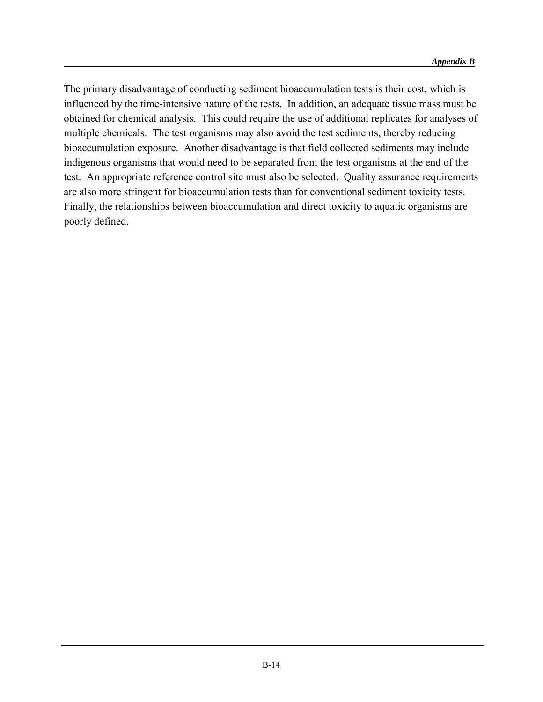The primary disadvantage of conducting sediment bioaccumulation tests is their cost, which is influenced by the time-intensive nature of the tests. In addition, an adequate tissue mass must be obtained for chemical analysis. This could require the use of additional replicates for analyses of multiple chemicals. The test organisms may also avoid the test sediments, thereby reducing bioaccumulation exposure. Another disadvantage is that field collected sediments may include indigenous organisms that would need to be separated from the test organisms at the end of the test. An appropriate reference control site must also be selected. Quality assurance requirements are also more stringent for bioaccumulation tests than for conventional sediment toxicity tests. Finally, the relationships between bioaccumulation and direct toxicity to aquatic organisms are poorly defined.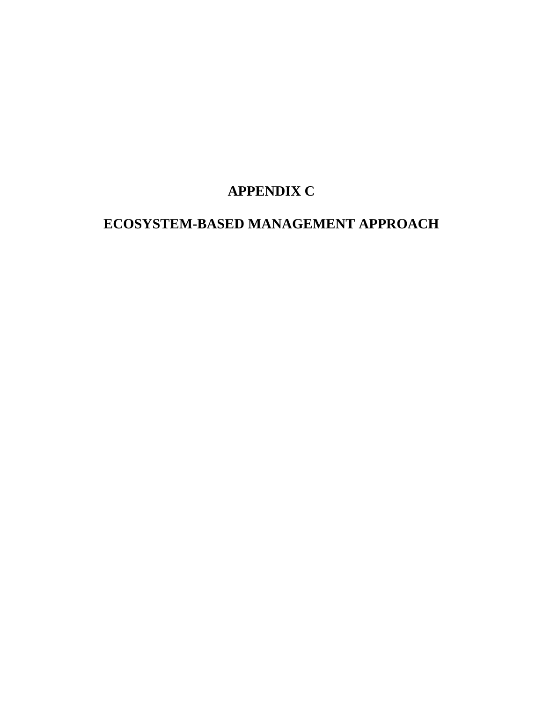# **APPENDIX C**

# **ECOSYSTEM-BASED MANAGEMENT APPROACH**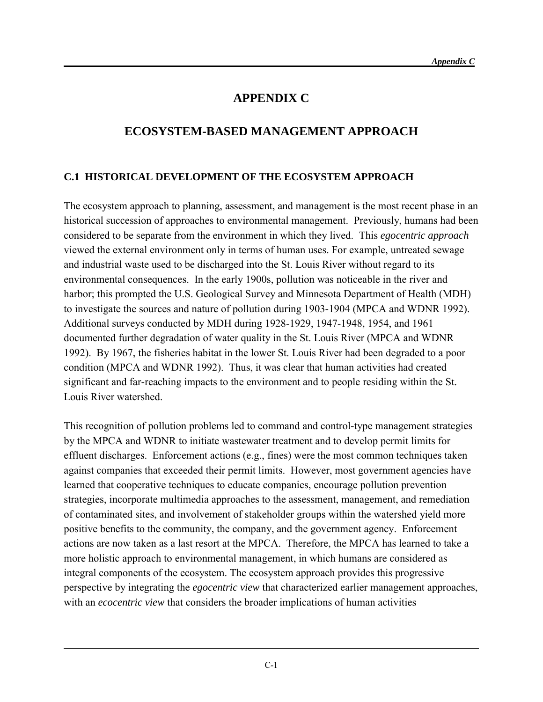## **APPENDIX C**

## **ECOSYSTEM-BASED MANAGEMENT APPROACH**

#### **C.1 HISTORICAL DEVELOPMENT OF THE ECOSYSTEM APPROACH**

The ecosystem approach to planning, assessment, and management is the most recent phase in an historical succession of approaches to environmental management. Previously, humans had been considered to be separate from the environment in which they lived. This *egocentric approach* viewed the external environment only in terms of human uses. For example, untreated sewage and industrial waste used to be discharged into the St. Louis River without regard to its environmental consequences. In the early 1900s, pollution was noticeable in the river and harbor; this prompted the U.S. Geological Survey and Minnesota Department of Health (MDH) to investigate the sources and nature of pollution during 1903-1904 (MPCA and WDNR 1992). Additional surveys conducted by MDH during 1928-1929, 1947-1948, 1954, and 1961 documented further degradation of water quality in the St. Louis River (MPCA and WDNR 1992). By 1967, the fisheries habitat in the lower St. Louis River had been degraded to a poor condition (MPCA and WDNR 1992). Thus, it was clear that human activities had created significant and far-reaching impacts to the environment and to people residing within the St. Louis River watershed.

This recognition of pollution problems led to command and control-type management strategies by the MPCA and WDNR to initiate wastewater treatment and to develop permit limits for effluent discharges. Enforcement actions (e.g., fines) were the most common techniques taken against companies that exceeded their permit limits. However, most government agencies have learned that cooperative techniques to educate companies, encourage pollution prevention strategies, incorporate multimedia approaches to the assessment, management, and remediation of contaminated sites, and involvement of stakeholder groups within the watershed yield more positive benefits to the community, the company, and the government agency. Enforcement actions are now taken as a last resort at the MPCA. Therefore, the MPCA has learned to take a more holistic approach to environmental management, in which humans are considered as integral components of the ecosystem. The ecosystem approach provides this progressive perspective by integrating the *egocentric view* that characterized earlier management approaches, with an *ecocentric view* that considers the broader implications of human activities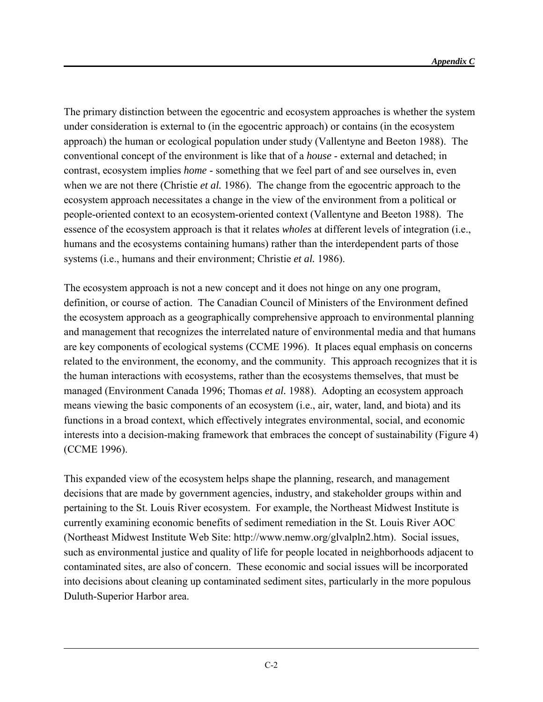The primary distinction between the egocentric and ecosystem approaches is whether the system under consideration is external to (in the egocentric approach) or contains (in the ecosystem approach) the human or ecological population under study (Vallentyne and Beeton 1988). The conventional concept of the environment is like that of a *house* - external and detached; in contrast, ecosystem implies *home* - something that we feel part of and see ourselves in, even when we are not there (Christie *et al.* 1986). The change from the egocentric approach to the ecosystem approach necessitates a change in the view of the environment from a political or people-oriented context to an ecosystem-oriented context (Vallentyne and Beeton 1988). The essence of the ecosystem approach is that it relates *wholes* at different levels of integration (i.e., humans and the ecosystems containing humans) rather than the interdependent parts of those systems (i.e., humans and their environment; Christie *et al.* 1986).

The ecosystem approach is not a new concept and it does not hinge on any one program, definition, or course of action. The Canadian Council of Ministers of the Environment defined the ecosystem approach as a geographically comprehensive approach to environmental planning and management that recognizes the interrelated nature of environmental media and that humans are key components of ecological systems (CCME 1996). It places equal emphasis on concerns related to the environment, the economy, and the community. This approach recognizes that it is the human interactions with ecosystems, rather than the ecosystems themselves, that must be managed (Environment Canada 1996; Thomas *et al.* 1988). Adopting an ecosystem approach means viewing the basic components of an ecosystem (i.e., air, water, land, and biota) and its functions in a broad context, which effectively integrates environmental, social, and economic interests into a decision-making framework that embraces the concept of sustainability (Figure 4) (CCME 1996).

This expanded view of the ecosystem helps shape the planning, research, and management decisions that are made by government agencies, industry, and stakeholder groups within and pertaining to the St. Louis River ecosystem. For example, the Northeast Midwest Institute is currently examining economic benefits of sediment remediation in the St. Louis River AOC (Northeast Midwest Institute Web Site: http://www.nemw.org/glvalpln2.htm). Social issues, such as environmental justice and quality of life for people located in neighborhoods adjacent to contaminated sites, are also of concern. These economic and social issues will be incorporated into decisions about cleaning up contaminated sediment sites, particularly in the more populous Duluth-Superior Harbor area.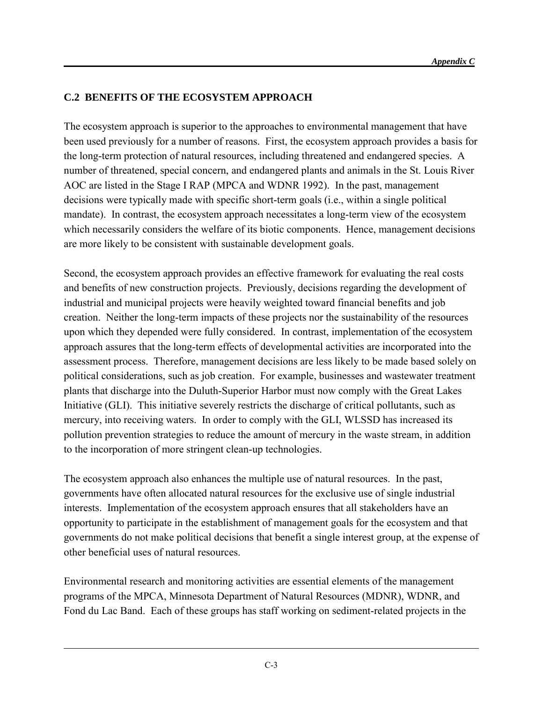## **C.2 BENEFITS OF THE ECOSYSTEM APPROACH**

The ecosystem approach is superior to the approaches to environmental management that have been used previously for a number of reasons. First, the ecosystem approach provides a basis for the long-term protection of natural resources, including threatened and endangered species. A number of threatened, special concern, and endangered plants and animals in the St. Louis River AOC are listed in the Stage I RAP (MPCA and WDNR 1992). In the past, management decisions were typically made with specific short-term goals (i.e., within a single political mandate). In contrast, the ecosystem approach necessitates a long-term view of the ecosystem which necessarily considers the welfare of its biotic components. Hence, management decisions are more likely to be consistent with sustainable development goals.

Second, the ecosystem approach provides an effective framework for evaluating the real costs and benefits of new construction projects. Previously, decisions regarding the development of industrial and municipal projects were heavily weighted toward financial benefits and job creation. Neither the long-term impacts of these projects nor the sustainability of the resources upon which they depended were fully considered. In contrast, implementation of the ecosystem approach assures that the long-term effects of developmental activities are incorporated into the assessment process. Therefore, management decisions are less likely to be made based solely on political considerations, such as job creation. For example, businesses and wastewater treatment plants that discharge into the Duluth-Superior Harbor must now comply with the Great Lakes Initiative (GLI). This initiative severely restricts the discharge of critical pollutants, such as mercury, into receiving waters. In order to comply with the GLI, WLSSD has increased its pollution prevention strategies to reduce the amount of mercury in the waste stream, in addition to the incorporation of more stringent clean-up technologies.

The ecosystem approach also enhances the multiple use of natural resources. In the past, governments have often allocated natural resources for the exclusive use of single industrial interests. Implementation of the ecosystem approach ensures that all stakeholders have an opportunity to participate in the establishment of management goals for the ecosystem and that governments do not make political decisions that benefit a single interest group, at the expense of other beneficial uses of natural resources.

Environmental research and monitoring activities are essential elements of the management programs of the MPCA, Minnesota Department of Natural Resources (MDNR), WDNR, and Fond du Lac Band. Each of these groups has staff working on sediment-related projects in the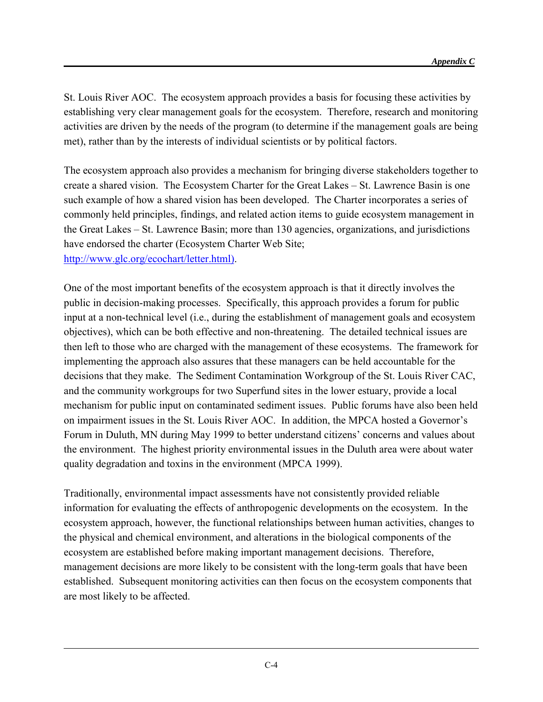St. Louis River AOC. The ecosystem approach provides a basis for focusing these activities by establishing very clear management goals for the ecosystem. Therefore, research and monitoring activities are driven by the needs of the program (to determine if the management goals are being met), rather than by the interests of individual scientists or by political factors.

The ecosystem approach also provides a mechanism for bringing diverse stakeholders together to create a shared vision. The Ecosystem Charter for the Great Lakes – St. Lawrence Basin is one such example of how a shared vision has been developed. The Charter incorporates a series of commonly held principles, findings, and related action items to guide ecosystem management in the Great Lakes – St. Lawrence Basin; more than 130 agencies, organizations, and jurisdictions have endorsed the charter (Ecosystem Charter Web Site; [http://www.glc.org/ecochart/letter.html\).](http://www.glc.org/ecochart/letter.html))

One of the most important benefits of the ecosystem approach is that it directly involves the public in decision-making processes. Specifically, this approach provides a forum for public input at a non-technical level (i.e., during the establishment of management goals and ecosystem objectives), which can be both effective and non-threatening. The detailed technical issues are then left to those who are charged with the management of these ecosystems. The framework for implementing the approach also assures that these managers can be held accountable for the decisions that they make. The Sediment Contamination Workgroup of the St. Louis River CAC, and the community workgroups for two Superfund sites in the lower estuary, provide a local mechanism for public input on contaminated sediment issues. Public forums have also been held on impairment issues in the St. Louis River AOC. In addition, the MPCA hosted a Governor's Forum in Duluth, MN during May 1999 to better understand citizens' concerns and values about the environment. The highest priority environmental issues in the Duluth area were about water quality degradation and toxins in the environment (MPCA 1999).

Traditionally, environmental impact assessments have not consistently provided reliable information for evaluating the effects of anthropogenic developments on the ecosystem. In the ecosystem approach, however, the functional relationships between human activities, changes to the physical and chemical environment, and alterations in the biological components of the ecosystem are established before making important management decisions. Therefore, management decisions are more likely to be consistent with the long-term goals that have been established. Subsequent monitoring activities can then focus on the ecosystem components that are most likely to be affected.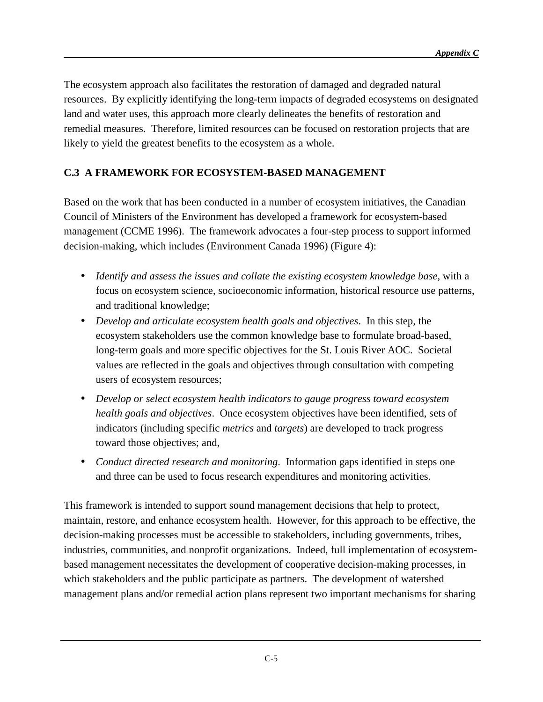The ecosystem approach also facilitates the restoration of damaged and degraded natural resources. By explicitly identifying the long-term impacts of degraded ecosystems on designated land and water uses, this approach more clearly delineates the benefits of restoration and remedial measures. Therefore, limited resources can be focused on restoration projects that are likely to yield the greatest benefits to the ecosystem as a whole.

#### **C.3 A FRAMEWORK FOR ECOSYSTEM-BASED MANAGEMENT**

Based on the work that has been conducted in a number of ecosystem initiatives, the Canadian Council of Ministers of the Environment has developed a framework for ecosystem-based management (CCME 1996). The framework advocates a four-step process to support informed decision-making, which includes (Environment Canada 1996) (Figure 4):

- *Identify and assess the issues and collate the existing ecosystem knowledge base*, with a focus on ecosystem science, socioeconomic information, historical resource use patterns, and traditional knowledge;
- *Develop and articulate ecosystem health goals and objectives*. In this step, the ecosystem stakeholders use the common knowledge base to formulate broad-based, long-term goals and more specific objectives for the St. Louis River AOC. Societal values are reflected in the goals and objectives through consultation with competing users of ecosystem resources;
- *Develop or select ecosystem health indicators to gauge progress toward ecosystem health goals and objectives*. Once ecosystem objectives have been identified, sets of indicators (including specific *metrics* and *targets*) are developed to track progress toward those objectives; and,
- *Conduct directed research and monitoring*. Information gaps identified in steps one and three can be used to focus research expenditures and monitoring activities.

This framework is intended to support sound management decisions that help to protect, maintain, restore, and enhance ecosystem health. However, for this approach to be effective, the decision-making processes must be accessible to stakeholders, including governments, tribes, industries, communities, and nonprofit organizations. Indeed, full implementation of ecosystembased management necessitates the development of cooperative decision-making processes, in which stakeholders and the public participate as partners. The development of watershed management plans and/or remedial action plans represent two important mechanisms for sharing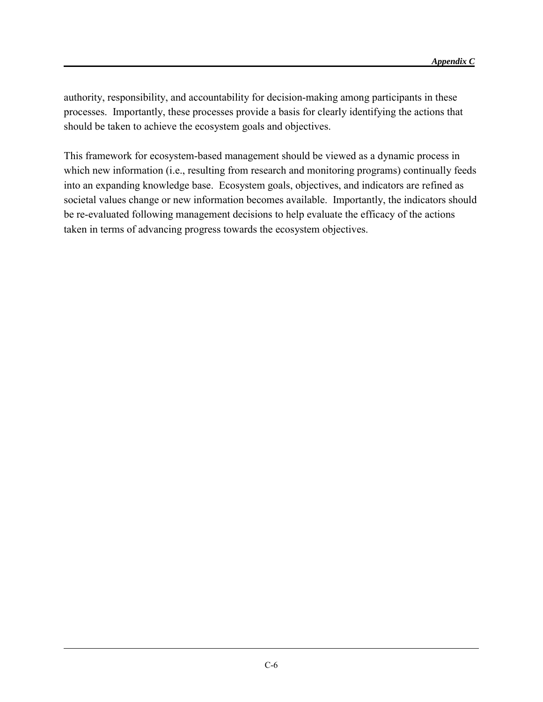authority, responsibility, and accountability for decision-making among participants in these processes. Importantly, these processes provide a basis for clearly identifying the actions that should be taken to achieve the ecosystem goals and objectives.

This framework for ecosystem-based management should be viewed as a dynamic process in which new information (i.e., resulting from research and monitoring programs) continually feeds into an expanding knowledge base. Ecosystem goals, objectives, and indicators are refined as societal values change or new information becomes available. Importantly, the indicators should be re-evaluated following management decisions to help evaluate the efficacy of the actions taken in terms of advancing progress towards the ecosystem objectives.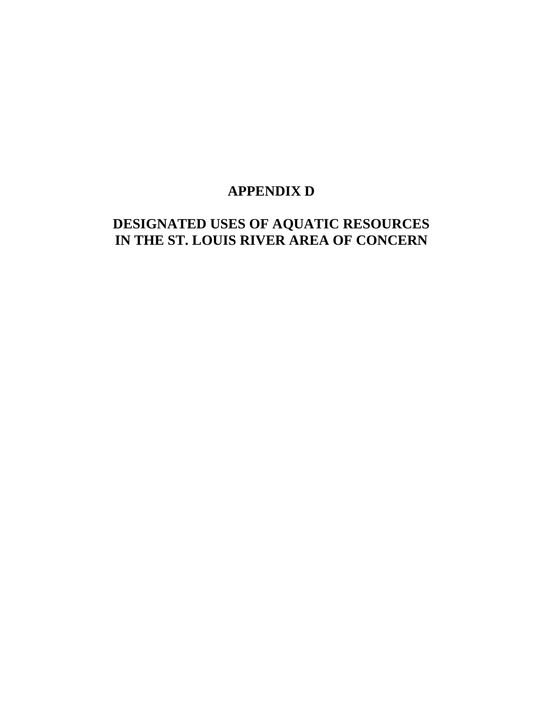## **APPENDIX D**

## **DESIGNATED USES OF AQUATIC RESOURCES IN THE ST. LOUIS RIVER AREA OF CONCERN**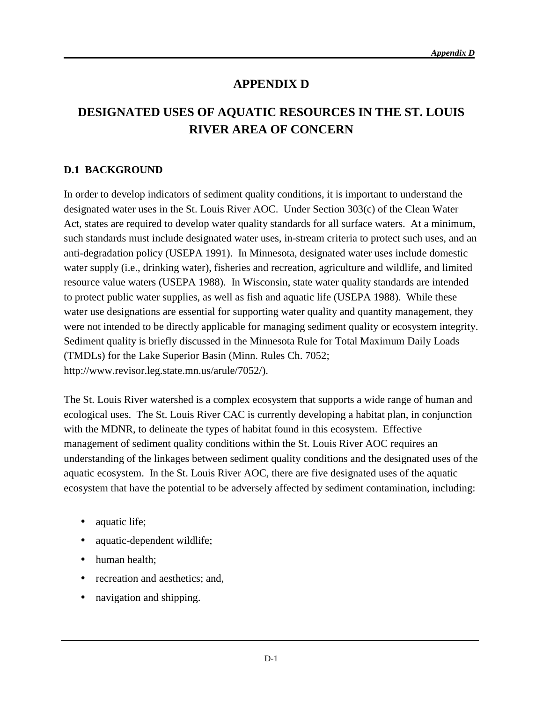## **APPENDIX D**

## **DESIGNATED USES OF AQUATIC RESOURCES IN THE ST. LOUIS RIVER AREA OF CONCERN**

### **D.1 BACKGROUND**

In order to develop indicators of sediment quality conditions, it is important to understand the designated water uses in the St. Louis River AOC. Under Section 303(c) of the Clean Water Act, states are required to develop water quality standards for all surface waters. At a minimum, such standards must include designated water uses, in-stream criteria to protect such uses, and an anti-degradation policy (USEPA 1991). In Minnesota, designated water uses include domestic water supply (i.e., drinking water), fisheries and recreation, agriculture and wildlife, and limited resource value waters (USEPA 1988). In Wisconsin, state water quality standards are intended to protect public water supplies, as well as fish and aquatic life (USEPA 1988). While these water use designations are essential for supporting water quality and quantity management, they were not intended to be directly applicable for managing sediment quality or ecosystem integrity. Sediment quality is briefly discussed in the Minnesota Rule for Total Maximum Daily Loads (TMDLs) for the Lake Superior Basin (Minn. Rules Ch. 7052; http://www.revisor.leg.state.mn.us/arule/7052/).

The St. Louis River watershed is a complex ecosystem that supports a wide range of human and ecological uses. The St. Louis River CAC is currently developing a habitat plan, in conjunction with the MDNR, to delineate the types of habitat found in this ecosystem. Effective management of sediment quality conditions within the St. Louis River AOC requires an understanding of the linkages between sediment quality conditions and the designated uses of the aquatic ecosystem. In the St. Louis River AOC, there are five designated uses of the aquatic ecosystem that have the potential to be adversely affected by sediment contamination, including:

- aquatic life;
- aquatic-dependent wildlife;
- human health:
- recreation and aesthetics; and,
- navigation and shipping.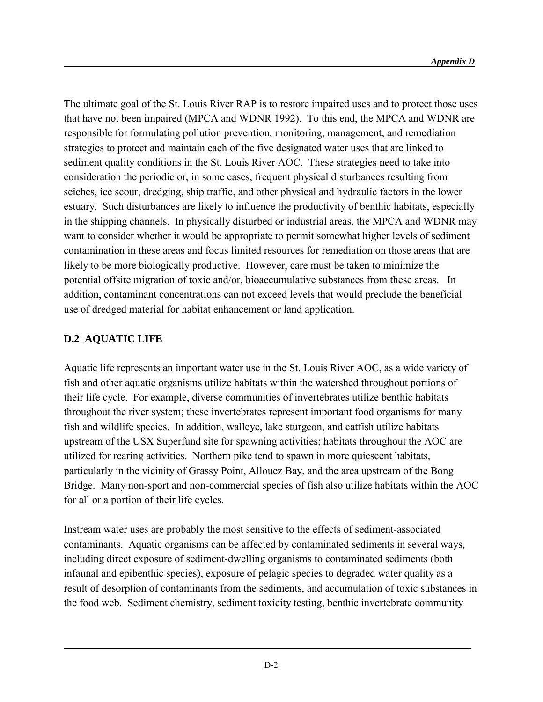The ultimate goal of the St. Louis River RAP is to restore impaired uses and to protect those uses that have not been impaired (MPCA and WDNR 1992). To this end, the MPCA and WDNR are responsible for formulating pollution prevention, monitoring, management, and remediation strategies to protect and maintain each of the five designated water uses that are linked to sediment quality conditions in the St. Louis River AOC. These strategies need to take into consideration the periodic or, in some cases, frequent physical disturbances resulting from seiches, ice scour, dredging, ship traffic, and other physical and hydraulic factors in the lower estuary. Such disturbances are likely to influence the productivity of benthic habitats, especially in the shipping channels. In physically disturbed or industrial areas, the MPCA and WDNR may want to consider whether it would be appropriate to permit somewhat higher levels of sediment contamination in these areas and focus limited resources for remediation on those areas that are likely to be more biologically productive. However, care must be taken to minimize the potential offsite migration of toxic and/or, bioaccumulative substances from these areas. In addition, contaminant concentrations can not exceed levels that would preclude the beneficial use of dredged material for habitat enhancement or land application.

### **D.2 AQUATIC LIFE**

l

Aquatic life represents an important water use in the St. Louis River AOC, as a wide variety of fish and other aquatic organisms utilize habitats within the watershed throughout portions of their life cycle. For example, diverse communities of invertebrates utilize benthic habitats throughout the river system; these invertebrates represent important food organisms for many fish and wildlife species. In addition, walleye, lake sturgeon, and catfish utilize habitats upstream of the USX Superfund site for spawning activities; habitats throughout the AOC are utilized for rearing activities. Northern pike tend to spawn in more quiescent habitats, particularly in the vicinity of Grassy Point, Allouez Bay, and the area upstream of the Bong Bridge. Many non-sport and non-commercial species of fish also utilize habitats within the AOC for all or a portion of their life cycles.

Instream water uses are probably the most sensitive to the effects of sediment-associated contaminants. Aquatic organisms can be affected by contaminated sediments in several ways, including direct exposure of sediment-dwelling organisms to contaminated sediments (both infaunal and epibenthic species), exposure of pelagic species to degraded water quality as a result of desorption of contaminants from the sediments, and accumulation of toxic substances in the food web. Sediment chemistry, sediment toxicity testing, benthic invertebrate community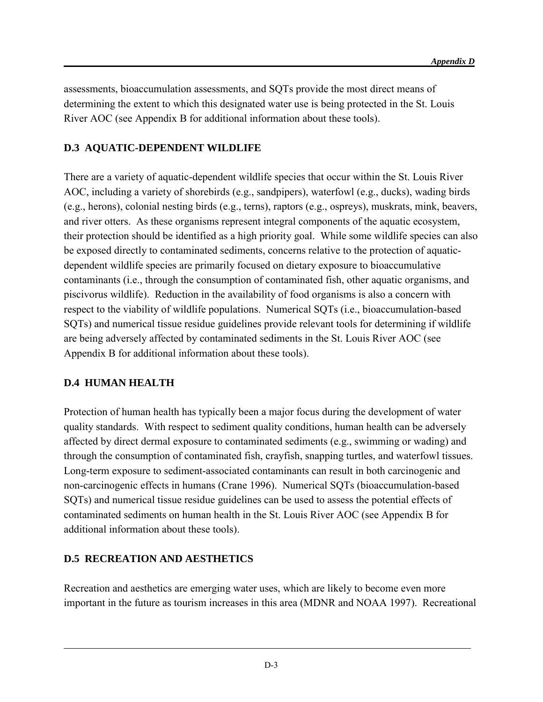assessments, bioaccumulation assessments, and SQTs provide the most direct means of determining the extent to which this designated water use is being protected in the St. Louis River AOC (see Appendix B for additional information about these tools).

### **D.3 AQUATIC-DEPENDENT WILDLIFE**

There are a variety of aquatic-dependent wildlife species that occur within the St. Louis River AOC, including a variety of shorebirds (e.g., sandpipers), waterfowl (e.g., ducks), wading birds (e.g., herons), colonial nesting birds (e.g., terns), raptors (e.g., ospreys), muskrats, mink, beavers, and river otters. As these organisms represent integral components of the aquatic ecosystem, their protection should be identified as a high priority goal. While some wildlife species can also be exposed directly to contaminated sediments, concerns relative to the protection of aquaticdependent wildlife species are primarily focused on dietary exposure to bioaccumulative contaminants (i.e., through the consumption of contaminated fish, other aquatic organisms, and piscivorus wildlife). Reduction in the availability of food organisms is also a concern with respect to the viability of wildlife populations. Numerical SQTs (i.e., bioaccumulation-based SQTs) and numerical tissue residue guidelines provide relevant tools for determining if wildlife are being adversely affected by contaminated sediments in the St. Louis River AOC (see Appendix B for additional information about these tools).

#### **D.4 HUMAN HEALTH**

l

Protection of human health has typically been a major focus during the development of water quality standards. With respect to sediment quality conditions, human health can be adversely affected by direct dermal exposure to contaminated sediments (e.g., swimming or wading) and through the consumption of contaminated fish, crayfish, snapping turtles, and waterfowl tissues. Long-term exposure to sediment-associated contaminants can result in both carcinogenic and non-carcinogenic effects in humans (Crane 1996). Numerical SQTs (bioaccumulation-based SQTs) and numerical tissue residue guidelines can be used to assess the potential effects of contaminated sediments on human health in the St. Louis River AOC (see Appendix B for additional information about these tools).

#### **D.5 RECREATION AND AESTHETICS**

Recreation and aesthetics are emerging water uses, which are likely to become even more important in the future as tourism increases in this area (MDNR and NOAA 1997). Recreational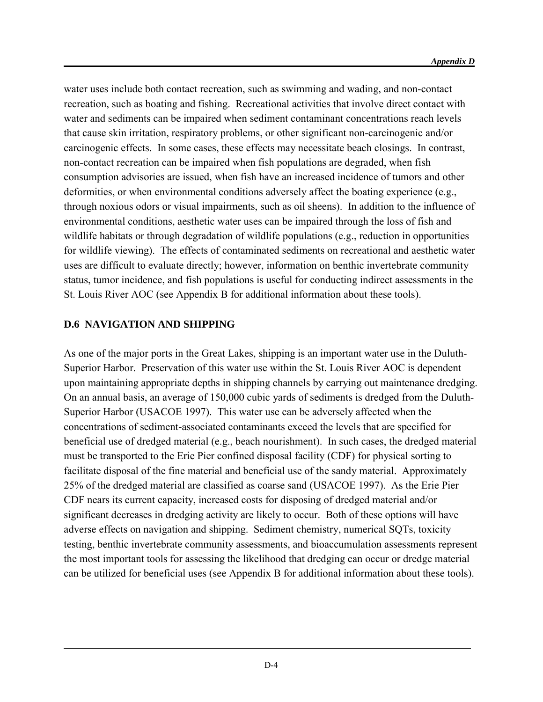water uses include both contact recreation, such as swimming and wading, and non-contact recreation, such as boating and fishing. Recreational activities that involve direct contact with water and sediments can be impaired when sediment contaminant concentrations reach levels that cause skin irritation, respiratory problems, or other significant non-carcinogenic and/or carcinogenic effects. In some cases, these effects may necessitate beach closings. In contrast, non-contact recreation can be impaired when fish populations are degraded, when fish consumption advisories are issued, when fish have an increased incidence of tumors and other deformities, or when environmental conditions adversely affect the boating experience (e.g., through noxious odors or visual impairments, such as oil sheens). In addition to the influence of environmental conditions, aesthetic water uses can be impaired through the loss of fish and wildlife habitats or through degradation of wildlife populations (e.g., reduction in opportunities for wildlife viewing). The effects of contaminated sediments on recreational and aesthetic water uses are difficult to evaluate directly; however, information on benthic invertebrate community status, tumor incidence, and fish populations is useful for conducting indirect assessments in the St. Louis River AOC (see Appendix B for additional information about these tools).

### **D.6 NAVIGATION AND SHIPPING**

l

As one of the major ports in the Great Lakes, shipping is an important water use in the Duluth-Superior Harbor. Preservation of this water use within the St. Louis River AOC is dependent upon maintaining appropriate depths in shipping channels by carrying out maintenance dredging. On an annual basis, an average of 150,000 cubic yards of sediments is dredged from the Duluth-Superior Harbor (USACOE 1997). This water use can be adversely affected when the concentrations of sediment-associated contaminants exceed the levels that are specified for beneficial use of dredged material (e.g., beach nourishment). In such cases, the dredged material must be transported to the Erie Pier confined disposal facility (CDF) for physical sorting to facilitate disposal of the fine material and beneficial use of the sandy material. Approximately 25% of the dredged material are classified as coarse sand (USACOE 1997). As the Erie Pier CDF nears its current capacity, increased costs for disposing of dredged material and/or significant decreases in dredging activity are likely to occur. Both of these options will have adverse effects on navigation and shipping. Sediment chemistry, numerical SQTs, toxicity testing, benthic invertebrate community assessments, and bioaccumulation assessments represent the most important tools for assessing the likelihood that dredging can occur or dredge material can be utilized for beneficial uses (see Appendix B for additional information about these tools).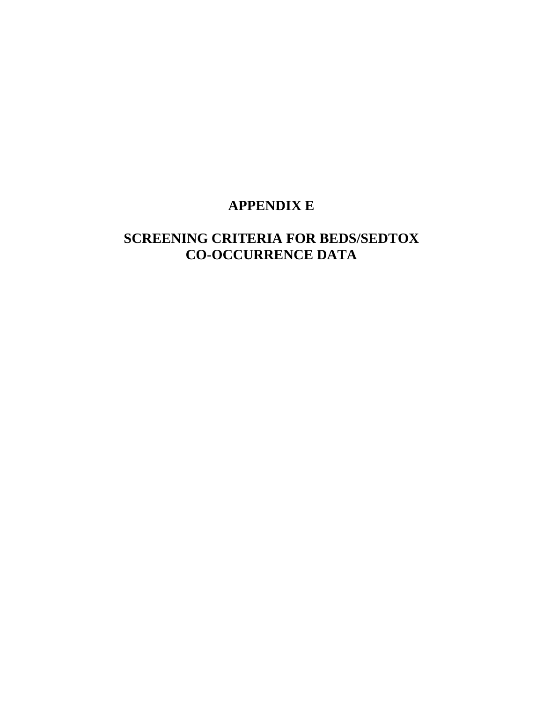## **APPENDIX E**

## **SCREENING CRITERIA FOR BEDS/SEDTOX CO-OCCURRENCE DATA**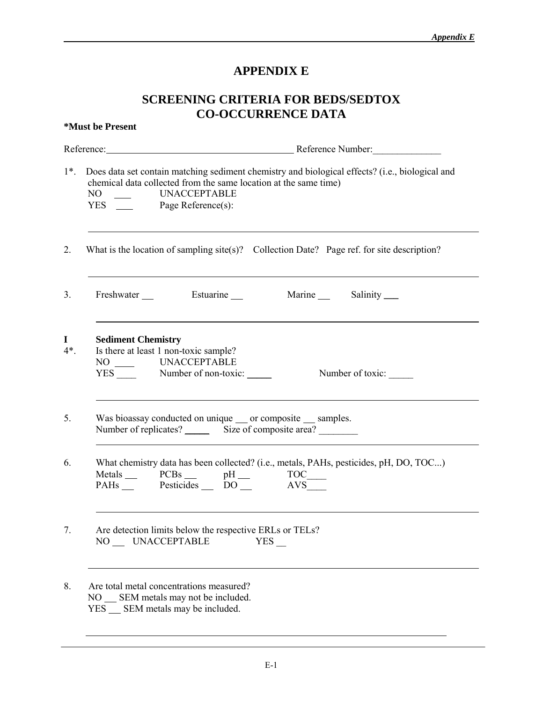## **APPENDIX E**

## **SCREENING CRITERIA FOR BEDS/SEDTOX CO-OCCURRENCE DATA**

|                        | *Must be Present                                                                                                                                                                                                              |
|------------------------|-------------------------------------------------------------------------------------------------------------------------------------------------------------------------------------------------------------------------------|
|                        | Reference: Reference Number:                                                                                                                                                                                                  |
| $1^*$ .                | Does data set contain matching sediment chemistry and biological effects? (i.e., biological and<br>chemical data collected from the same location at the same time)<br>NO _____ UNACCEPTABLE<br>YES ______ Page Reference(s): |
| 2.                     | What is the location of sampling site(s)? Collection Date? Page ref. for site description?                                                                                                                                    |
| 3.                     | Freshwater ___<br>Estuarine ______<br>Marine Salinity _____                                                                                                                                                                   |
| $\mathbf I$<br>$4^*$ . | <b>Sediment Chemistry</b><br>Is there at least 1 non-toxic sample?<br>NO _____ UNACCEPTABLE<br>$YES$ Number of non-toxic: ________<br>Number of toxic:                                                                        |
| 5.                     | Was bioassay conducted on unique ___ or composite ___ samples.<br>Number of replicates? Size of composite area?                                                                                                               |
| 6.                     | What chemistry data has been collected? (i.e., metals, PAHs, pesticides, pH, DO, TOC)<br>Metals PCBs pH TOC_<br>PAHs Pesticides DO AVS                                                                                        |
| 7.                     | Are detection limits below the respective ERLs or TELs?<br>NO UNACCEPTABLE<br>YES                                                                                                                                             |
| 8.                     | Are total metal concentrations measured?<br>NO SEM metals may not be included.<br>YES SEM metals may be included.                                                                                                             |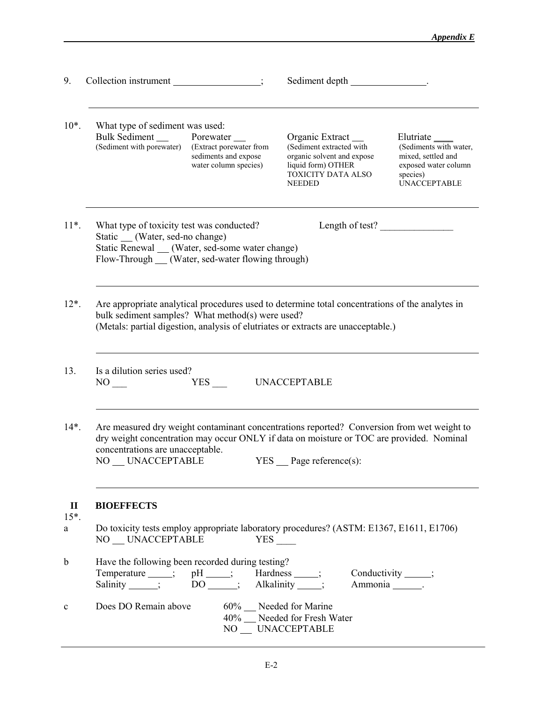| 9.                           | Collection instrument _________________;                                                                                                                                                 | Sediment depth __________________.                                                                                                                                                                                                                   |
|------------------------------|------------------------------------------------------------------------------------------------------------------------------------------------------------------------------------------|------------------------------------------------------------------------------------------------------------------------------------------------------------------------------------------------------------------------------------------------------|
| $10^*$ .                     | What type of sediment was used:<br><b>Bulk Sediment</b> Porewater<br>(Sediment with porewater) (Extract porewater from<br>sediments and expose<br>water column species)                  | Organic Extract __<br>(Sediment extracted with<br>(Sediments with water,<br>organic solvent and expose<br>mixed, settled and<br>liquid form) OTHER<br>exposed water column<br>TOXICITY DATA ALSO<br>species)<br><b>UNACCEPTABLE</b><br><b>NEEDED</b> |
| $11*$ .                      | What type of toxicity test was conducted?<br>Static ___ (Water, sed-no change)<br>Static Renewal __ (Water, sed-some water change)<br>Flow-Through __ (Water, sed-water flowing through) | Length of test?                                                                                                                                                                                                                                      |
| $12^*$ .                     | bulk sediment samples? What method(s) were used?<br>(Metals: partial digestion, analysis of elutriates or extracts are unacceptable.)                                                    | Are appropriate analytical procedures used to determine total concentrations of the analytes in                                                                                                                                                      |
| 13.                          | Is a dilution series used?<br>YES<br>NO <sub>1</sub>                                                                                                                                     | <b>UNACCEPTABLE</b>                                                                                                                                                                                                                                  |
| $14*$ .                      | concentrations are unacceptable.<br>NO UNACCEPTABLE                                                                                                                                      | Are measured dry weight contaminant concentrations reported? Conversion from wet weight to<br>dry weight concentration may occur ONLY if data on moisture or TOC are provided. Nominal<br>$YES$ $Page reference(s)$ :                                |
| $\mathbf{I}$<br>$15*$ .<br>a | <b>BIOEFFECTS</b><br>NO UNACCEPTABLE                                                                                                                                                     | Do toxicity tests employ appropriate laboratory procedures? (ASTM: E1367, E1611, E1706)<br>$YES$ $\qquad$                                                                                                                                            |
| $\mathbf b$                  | Have the following been recorded during testing?<br>Temperature ___; pH ____; Hardness ___;<br>Salinity ____; DO _____; Alkalinity ____;                                                 | Conductivity _____;<br>Ammonia _______.                                                                                                                                                                                                              |
| $\mathbf c$                  | Does DO Remain above                                                                                                                                                                     | 60% Needed for Marine<br>40% __ Needed for Fresh Water<br>NO __ UNACCEPTABLE                                                                                                                                                                         |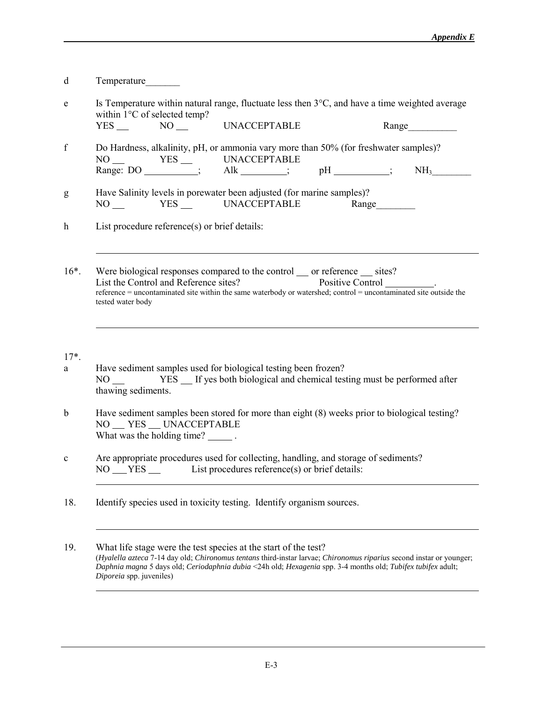| d                | Temperature                                                                                                                                                                                                                                                                        |
|------------------|------------------------------------------------------------------------------------------------------------------------------------------------------------------------------------------------------------------------------------------------------------------------------------|
| ${\rm e}$        | Is Temperature within natural range, fluctuate less then $3^{\circ}C$ , and have a time weighted average<br>within 1°C of selected temp?<br><b>UNACCEPTABLE</b><br>$YES$ $NO$ $-$<br>Range                                                                                         |
| f                | Do Hardness, alkalinity, pH, or ammonia vary more than 50% (for freshwater samples)?<br>NH <sub>3</sub>                                                                                                                                                                            |
| g                | Have Salinity levels in porewater been adjusted (for marine samples)?<br>NO YES UNACCEPTABLE<br>Range                                                                                                                                                                              |
| $\boldsymbol{h}$ | List procedure reference(s) or brief details:                                                                                                                                                                                                                                      |
| $16^*$ .         | Were biological responses compared to the control __ or reference __ sites?<br>List the Control and Reference sites?<br>Positive Control<br>reference = uncontaminated site within the same waterbody or watershed; control = uncontaminated site outside the<br>tested water body |
| $17^*$ .<br>a    | Have sediment samples used for biological testing been frozen?<br>thawing sediments.                                                                                                                                                                                               |
| $\mathbf b$      | Have sediment samples been stored for more than eight (8) weeks prior to biological testing?<br>NO __ YES __ UNACCEPTABLE<br>What was the holding time? _______.                                                                                                                   |
| $\mathbf c$      | Are appropriate procedures used for collecting, handling, and storage of sediments?<br>NO ___ YES ___ List procedures reference(s) or brief details:                                                                                                                               |
| 18.              | Identify species used in toxicity testing. Identify organism sources.                                                                                                                                                                                                              |

19. What life stage were the test species at the start of the test? (*Hyalella azteca* 7-14 day old; *Chironomus tentans* third-instar larvae; *Chironomus riparius* second instar or younger; *Daphnia magna* 5 days old; *Ceriodaphnia dubia* <24h old; *Hexagenia* spp. 3-4 months old; *Tubifex tubifex* adult; *Diporeia* spp. juveniles) l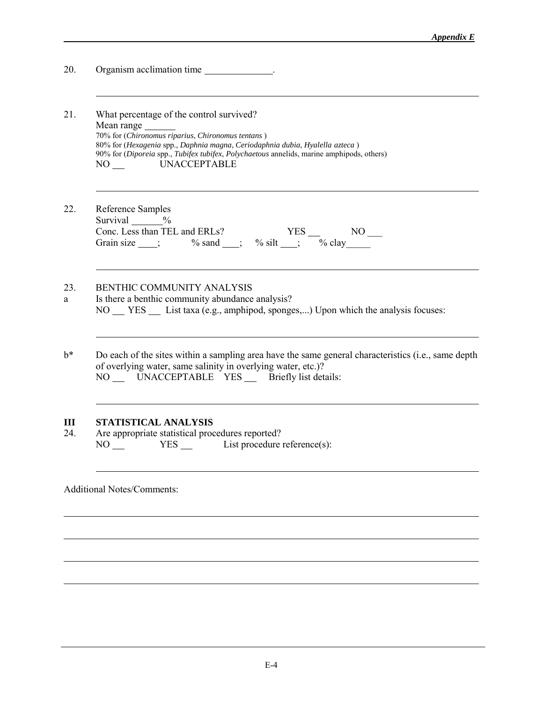| 20.      | Organism acclimation time                                                                                                                                                                                                                                                                                                    |
|----------|------------------------------------------------------------------------------------------------------------------------------------------------------------------------------------------------------------------------------------------------------------------------------------------------------------------------------|
| 21.      | What percentage of the control survived?<br>Mean range<br>70% for (Chironomus riparius, Chironomus tentans)<br>80% for (Hexagenia spp., Daphnia magna, Ceriodaphnia dubia, Hyalella azteca)<br>90% for (Diporeia spp., Tubifex tubifex, Polychaetous annelids, marine amphipods, others)<br><b>UNACCEPTABLE</b><br>$NO_{--}$ |
| 22       | Reference Samples<br>Survival $\frac{\%}{\%}$                                                                                                                                                                                                                                                                                |
| 23.<br>a | BENTHIC COMMUNITY ANALYSIS<br>Is there a benthic community abundance analysis?<br>NO YES List taxa (e.g., amphipod, sponges,) Upon which the analysis focuses:                                                                                                                                                               |
| $b^*$    | Do each of the sites within a sampling area have the same general characteristics (i.e., same depth<br>of overlying water, same salinity in overlying water, etc.)?<br>NO __ UNACCEPTABLE YES __ Briefly list details:                                                                                                       |
| Ш<br>24. | <b>STATISTICAL ANALYSIS</b><br>Are appropriate statistical procedures reported?<br>$NO$ $YES$ List procedure reference(s):                                                                                                                                                                                                   |
|          | <b>Additional Notes/Comments:</b>                                                                                                                                                                                                                                                                                            |

l

l

l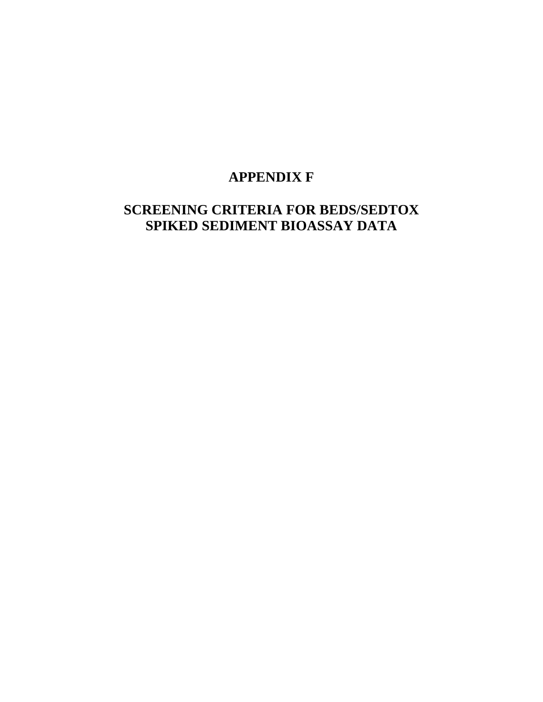# **APPENDIX F**

# **SCREENING CRITERIA FOR BEDS/SEDTOX SPIKED SEDIMENT BIOASSAY DATA**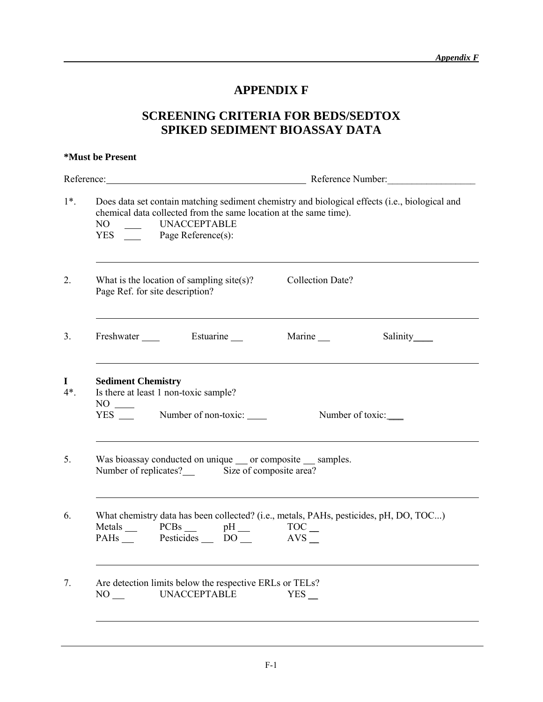## **APPENDIX F**

## **SCREENING CRITERIA FOR BEDS/SEDTOX SPIKED SEDIMENT BIOASSAY DATA**

|                        | *Must be Present                                                                                                                                                                                                    |
|------------------------|---------------------------------------------------------------------------------------------------------------------------------------------------------------------------------------------------------------------|
|                        | Reference: Reference Number:                                                                                                                                                                                        |
| $1^*$ .                | Does data set contain matching sediment chemistry and biological effects (i.e., biological and<br>chemical data collected from the same location at the same time).<br>UNACCEPTABLE<br>NO<br>YES Page Reference(s): |
| 2.                     | What is the location of sampling site(s)?<br><b>Collection Date?</b><br>Page Ref. for site description?                                                                                                             |
| 3.                     | Freshwater Estuarine<br>Marine __                                                                                                                                                                                   |
| $\mathbf I$<br>$4^*$ . | <b>Sediment Chemistry</b><br>Is there at least 1 non-toxic sample?<br>YES ____ Number of non-toxic: _____<br>Number of toxic:                                                                                       |
| 5.                     | Was bioassay conducted on unique __ or composite __ samples.<br>Number of replicates? Size of composite area?                                                                                                       |
| 6.                     | What chemistry data has been collected? (i.e., metals, PAHs, pesticides, pH, DO, TOC)<br>Metals PCBs pH TOC<br>PAHs Pesticides DO<br>AVS                                                                            |
| 7.                     | Are detection limits below the respective ERLs or TELs?<br><b>UNACCEPTABLE</b><br>NO<br>YES                                                                                                                         |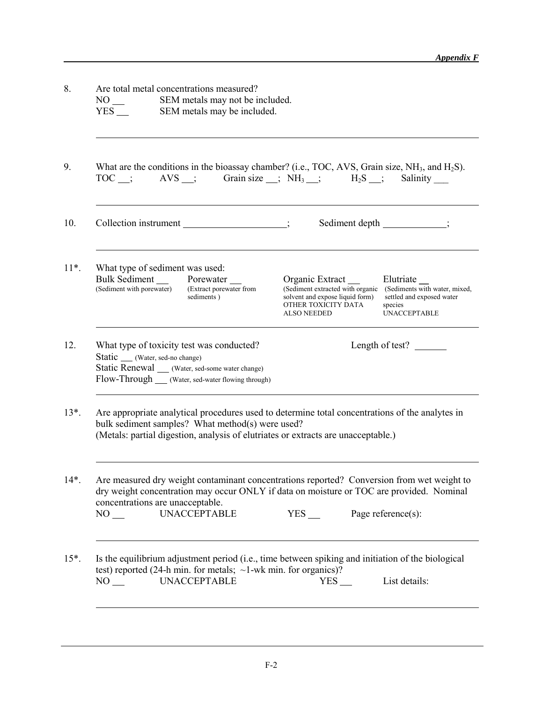| $NO_{--}$<br>$YES$ $\qquad$ | Are total metal concentrations measured?<br>SEM metals may not be included.<br>SEM metals may be included.                                                                                    |                                                                                                                                                                                                                                                      |
|-----------------------------|-----------------------------------------------------------------------------------------------------------------------------------------------------------------------------------------------|------------------------------------------------------------------------------------------------------------------------------------------------------------------------------------------------------------------------------------------------------|
| TOC ;                       |                                                                                                                                                                                               | What are the conditions in the bioassay chamber? (i.e., TOC, AVS, Grain size, $NH3$ , and $H2S$ ).<br>$AVS$ ; Grain size ; $NH_3$ ; $H_2S$ ;<br>Salinity                                                                                             |
|                             | Collection instrument ______________________;                                                                                                                                                 | Sediment depth ____________;                                                                                                                                                                                                                         |
|                             | What type of sediment was used:<br>Bulk Sediment Porewater<br>(Sediment with porewater) Extract porewater f<br>(Extract porewater from<br>sediments)                                          | Organic Extract ___<br>Elutriate __<br>(Sediment extracted with organic (Sediments with water, mixed,<br>solvent and expose liquid form)<br>settled and exposed water<br>OTHER TOXICITY DATA<br>species<br><b>UNACCEPTABLE</b><br><b>ALSO NEEDED</b> |
|                             | What type of toxicity test was conducted?<br>Static ____ (Water, sed-no change)<br>Static Renewal ____ (Water, sed-some water change)<br>Flow-Through ____ (Water, sed-water flowing through) | Length of test?                                                                                                                                                                                                                                      |
|                             | bulk sediment samples? What method(s) were used?<br>(Metals: partial digestion, analysis of elutriates or extracts are unacceptable.)                                                         | Are appropriate analytical procedures used to determine total concentrations of the analytes in                                                                                                                                                      |
| NO <sub>1</sub>             | concentrations are unacceptable.<br><b>UNACCEPTABLE</b>                                                                                                                                       | Are measured dry weight contaminant concentrations reported? Conversion from wet weight to<br>dry weight concentration may occur ONLY if data on moisture or TOC are provided. Nominal<br>$YES$ Page reference(s):                                   |
| $NO_{--}$                   | test) reported (24-h min. for metals; $\sim$ 1-wk min. for organics)?<br><b>UNACCEPTABLE</b>                                                                                                  | Is the equilibrium adjustment period (i.e., time between spiking and initiation of the biological<br>List details:<br>$YES$ <sub><math>-</math></sub>                                                                                                |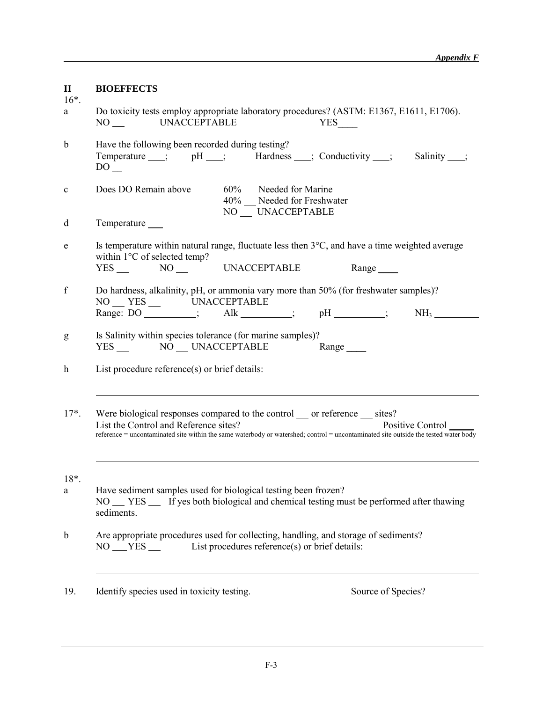| $\mathbf{I}$<br>$16*$ . | <b>BIOEFFECTS</b>                                                                                                                                                                                                                                                               |
|-------------------------|---------------------------------------------------------------------------------------------------------------------------------------------------------------------------------------------------------------------------------------------------------------------------------|
| a                       | Do toxicity tests employ appropriate laboratory procedures? (ASTM: E1367, E1611, E1706).<br>NO UNACCEPTABLE<br>YES                                                                                                                                                              |
| $\mathbf b$             | Have the following been recorded during testing?<br>Temperature __; pH __; Hardness __; Conductivity __; Salinity __;<br>$DO$ <sub>—</sub>                                                                                                                                      |
| $\mathbf c$             | Does DO Remain above<br>60% Needed for Marine<br>40% Needed for Freshwater<br>NO __ UNACCEPTABLE                                                                                                                                                                                |
| d                       | Temperature _____                                                                                                                                                                                                                                                               |
| e                       | Is temperature within natural range, fluctuate less then 3°C, and have a time weighted average<br>within 1°C of selected temp?<br>YES NO UNACCEPTABLE<br>Range                                                                                                                  |
| f                       | Do hardness, alkalinity, pH, or ammonia vary more than 50% (for freshwater samples)?<br>NO __ YES __ UNACCEPTABLE<br>Range: DO ________; Alk ______; pH ______; NH <sub>3</sub> _______                                                                                         |
| g                       | Is Salinity within species tolerance (for marine samples)?<br>YES __ NO __ UNACCEPTABLE<br>Range                                                                                                                                                                                |
| h                       | List procedure reference(s) or brief details:                                                                                                                                                                                                                                   |
| $17^*$ .                | Were biological responses compared to the control __ or reference __ sites?<br>List the Control and Reference sites?<br>Positive Control<br>reference = uncontaminated site within the same waterbody or watershed; control = uncontaminated site outside the tested water body |
| $18*$<br>a              | Have sediment samples used for biological testing been frozen?<br>NO __ YES __ If yes both biological and chemical testing must be performed after thawing<br>sediments.                                                                                                        |
| $\mathbf b$             | Are appropriate procedures used for collecting, handling, and storage of sediments?<br>List procedures reference(s) or brief details:<br>$NO \_\ YES \_\_$                                                                                                                      |
| 19.                     | Identify species used in toxicity testing.<br>Source of Species?                                                                                                                                                                                                                |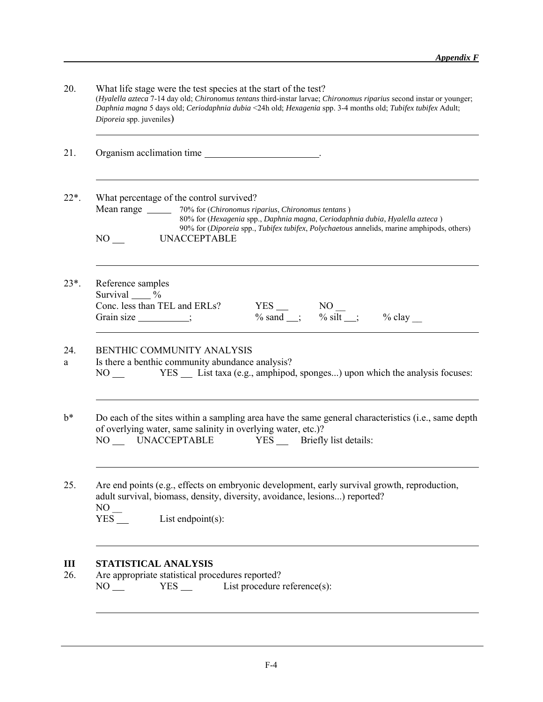| 20.      | What life stage were the test species at the start of the test?<br>(Hyalella azteca 7-14 day old; Chironomus tentans third-instar larvae; Chironomus riparius second instar or younger;<br>Daphnia magna 5 days old; Ceriodaphnia dubia <24h old; Hexagenia spp. 3-4 months old; Tubifex tubifex Adult;<br>Diporeia spp. juveniles) |
|----------|-------------------------------------------------------------------------------------------------------------------------------------------------------------------------------------------------------------------------------------------------------------------------------------------------------------------------------------|
| 21.      |                                                                                                                                                                                                                                                                                                                                     |
| $22*.$   | What percentage of the control survived?<br>Mean range _______ 70% for (Chironomus riparius, Chironomus tentans)<br>80% for (Hexagenia spp., Daphnia magna, Ceriodaphnia dubia, Hyalella azteca)<br>90% for (Diporeia spp., Tubifex tubifex, Polychaetous annelids, marine amphipods, others)<br>NO<br><b>UNACCEPTABLE</b>          |
| $23*$ .  | Reference samples<br>Survival $\frac{9}{6}$<br>Conc. less than TEL and ERLs?<br>YES NO<br>$\frac{\text{NO}}{\% \text{ sand}}$ $\frac{\text{NO}}{\% \text{ slit}}$ $\frac{\% \text{ clay}}{\% \text{ day}}$<br>Grain size _________;                                                                                                 |
| 24.<br>a | <b>BENTHIC COMMUNITY ANALYSIS</b><br>Is there a benthic community abundance analysis?<br>YES __ List taxa (e.g., amphipod, sponges) upon which the analysis focuses:<br>NO <sub>1</sub>                                                                                                                                             |
| $b^*$    | Do each of the sites within a sampling area have the same general characteristics (i.e., same depth<br>of overlying water, same salinity in overlying water, etc.)?<br>NO UNACCEPTABLE YES Briefly list details:                                                                                                                    |
| 25.      | Are end points (e.g., effects on embryonic development, early survival growth, reproduction,<br>adult survival, biomass, density, diversity, avoidance, lesions) reported?<br>NO<br>List endpoint $(s)$ :<br>$YES$ <sub><math>-</math></sub>                                                                                        |
| Ш<br>26. | STATISTICAL ANALYSIS<br>Are appropriate statistical procedures reported?<br>List procedure reference(s):<br>$YES$ $\qquad$<br>$NO_{--}$                                                                                                                                                                                             |

l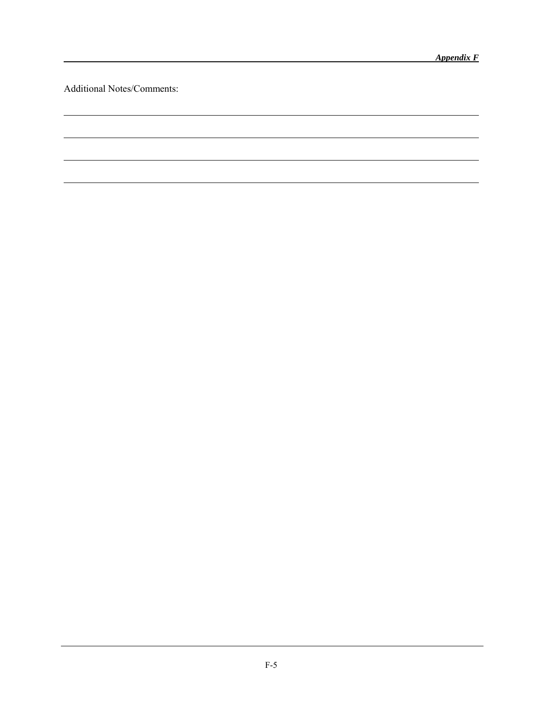l

l

l

Additional Notes/Comments:

l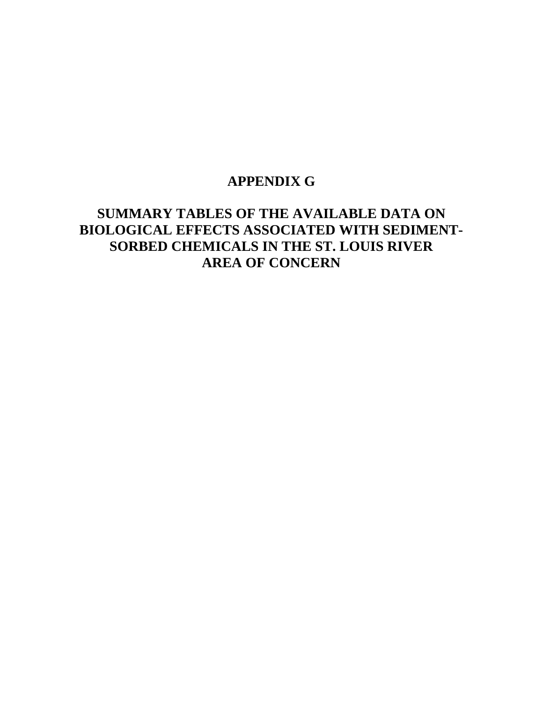# **APPENDIX G**

# **SUMMARY TABLES OF THE AVAILABLE DATA ON BIOLOGICAL EFFECTS ASSOCIATED WITH SEDIMENT-SORBED CHEMICALS IN THE ST. LOUIS RIVER AREA OF CONCERN**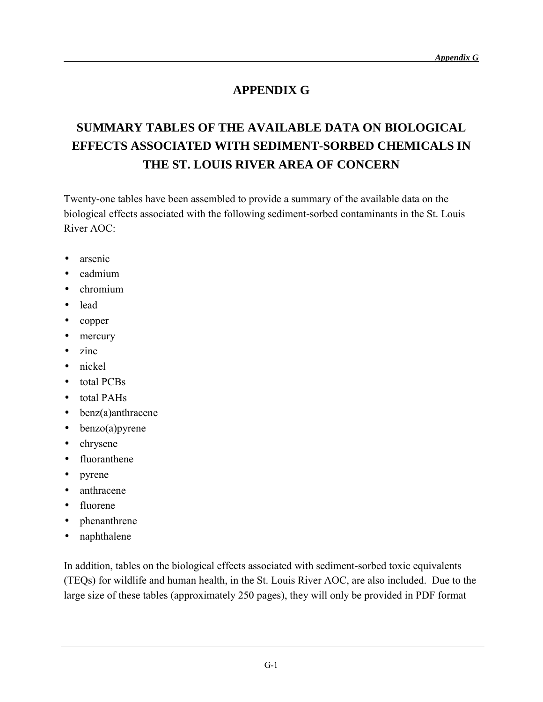## **APPENDIX G**

# **SUMMARY TABLES OF THE AVAILABLE DATA ON BIOLOGICAL EFFECTS ASSOCIATED WITH SEDIMENT-SORBED CHEMICALS IN THE ST. LOUIS RIVER AREA OF CONCERN**

Twenty-one tables have been assembled to provide a summary of the available data on the biological effects associated with the following sediment-sorbed contaminants in the St. Louis River AOC:

- arsenic
- cadmium
- chromium
- lead
- copper
- mercury
- zinc
- nickel
- total PCBs
- total PAHs
- benz(a)anthracene
- $\bullet$  benzo(a) pyrene
- chrysene
- fluoranthene
- pyrene
- anthracene
- fluorene
- phenanthrene
- naphthalene

In addition, tables on the biological effects associated with sediment-sorbed toxic equivalents (TEQs) for wildlife and human health, in the St. Louis River AOC, are also included. Due to the large size of these tables (approximately 250 pages), they will only be provided in PDF format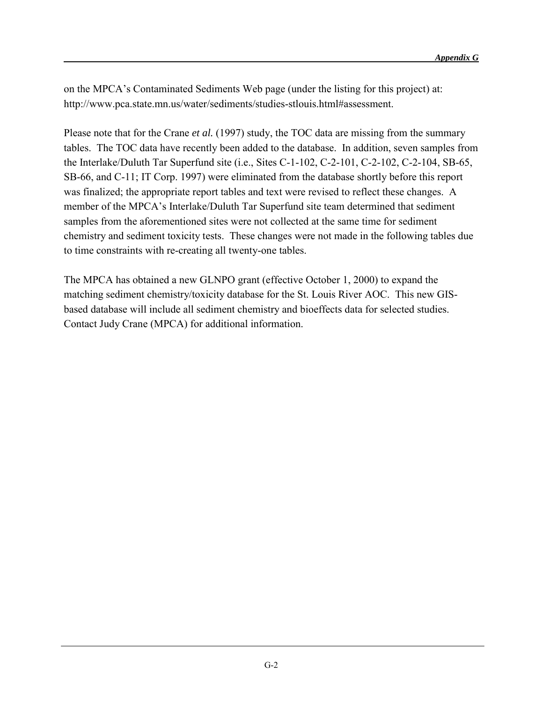on the MPCA's Contaminated Sediments Web page (under the listing for this project) at: http://www.pca.state.mn.us/water/sediments/studies-stlouis.html#assessment.

Please note that for the Crane *et al.* (1997) study, the TOC data are missing from the summary tables. The TOC data have recently been added to the database. In addition, seven samples from the Interlake/Duluth Tar Superfund site (i.e., Sites C-1-102, C-2-101, C-2-102, C-2-104, SB-65, SB-66, and C-11; IT Corp. 1997) were eliminated from the database shortly before this report was finalized; the appropriate report tables and text were revised to reflect these changes. A member of the MPCA's Interlake/Duluth Tar Superfund site team determined that sediment samples from the aforementioned sites were not collected at the same time for sediment chemistry and sediment toxicity tests. These changes were not made in the following tables due to time constraints with re-creating all twenty-one tables.

The MPCA has obtained a new GLNPO grant (effective October 1, 2000) to expand the matching sediment chemistry/toxicity database for the St. Louis River AOC. This new GISbased database will include all sediment chemistry and bioeffects data for selected studies. Contact Judy Crane (MPCA) for additional information.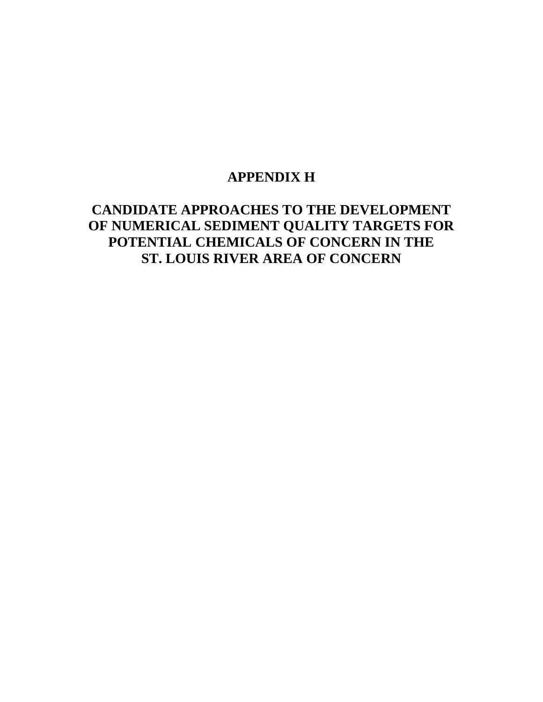# **APPENDIX H**

# **CANDIDATE APPROACHES TO THE DEVELOPMENT OF NUMERICAL SEDIMENT QUALITY TARGETS FOR POTENTIAL CHEMICALS OF CONCERN IN THE ST. LOUIS RIVER AREA OF CONCERN**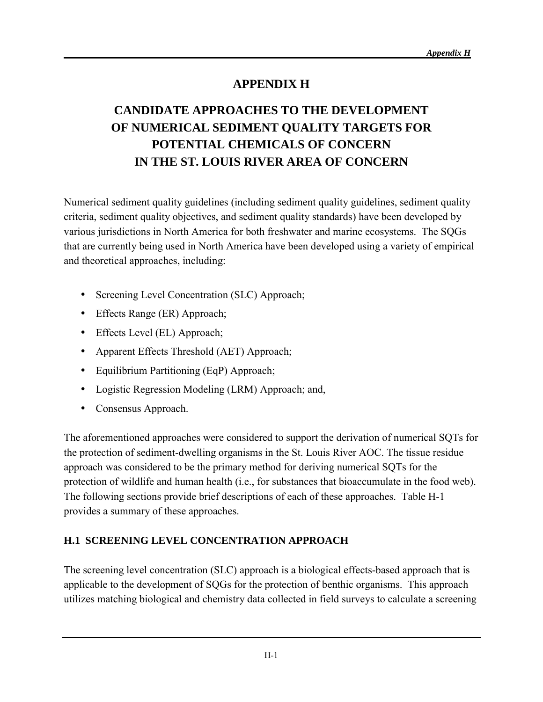## **APPENDIX H**

# **CANDIDATE APPROACHES TO THE DEVELOPMENT OF NUMERICAL SEDIMENT QUALITY TARGETS FOR POTENTIAL CHEMICALS OF CONCERN IN THE ST. LOUIS RIVER AREA OF CONCERN**

Numerical sediment quality guidelines (including sediment quality guidelines, sediment quality criteria, sediment quality objectives, and sediment quality standards) have been developed by various jurisdictions in North America for both freshwater and marine ecosystems. The SQGs that are currently being used in North America have been developed using a variety of empirical and theoretical approaches, including:

- Screening Level Concentration (SLC) Approach;
- Effects Range (ER) Approach;
- Effects Level (EL) Approach;
- Apparent Effects Threshold (AET) Approach;
- Equilibrium Partitioning (EqP) Approach;
- Logistic Regression Modeling (LRM) Approach; and,
- Consensus Approach.

The aforementioned approaches were considered to support the derivation of numerical SQTs for the protection of sediment-dwelling organisms in the St. Louis River AOC. The tissue residue approach was considered to be the primary method for deriving numerical SQTs for the protection of wildlife and human health (i.e., for substances that bioaccumulate in the food web). The following sections provide brief descriptions of each of these approaches. Table H-1 provides a summary of these approaches.

## **H.1 SCREENING LEVEL CONCENTRATION APPROACH**

The screening level concentration (SLC) approach is a biological effects-based approach that is applicable to the development of SQGs for the protection of benthic organisms. This approach utilizes matching biological and chemistry data collected in field surveys to calculate a screening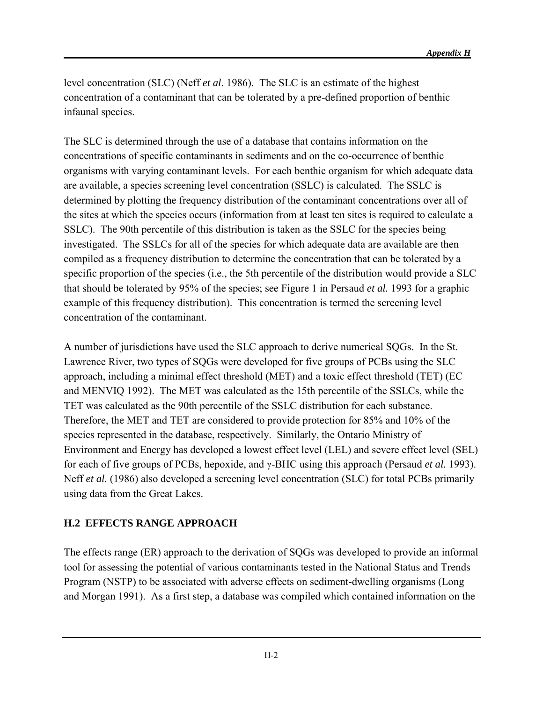level concentration (SLC) (Neff *et al*. 1986). The SLC is an estimate of the highest concentration of a contaminant that can be tolerated by a pre-defined proportion of benthic infaunal species.

The SLC is determined through the use of a database that contains information on the concentrations of specific contaminants in sediments and on the co-occurrence of benthic organisms with varying contaminant levels. For each benthic organism for which adequate data are available, a species screening level concentration (SSLC) is calculated. The SSLC is determined by plotting the frequency distribution of the contaminant concentrations over all of the sites at which the species occurs (information from at least ten sites is required to calculate a SSLC). The 90th percentile of this distribution is taken as the SSLC for the species being investigated. The SSLCs for all of the species for which adequate data are available are then compiled as a frequency distribution to determine the concentration that can be tolerated by a specific proportion of the species (i.e., the 5th percentile of the distribution would provide a SLC that should be tolerated by 95% of the species; see Figure 1 in Persaud *et al.* 1993 for a graphic example of this frequency distribution). This concentration is termed the screening level concentration of the contaminant.

A number of jurisdictions have used the SLC approach to derive numerical SQGs. In the St. Lawrence River, two types of SQGs were developed for five groups of PCBs using the SLC approach, including a minimal effect threshold (MET) and a toxic effect threshold (TET) (EC and MENVIQ 1992). The MET was calculated as the 15th percentile of the SSLCs, while the TET was calculated as the 90th percentile of the SSLC distribution for each substance. Therefore, the MET and TET are considered to provide protection for 85% and 10% of the species represented in the database, respectively. Similarly, the Ontario Ministry of Environment and Energy has developed a lowest effect level (LEL) and severe effect level (SEL) for each of five groups of PCBs, hepoxide, and γ-BHC using this approach (Persaud *et al.* 1993). Neff *et al.* (1986) also developed a screening level concentration (SLC) for total PCBs primarily using data from the Great Lakes.

## **H.2 EFFECTS RANGE APPROACH**

The effects range (ER) approach to the derivation of SQGs was developed to provide an informal tool for assessing the potential of various contaminants tested in the National Status and Trends Program (NSTP) to be associated with adverse effects on sediment-dwelling organisms (Long and Morgan 1991). As a first step, a database was compiled which contained information on the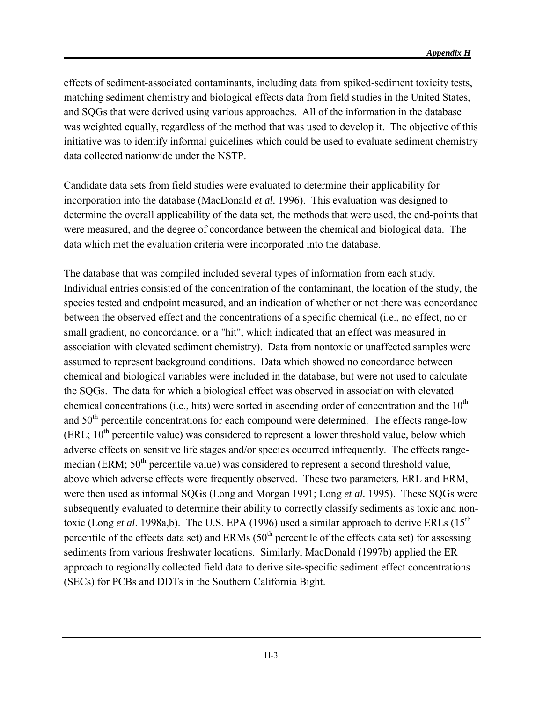effects of sediment-associated contaminants, including data from spiked-sediment toxicity tests, matching sediment chemistry and biological effects data from field studies in the United States, and SQGs that were derived using various approaches. All of the information in the database was weighted equally, regardless of the method that was used to develop it. The objective of this initiative was to identify informal guidelines which could be used to evaluate sediment chemistry data collected nationwide under the NSTP.

Candidate data sets from field studies were evaluated to determine their applicability for incorporation into the database (MacDonald *et al.* 1996). This evaluation was designed to determine the overall applicability of the data set, the methods that were used, the end-points that were measured, and the degree of concordance between the chemical and biological data. The data which met the evaluation criteria were incorporated into the database.

The database that was compiled included several types of information from each study. Individual entries consisted of the concentration of the contaminant, the location of the study, the species tested and endpoint measured, and an indication of whether or not there was concordance between the observed effect and the concentrations of a specific chemical (i.e., no effect, no or small gradient, no concordance, or a "hit", which indicated that an effect was measured in association with elevated sediment chemistry). Data from nontoxic or unaffected samples were assumed to represent background conditions. Data which showed no concordance between chemical and biological variables were included in the database, but were not used to calculate the SQGs. The data for which a biological effect was observed in association with elevated chemical concentrations (i.e., hits) were sorted in ascending order of concentration and the  $10<sup>th</sup>$ and  $50<sup>th</sup>$  percentile concentrations for each compound were determined. The effects range-low (ERL;  $10^{th}$  percentile value) was considered to represent a lower threshold value, below which adverse effects on sensitive life stages and/or species occurred infrequently. The effects rangemedian (ERM; 50<sup>th</sup> percentile value) was considered to represent a second threshold value, above which adverse effects were frequently observed. These two parameters, ERL and ERM, were then used as informal SQGs (Long and Morgan 1991; Long *et al.* 1995). These SQGs were subsequently evaluated to determine their ability to correctly classify sediments as toxic and nontoxic (Long *et al.* 1998a,b). The U.S. EPA (1996) used a similar approach to derive ERLs (15<sup>th</sup>) percentile of the effects data set) and ERMs  $(50<sup>th</sup>$  percentile of the effects data set) for assessing sediments from various freshwater locations. Similarly, MacDonald (1997b) applied the ER approach to regionally collected field data to derive site-specific sediment effect concentrations (SECs) for PCBs and DDTs in the Southern California Bight.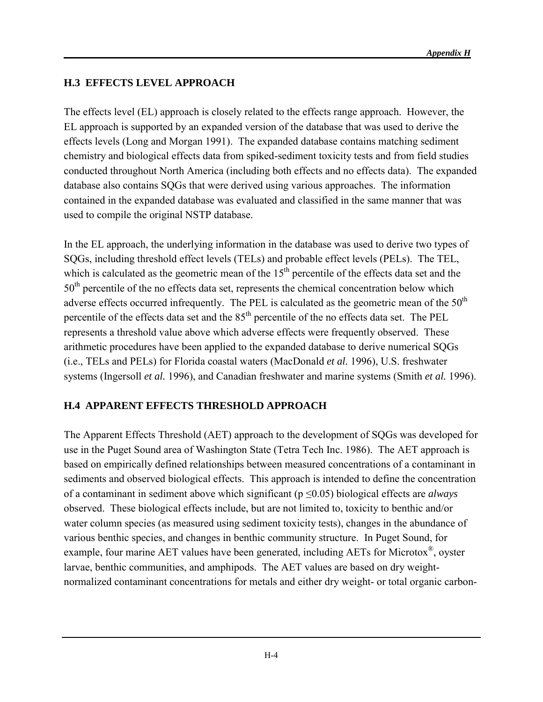## **H.3 EFFECTS LEVEL APPROACH**

The effects level (EL) approach is closely related to the effects range approach. However, the EL approach is supported by an expanded version of the database that was used to derive the effects levels (Long and Morgan 1991). The expanded database contains matching sediment chemistry and biological effects data from spiked-sediment toxicity tests and from field studies conducted throughout North America (including both effects and no effects data). The expanded database also contains SQGs that were derived using various approaches. The information contained in the expanded database was evaluated and classified in the same manner that was used to compile the original NSTP database.

In the EL approach, the underlying information in the database was used to derive two types of SQGs, including threshold effect levels (TELs) and probable effect levels (PELs). The TEL, which is calculated as the geometric mean of the  $15<sup>th</sup>$  percentile of the effects data set and the 50<sup>th</sup> percentile of the no effects data set, represents the chemical concentration below which adverse effects occurred infrequently. The PEL is calculated as the geometric mean of the  $50<sup>th</sup>$ percentile of the effects data set and the  $85<sup>th</sup>$  percentile of the no effects data set. The PEL represents a threshold value above which adverse effects were frequently observed. These arithmetic procedures have been applied to the expanded database to derive numerical SQGs (i.e., TELs and PELs) for Florida coastal waters (MacDonald *et al.* 1996), U.S. freshwater systems (Ingersoll *et al.* 1996), and Canadian freshwater and marine systems (Smith *et al.* 1996).

## **H.4 APPARENT EFFECTS THRESHOLD APPROACH**

The Apparent Effects Threshold (AET) approach to the development of SQGs was developed for use in the Puget Sound area of Washington State (Tetra Tech Inc. 1986). The AET approach is based on empirically defined relationships between measured concentrations of a contaminant in sediments and observed biological effects. This approach is intended to define the concentration of a contaminant in sediment above which significant (p ≤0.05) biological effects are *always* observed. These biological effects include, but are not limited to, toxicity to benthic and/or water column species (as measured using sediment toxicity tests), changes in the abundance of various benthic species, and changes in benthic community structure. In Puget Sound, for example, four marine AET values have been generated, including AETs for Microtox®, oyster larvae, benthic communities, and amphipods. The AET values are based on dry weightnormalized contaminant concentrations for metals and either dry weight- or total organic carbon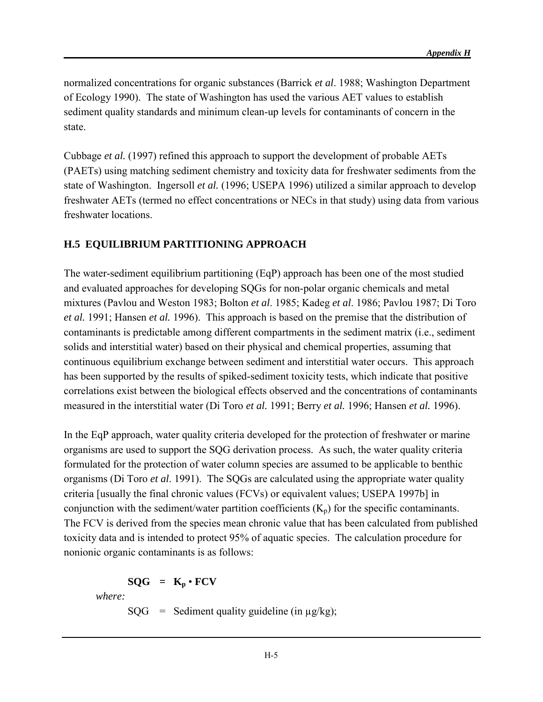normalized concentrations for organic substances (Barrick *et al*. 1988; Washington Department of Ecology 1990). The state of Washington has used the various AET values to establish sediment quality standards and minimum clean-up levels for contaminants of concern in the state.

Cubbage *et al.* (1997) refined this approach to support the development of probable AETs (PAETs) using matching sediment chemistry and toxicity data for freshwater sediments from the state of Washington.Ingersoll *et al.* (1996; USEPA 1996) utilized a similar approach to develop freshwater AETs (termed no effect concentrations or NECs in that study) using data from various freshwater locations.

## **H.5 EQUILIBRIUM PARTITIONING APPROACH**

The water-sediment equilibrium partitioning (EqP) approach has been one of the most studied and evaluated approaches for developing SQGs for non-polar organic chemicals and metal mixtures (Pavlou and Weston 1983; Bolton *et al*. 1985; Kadeg *et al*. 1986; Pavlou 1987; Di Toro *et al.* 1991; Hansen *et al.* 1996). This approach is based on the premise that the distribution of contaminants is predictable among different compartments in the sediment matrix (i.e., sediment solids and interstitial water) based on their physical and chemical properties, assuming that continuous equilibrium exchange between sediment and interstitial water occurs. This approach has been supported by the results of spiked-sediment toxicity tests, which indicate that positive correlations exist between the biological effects observed and the concentrations of contaminants measured in the interstitial water (Di Toro *et al.* 1991; Berry *et al.* 1996; Hansen *et al.* 1996).

In the EqP approach, water quality criteria developed for the protection of freshwater or marine organisms are used to support the SQG derivation process. As such, the water quality criteria formulated for the protection of water column species are assumed to be applicable to benthic organisms (Di Toro *et al*. 1991). The SQGs are calculated using the appropriate water quality criteria [usually the final chronic values (FCVs) or equivalent values; USEPA 1997b] in conjunction with the sediment/water partition coefficients  $(K_p)$  for the specific contaminants. The FCV is derived from the species mean chronic value that has been calculated from published toxicity data and is intended to protect 95% of aquatic species. The calculation procedure for nonionic organic contaminants is as follows:

## $SOG = K_n \cdot FCV$

*where:*

 $SQG =$  Sediment quality guideline (in  $\mu$ g/kg);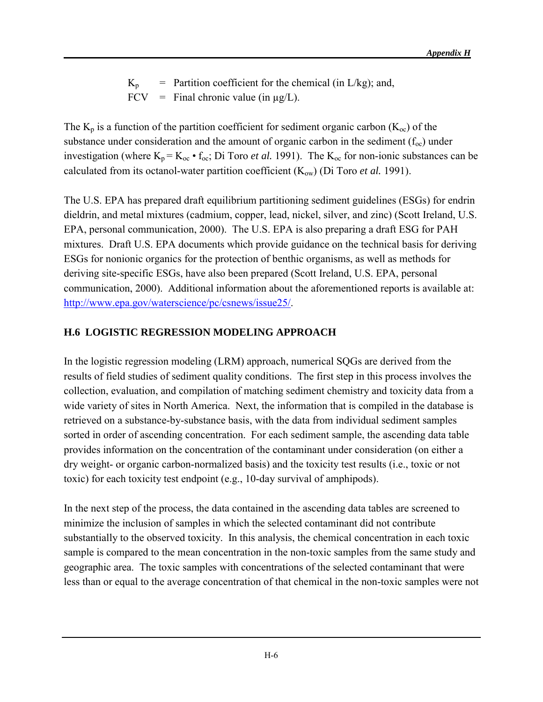$K_p$  = Partition coefficient for the chemical (in L/kg); and, FCV = Final chronic value (in  $\mu$ g/L).

The  $K_p$  is a function of the partition coefficient for sediment organic carbon  $(K_{\text{oc}})$  of the substance under consideration and the amount of organic carbon in the sediment  $(f_{oc})$  under investigation (where  $K_p = K_{oc} \cdot f_{oc}$ ; Di Toro *et al.* 1991). The  $K_{oc}$  for non-ionic substances can be calculated from its octanol-water partition coefficient  $(K_{ow})$  (Di Toro *et al.* 1991).

The U.S. EPA has prepared draft equilibrium partitioning sediment guidelines (ESGs) for endrin dieldrin, and metal mixtures (cadmium, copper, lead, nickel, silver, and zinc) (Scott Ireland, U.S. EPA, personal communication, 2000). The U.S. EPA is also preparing a draft ESG for PAH mixtures. Draft U.S. EPA documents which provide guidance on the technical basis for deriving ESGs for nonionic organics for the protection of benthic organisms, as well as methods for deriving site-specific ESGs, have also been prepared (Scott Ireland, U.S. EPA, personal communication, 2000). Additional information about the aforementioned reports is available at: [http://www.epa.gov/waterscience/pc/csnews/issue25/.](http://www.epa.gov/waterscience/pc/csnews/issue25/)

## **H.6 LOGISTIC REGRESSION MODELING APPROACH**

In the logistic regression modeling (LRM) approach, numerical SQGs are derived from the results of field studies of sediment quality conditions. The first step in this process involves the collection, evaluation, and compilation of matching sediment chemistry and toxicity data from a wide variety of sites in North America. Next, the information that is compiled in the database is retrieved on a substance-by-substance basis, with the data from individual sediment samples sorted in order of ascending concentration. For each sediment sample, the ascending data table provides information on the concentration of the contaminant under consideration (on either a dry weight- or organic carbon-normalized basis) and the toxicity test results (i.e., toxic or not toxic) for each toxicity test endpoint (e.g., 10-day survival of amphipods).

In the next step of the process, the data contained in the ascending data tables are screened to minimize the inclusion of samples in which the selected contaminant did not contribute substantially to the observed toxicity. In this analysis, the chemical concentration in each toxic sample is compared to the mean concentration in the non-toxic samples from the same study and geographic area. The toxic samples with concentrations of the selected contaminant that were less than or equal to the average concentration of that chemical in the non-toxic samples were not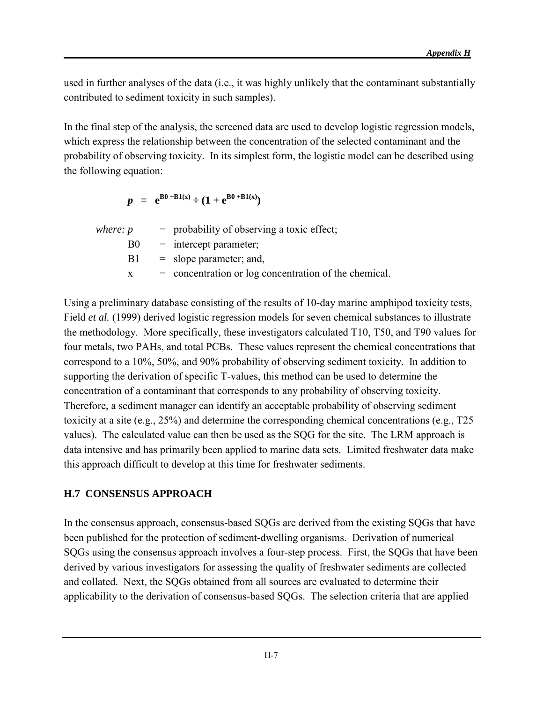used in further analyses of the data (i.e., it was highly unlikely that the contaminant substantially contributed to sediment toxicity in such samples).

In the final step of the analysis, the screened data are used to develop logistic regression models, which express the relationship between the concentration of the selected contaminant and the probability of observing toxicity. In its simplest form, the logistic model can be described using the following equation:

$$
p = e^{B0 + B1(x)} \div (1 + e^{B0 + B1(x)})
$$

|                | $=$ probability of observing a toxic effect;            |
|----------------|---------------------------------------------------------|
| B <sub>0</sub> | $=$ intercept parameter;                                |
| B1.            | $=$ slope parameter; and,                               |
|                | $=$ concentration or log concentration of the chemical. |
|                |                                                         |

Using a preliminary database consisting of the results of 10-day marine amphipod toxicity tests, Field *et al.* (1999) derived logistic regression models for seven chemical substances to illustrate the methodology. More specifically, these investigators calculated T10, T50, and T90 values for four metals, two PAHs, and total PCBs. These values represent the chemical concentrations that correspond to a 10%, 50%, and 90% probability of observing sediment toxicity. In addition to supporting the derivation of specific T-values, this method can be used to determine the concentration of a contaminant that corresponds to any probability of observing toxicity. Therefore, a sediment manager can identify an acceptable probability of observing sediment toxicity at a site (e.g., 25%) and determine the corresponding chemical concentrations (e.g., T25 values). The calculated value can then be used as the SQG for the site. The LRM approach is data intensive and has primarily been applied to marine data sets. Limited freshwater data make this approach difficult to develop at this time for freshwater sediments.

#### **H.7 CONSENSUS APPROACH**

In the consensus approach, consensus-based SQGs are derived from the existing SQGs that have been published for the protection of sediment-dwelling organisms. Derivation of numerical SQGs using the consensus approach involves a four-step process. First, the SQGs that have been derived by various investigators for assessing the quality of freshwater sediments are collected and collated. Next, the SQGs obtained from all sources are evaluated to determine their applicability to the derivation of consensus-based SQGs. The selection criteria that are applied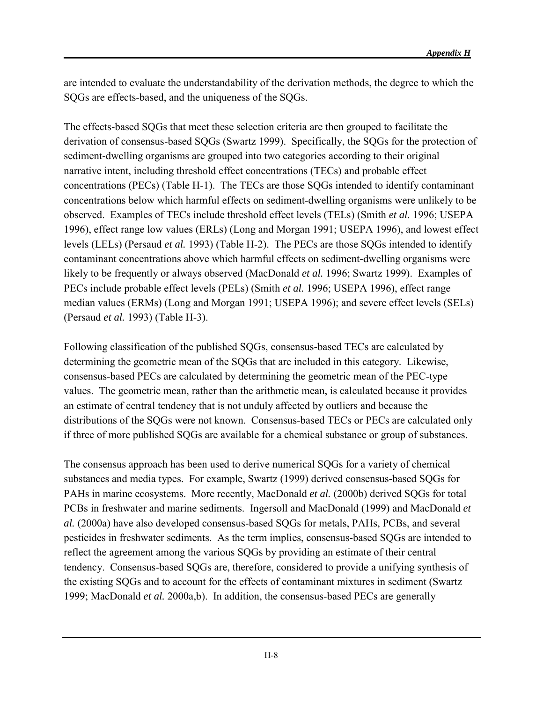are intended to evaluate the understandability of the derivation methods, the degree to which the SQGs are effects-based, and the uniqueness of the SQGs.

The effects-based SQGs that meet these selection criteria are then grouped to facilitate the derivation of consensus-based SQGs (Swartz 1999). Specifically, the SQGs for the protection of sediment-dwelling organisms are grouped into two categories according to their original narrative intent, including threshold effect concentrations (TECs) and probable effect concentrations (PECs) (Table H-1). The TECs are those SQGs intended to identify contaminant concentrations below which harmful effects on sediment-dwelling organisms were unlikely to be observed. Examples of TECs include threshold effect levels (TELs) (Smith *et al.* 1996; USEPA 1996), effect range low values (ERLs) (Long and Morgan 1991; USEPA 1996), and lowest effect levels (LELs) (Persaud *et al.* 1993) (Table H-2). The PECs are those SQGs intended to identify contaminant concentrations above which harmful effects on sediment-dwelling organisms were likely to be frequently or always observed (MacDonald *et al.* 1996; Swartz 1999). Examples of PECs include probable effect levels (PELs) (Smith *et al.* 1996; USEPA 1996), effect range median values (ERMs) (Long and Morgan 1991; USEPA 1996); and severe effect levels (SELs) (Persaud *et al.* 1993) (Table H-3).

Following classification of the published SQGs, consensus-based TECs are calculated by determining the geometric mean of the SQGs that are included in this category. Likewise, consensus-based PECs are calculated by determining the geometric mean of the PEC-type values. The geometric mean, rather than the arithmetic mean, is calculated because it provides an estimate of central tendency that is not unduly affected by outliers and because the distributions of the SQGs were not known. Consensus-based TECs or PECs are calculated only if three of more published SQGs are available for a chemical substance or group of substances.

The consensus approach has been used to derive numerical SQGs for a variety of chemical substances and media types. For example, Swartz (1999) derived consensus-based SQGs for PAHs in marine ecosystems. More recently, MacDonald *et al.* (2000b) derived SQGs for total PCBs in freshwater and marine sediments. Ingersoll and MacDonald (1999) and MacDonald *et al.* (2000a) have also developed consensus-based SQGs for metals, PAHs, PCBs, and several pesticides in freshwater sediments. As the term implies, consensus-based SQGs are intended to reflect the agreement among the various SQGs by providing an estimate of their central tendency. Consensus-based SQGs are, therefore, considered to provide a unifying synthesis of the existing SQGs and to account for the effects of contaminant mixtures in sediment (Swartz 1999; MacDonald *et al.* 2000a,b). In addition, the consensus-based PECs are generally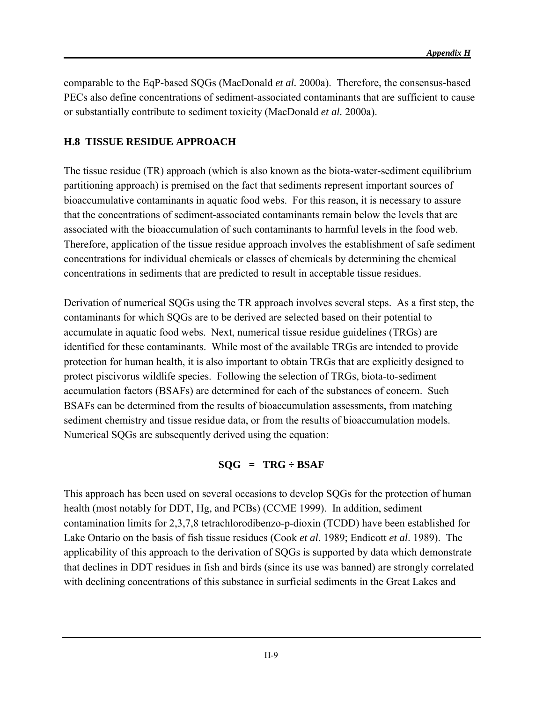comparable to the EqP-based SQGs (MacDonald *et al.* 2000a). Therefore, the consensus-based PECs also define concentrations of sediment-associated contaminants that are sufficient to cause or substantially contribute to sediment toxicity (MacDonald *et al.* 2000a).

## **H.8 TISSUE RESIDUE APPROACH**

The tissue residue (TR) approach (which is also known as the biota-water-sediment equilibrium partitioning approach) is premised on the fact that sediments represent important sources of bioaccumulative contaminants in aquatic food webs. For this reason, it is necessary to assure that the concentrations of sediment-associated contaminants remain below the levels that are associated with the bioaccumulation of such contaminants to harmful levels in the food web. Therefore, application of the tissue residue approach involves the establishment of safe sediment concentrations for individual chemicals or classes of chemicals by determining the chemical concentrations in sediments that are predicted to result in acceptable tissue residues.

Derivation of numerical SQGs using the TR approach involves several steps. As a first step, the contaminants for which SQGs are to be derived are selected based on their potential to accumulate in aquatic food webs. Next, numerical tissue residue guidelines (TRGs) are identified for these contaminants. While most of the available TRGs are intended to provide protection for human health, it is also important to obtain TRGs that are explicitly designed to protect piscivorus wildlife species. Following the selection of TRGs, biota-to-sediment accumulation factors (BSAFs) are determined for each of the substances of concern. Such BSAFs can be determined from the results of bioaccumulation assessments, from matching sediment chemistry and tissue residue data, or from the results of bioaccumulation models. Numerical SQGs are subsequently derived using the equation:

#### **SQG = TRG ÷ BSAF**

This approach has been used on several occasions to develop SQGs for the protection of human health (most notably for DDT, Hg, and PCBs) (CCME 1999). In addition, sediment contamination limits for 2,3,7,8 tetrachlorodibenzo-p-dioxin (TCDD) have been established for Lake Ontario on the basis of fish tissue residues (Cook *et al*. 1989; Endicott *et al*. 1989). The applicability of this approach to the derivation of SQGs is supported by data which demonstrate that declines in DDT residues in fish and birds (since its use was banned) are strongly correlated with declining concentrations of this substance in surficial sediments in the Great Lakes and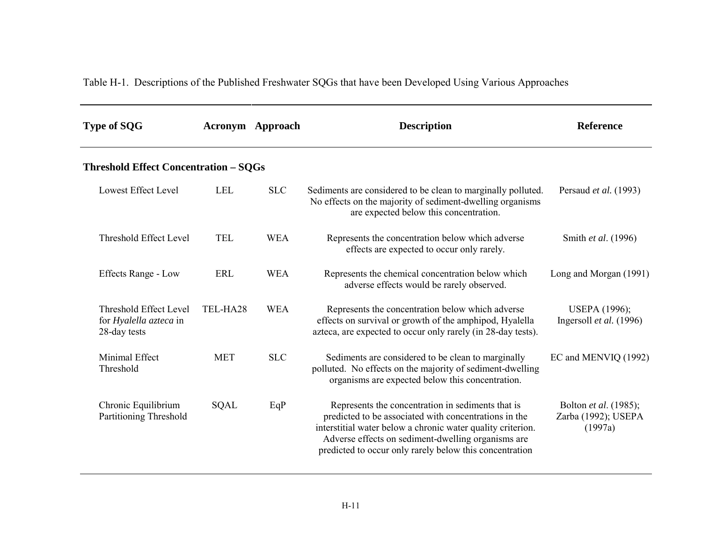Table H-1. Descriptions of the Published Freshwater SQGs that have been Developed Using Various Approaches

| <b>Type of SQG</b>                                                      |             | <b>Acronym</b> Approach | <b>Description</b>                                                                                                                                                                                                                                                                         | <b>Reference</b>                                               |
|-------------------------------------------------------------------------|-------------|-------------------------|--------------------------------------------------------------------------------------------------------------------------------------------------------------------------------------------------------------------------------------------------------------------------------------------|----------------------------------------------------------------|
| <b>Threshold Effect Concentration - SQGs</b>                            |             |                         |                                                                                                                                                                                                                                                                                            |                                                                |
| <b>Lowest Effect Level</b>                                              | LEL         | <b>SLC</b>              | Sediments are considered to be clean to marginally polluted.<br>No effects on the majority of sediment-dwelling organisms<br>are expected below this concentration.                                                                                                                        | Persaud et al. (1993)                                          |
| Threshold Effect Level                                                  | <b>TEL</b>  | <b>WEA</b>              | Represents the concentration below which adverse<br>effects are expected to occur only rarely.                                                                                                                                                                                             | Smith et al. (1996)                                            |
| <b>Effects Range - Low</b>                                              | <b>ERL</b>  | <b>WEA</b>              | Represents the chemical concentration below which<br>adverse effects would be rarely observed.                                                                                                                                                                                             | Long and Morgan (1991)                                         |
| <b>Threshold Effect Level</b><br>for Hyalella azteca in<br>28-day tests | TEL-HA28    | <b>WEA</b>              | Represents the concentration below which adverse<br>effects on survival or growth of the amphipod, Hyalella<br>azteca, are expected to occur only rarely (in 28-day tests).                                                                                                                | <b>USEPA</b> (1996);<br>Ingersoll et al. (1996)                |
| Minimal Effect<br>Threshold                                             | <b>MET</b>  | <b>SLC</b>              | Sediments are considered to be clean to marginally<br>polluted. No effects on the majority of sediment-dwelling<br>organisms are expected below this concentration.                                                                                                                        | EC and MENVIQ (1992)                                           |
| Chronic Equilibrium<br>Partitioning Threshold                           | <b>SQAL</b> | EqP                     | Represents the concentration in sediments that is<br>predicted to be associated with concentrations in the<br>interstitial water below a chronic water quality criterion.<br>Adverse effects on sediment-dwelling organisms are<br>predicted to occur only rarely below this concentration | Bolton <i>et al.</i> (1985);<br>Zarba (1992); USEPA<br>(1997a) |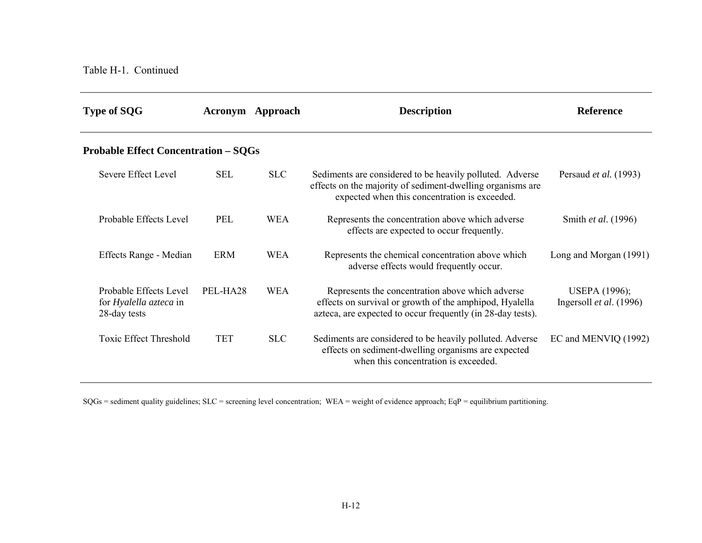| <b>Type of SQG</b>                                                      |            | <b>Acronym</b> Approach | <b>Description</b>                                                                                                                                                         | <b>Reference</b>                                         |
|-------------------------------------------------------------------------|------------|-------------------------|----------------------------------------------------------------------------------------------------------------------------------------------------------------------------|----------------------------------------------------------|
| <b>Probable Effect Concentration – SQGs</b>                             |            |                         |                                                                                                                                                                            |                                                          |
| Severe Effect Level                                                     | <b>SEL</b> | <b>SLC</b>              | Sediments are considered to be heavily polluted. Adverse<br>effects on the majority of sediment-dwelling organisms are<br>expected when this concentration is exceeded.    | Persaud et al. (1993)                                    |
| Probable Effects Level                                                  | PEL        | <b>WEA</b>              | Represents the concentration above which adverse<br>effects are expected to occur frequently.                                                                              | Smith et al. (1996)                                      |
| Effects Range - Median                                                  | <b>ERM</b> | <b>WEA</b>              | Represents the chemical concentration above which<br>adverse effects would frequently occur.                                                                               | Long and Morgan (1991)                                   |
| Probable Effects Level<br>for <i>Hyalella azteca</i> in<br>28-day tests | PEL-HA28   | <b>WEA</b>              | Represents the concentration above which adverse<br>effects on survival or growth of the amphipod, Hyalella<br>azteca, are expected to occur frequently (in 28-day tests). | <b>USEPA</b> (1996);<br>Ingersoll <i>et al.</i> $(1996)$ |
| <b>Toxic Effect Threshold</b>                                           | <b>TET</b> | <b>SLC</b>              | Sediments are considered to be heavily polluted. Adverse<br>effects on sediment-dwelling organisms are expected<br>when this concentration is exceeded.                    | EC and MENVIQ (1992)                                     |

SQGs = sediment quality guidelines; SLC = screening level concentration; WEA = weight of evidence approach; EqP = equilibrium partitioning.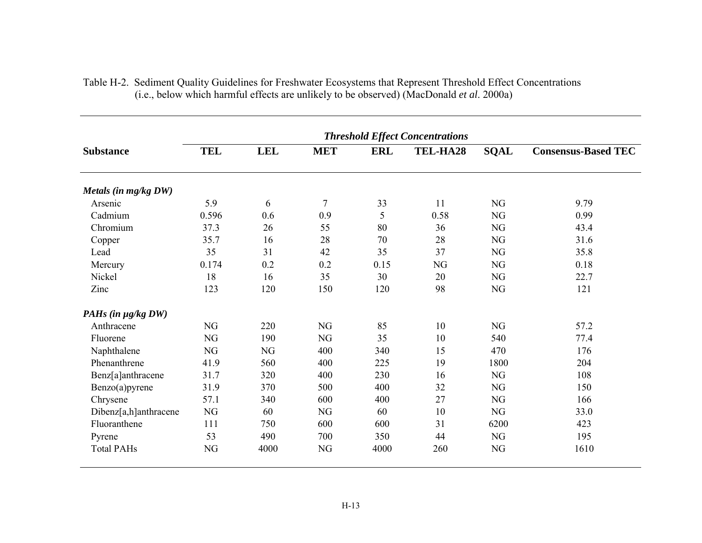|                       |            |            |            |            | <b>Threshold Effect Concentrations</b> |             |                            |
|-----------------------|------------|------------|------------|------------|----------------------------------------|-------------|----------------------------|
| <b>Substance</b>      | <b>TEL</b> | <b>LEL</b> | <b>MET</b> | <b>ERL</b> | TEL-HA28                               | <b>SQAL</b> | <b>Consensus-Based TEC</b> |
| Metals (in mg/kg DW)  |            |            |            |            |                                        |             |                            |
| Arsenic               | 5.9        | 6          | 7          | 33         | 11                                     | <b>NG</b>   | 9.79                       |
| Cadmium               | 0.596      | 0.6        | 0.9        | 5          | 0.58                                   | <b>NG</b>   | 0.99                       |
| Chromium              | 37.3       | 26         | 55         | 80         | 36                                     | NG          | 43.4                       |
| Copper                | 35.7       | 16         | 28         | 70         | 28                                     | <b>NG</b>   | 31.6                       |
| Lead                  | 35         | 31         | 42         | 35         | 37                                     | <b>NG</b>   | 35.8                       |
| Mercury               | 0.174      | 0.2        | 0.2        | 0.15       | NG                                     | <b>NG</b>   | 0.18                       |
| Nickel                | 18         | 16         | 35         | 30         | 20                                     | NG          | 22.7                       |
| Zinc                  | 123        | 120        | 150        | 120        | 98                                     | NG          | 121                        |
| PAHs (in µg/kg DW)    |            |            |            |            |                                        |             |                            |
| Anthracene            | NG         | 220        | <b>NG</b>  | 85         | 10                                     | NG          | 57.2                       |
| Fluorene              | NG         | 190        | NG         | 35         | 10                                     | 540         | 77.4                       |
| Naphthalene           | NG         | NG         | 400        | 340        | 15                                     | 470         | 176                        |
| Phenanthrene          | 41.9       | 560        | 400        | 225        | 19                                     | 1800        | 204                        |
| Benz[a]anthracene     | 31.7       | 320        | 400        | 230        | 16                                     | NG          | 108                        |
| Benzo(a)pyrene        | 31.9       | 370        | 500        | 400        | 32                                     | <b>NG</b>   | 150                        |
| Chrysene              | 57.1       | 340        | 600        | 400        | 27                                     | <b>NG</b>   | 166                        |
| Dibenz[a,h]anthracene | NG         | 60         | NG         | 60         | 10                                     | NG          | 33.0                       |
| Fluoranthene          | 111        | 750        | 600        | 600        | 31                                     | 6200        | 423                        |
| Pyrene                | 53         | 490        | 700        | 350        | 44                                     | NG          | 195                        |
| <b>Total PAHs</b>     | NG         | 4000       | NG         | 4000       | 260                                    | <b>NG</b>   | 1610                       |

| Table H-2. Sediment Quality Guidelines for Freshwater Ecosystems that Represent Threshold Effect Concentrations |
|-----------------------------------------------------------------------------------------------------------------|
| (i.e., below which harmful effects are unlikely to be observed) (MacDonald <i>et al.</i> 2000a)                 |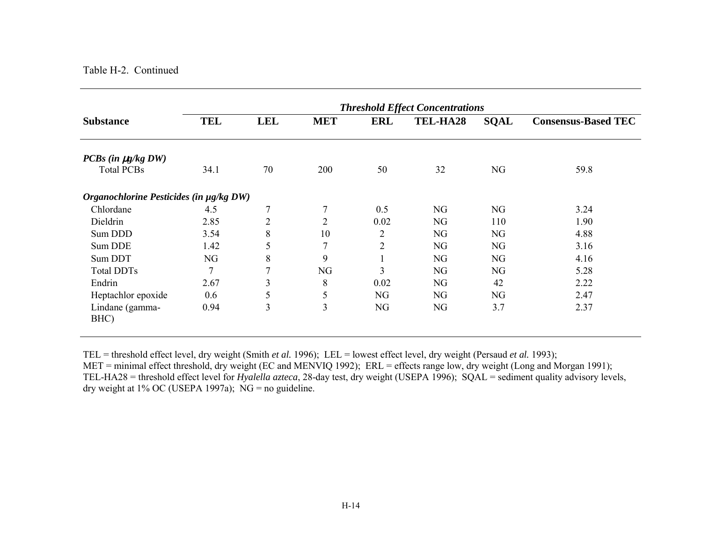#### Table H-2. Continued

|                                         | <b>Threshold Effect Concentrations</b> |                |                |                |          |             |                            |  |
|-----------------------------------------|----------------------------------------|----------------|----------------|----------------|----------|-------------|----------------------------|--|
| <b>Substance</b>                        | <b>TEL</b>                             | <b>LEL</b>     | <b>MET</b>     | <b>ERL</b>     | TEL-HA28 | <b>SQAL</b> | <b>Consensus-Based TEC</b> |  |
| $PCBs$ (in $\mu g/kgDW$ )               |                                        |                |                |                |          |             |                            |  |
| <b>Total PCBs</b>                       | 34.1                                   | 70             | 200            | 50             | 32       | NG          | 59.8                       |  |
| Organochlorine Pesticides (in µg/kg DW) |                                        |                |                |                |          |             |                            |  |
| Chlordane                               | 4.5                                    | $\tau$         | $\overline{7}$ | 0.5            | NG       | NG          | 3.24                       |  |
| Dieldrin                                | 2.85                                   | $\overline{2}$ | $\overline{2}$ | 0.02           | NG       | 110         | 1.90                       |  |
| Sum DDD                                 | 3.54                                   | 8              | 10             | $\overline{2}$ | NG       | NG          | 4.88                       |  |
| Sum DDE                                 | 1.42                                   | 5              | 7              | $\overline{2}$ | NG       | NG          | 3.16                       |  |
| Sum DDT                                 | NG                                     | 8              | 9              |                | NG       | NG          | 4.16                       |  |
| <b>Total DDTs</b>                       | 7                                      | $\mathcal{I}$  | NG             | 3              | NG       | NG          | 5.28                       |  |
| Endrin                                  | 2.67                                   | 3              | 8              | 0.02           | NG       | 42          | 2.22                       |  |
| Heptachlor epoxide                      | 0.6                                    | 5              | 5              | NG             | NG       | NG          | 2.47                       |  |
| Lindane (gamma-<br>BHC)                 | 0.94                                   | $\overline{3}$ | 3              | NG             | NG       | 3.7         | 2.37                       |  |

TEL = threshold effect level, dry weight (Smith *et al.* 1996); LEL = lowest effect level, dry weight (Persaud *et al.* 1993); MET = minimal effect threshold, dry weight (EC and MENVIQ 1992); ERL = effects range low, dry weight (Long and Morgan 1991); TEL-HA28 = threshold effect level for *Hyalella azteca*, 28-day test, dry weight (USEPA 1996); SQAL = sediment quality advisory levels, dry weight at 1% OC (USEPA 1997a);  $\overline{NG}$  = no guideline.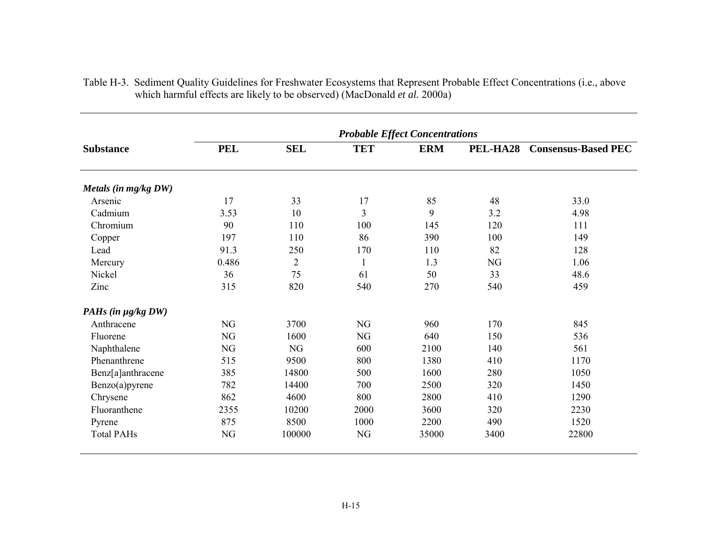|                         | <b>Probable Effect Concentrations</b> |                |                |            |          |                            |  |  |
|-------------------------|---------------------------------------|----------------|----------------|------------|----------|----------------------------|--|--|
| <b>Substance</b>        | <b>PEL</b>                            | <b>SEL</b>     | <b>TET</b>     | <b>ERM</b> | PEL-HA28 | <b>Consensus-Based PEC</b> |  |  |
| Metals (in mg/kg DW)    |                                       |                |                |            |          |                            |  |  |
| Arsenic                 | 17                                    | 33             | 17             | 85         | 48       | 33.0                       |  |  |
| Cadmium                 | 3.53                                  | 10             | $\mathfrak{Z}$ | 9          | 3.2      | 4.98                       |  |  |
| Chromium                | 90                                    | 110            | 100            | 145        | 120      | 111                        |  |  |
| Copper                  | 197                                   | 110            | 86             | 390        | 100      | 149                        |  |  |
| Lead                    | 91.3                                  | 250            | 170            | 110        | 82       | 128                        |  |  |
| Mercury                 | 0.486                                 | $\overline{2}$ | $\mathbf{1}$   | 1.3        | NG       | 1.06                       |  |  |
| Nickel                  | 36                                    | 75             | 61             | 50         | 33       | 48.6                       |  |  |
| Zinc                    | 315                                   | 820            | 540            | 270        | 540      | 459                        |  |  |
| PAHs (in $\mu g/kgDW$ ) |                                       |                |                |            |          |                            |  |  |
| Anthracene              | NG                                    | 3700           | NG             | 960        | 170      | 845                        |  |  |
| Fluorene                | NG                                    | 1600           | NG             | 640        | 150      | 536                        |  |  |
| Naphthalene             | NG                                    | <b>NG</b>      | 600            | 2100       | 140      | 561                        |  |  |
| Phenanthrene            | 515                                   | 9500           | 800            | 1380       | 410      | 1170                       |  |  |
| Benz[a]anthracene       | 385                                   | 14800          | 500            | 1600       | 280      | 1050                       |  |  |
| Benzo(a)pyrene          | 782                                   | 14400          | 700            | 2500       | 320      | 1450                       |  |  |
| Chrysene                | 862                                   | 4600           | 800            | 2800       | 410      | 1290                       |  |  |
| Fluoranthene            | 2355                                  | 10200          | 2000           | 3600       | 320      | 2230                       |  |  |
| Pyrene                  | 875                                   | 8500           | 1000           | 2200       | 490      | 1520                       |  |  |
| <b>Total PAHs</b>       | NG                                    | 100000         | NG             | 35000      | 3400     | 22800                      |  |  |

| Table H-3. Sediment Quality Guidelines for Freshwater Ecosystems that Represent Probable Effect Concentrations (i.e., above |
|-----------------------------------------------------------------------------------------------------------------------------|
| which harmful effects are likely to be observed) (MacDonald <i>et al.</i> 2000a)                                            |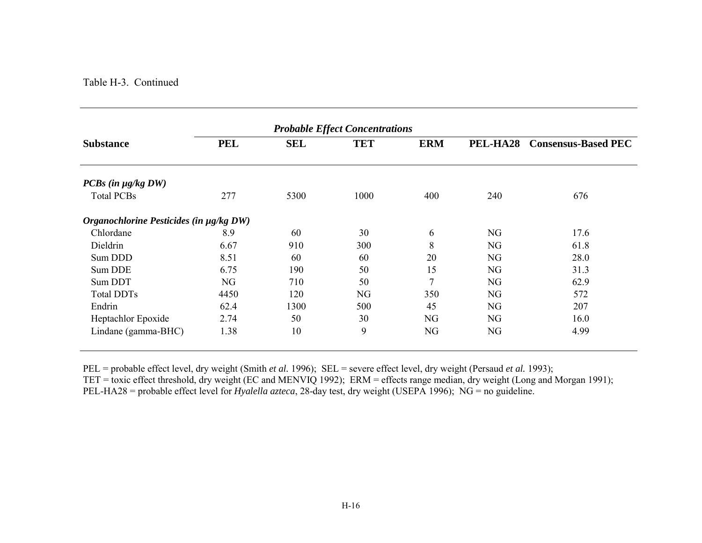#### Table H-3. Continued

|                                         | <b>Probable Effect Concentrations</b> |            |            |            |          |                            |
|-----------------------------------------|---------------------------------------|------------|------------|------------|----------|----------------------------|
| <b>Substance</b>                        | <b>PEL</b>                            | <b>SEL</b> | <b>TET</b> | <b>ERM</b> | PEL-HA28 | <b>Consensus-Based PEC</b> |
| $PCBs$ (in $\mu g/kgDW$ )               |                                       |            |            |            |          |                            |
| <b>Total PCBs</b>                       | 277                                   | 5300       | 1000       | 400        | 240      | 676                        |
| Organochlorine Pesticides (in µg/kg DW) |                                       |            |            |            |          |                            |
| Chlordane                               | 8.9                                   | 60         | 30         | 6          | NG       | 17.6                       |
| Dieldrin                                | 6.67                                  | 910        | 300        | 8          | NG       | 61.8                       |
| Sum DDD                                 | 8.51                                  | 60         | 60         | 20         | NG       | 28.0                       |
| Sum DDE                                 | 6.75                                  | 190        | 50         | 15         | NG       | 31.3                       |
| Sum DDT                                 | NG                                    | 710        | 50         | 7          | NG       | 62.9                       |
| <b>Total DDTs</b>                       | 4450                                  | 120        | NG         | 350        | NG       | 572                        |
| Endrin                                  | 62.4                                  | 1300       | 500        | 45         | NG       | 207                        |
| Heptachlor Epoxide                      | 2.74                                  | 50         | 30         | NG         | NG       | 16.0                       |
| Lindane (gamma-BHC)                     | 1.38                                  | 10         | 9          | NG         | NG       | 4.99                       |

PEL = probable effect level, dry weight (Smith *et al.* 1996); SEL = severe effect level, dry weight (Persaud *et al.* 1993);

TET = toxic effect threshold, dry weight (EC and MENVIQ 1992); ERM = effects range median, dry weight (Long and Morgan 1991);

PEL-HA28 = probable effect level for *Hyalella azteca*, 28-day test, dry weight (USEPA 1996); NG = no guideline.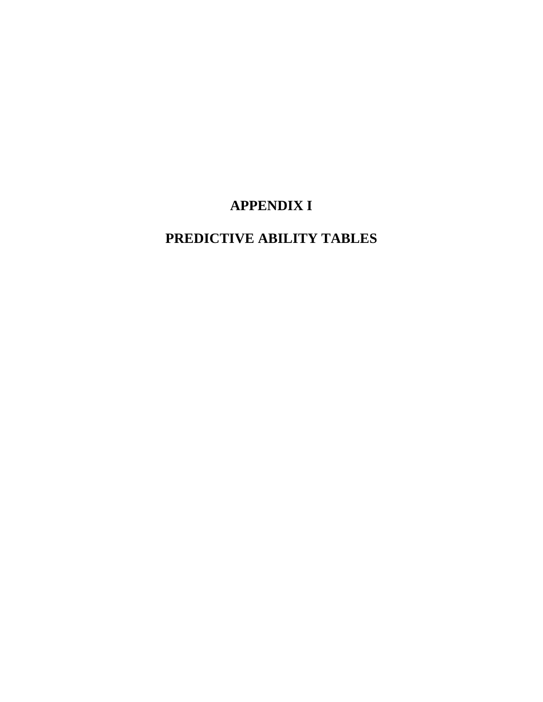# **APPENDIX I**

# **PREDICTIVE ABILITY TABLES**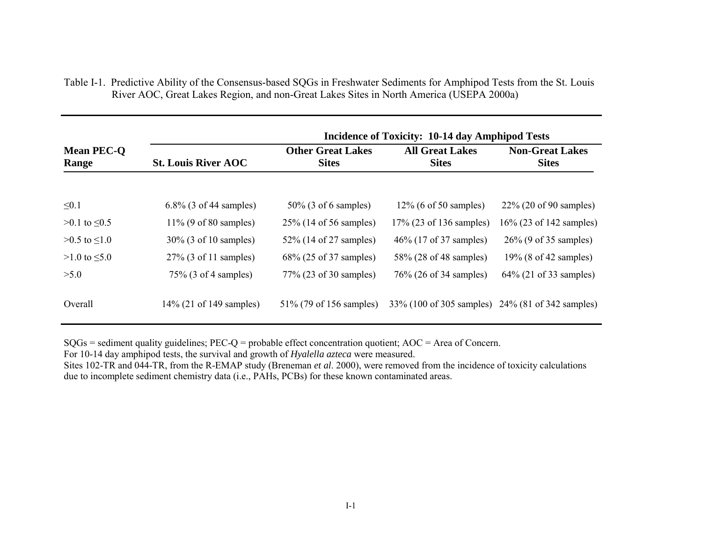|                            | <b>Incidence of Toxicity: 10-14 day Amphipod Tests</b> |                                          |                                        |                                                  |  |  |
|----------------------------|--------------------------------------------------------|------------------------------------------|----------------------------------------|--------------------------------------------------|--|--|
| <b>Mean PEC-O</b><br>Range | <b>St. Louis River AOC</b>                             | <b>Other Great Lakes</b><br><b>Sites</b> | <b>All Great Lakes</b><br><b>Sites</b> | <b>Non-Great Lakes</b><br><b>Sites</b>           |  |  |
| $\leq 0.1$                 | 6.8% (3 of 44 samples)                                 | $50\%$ (3 of 6 samples)                  | $12\%$ (6 of 50 samples)               | $22\%$ (20 of 90 samples)                        |  |  |
| $>0.1$ to $\leq 0.5$       | $11\%$ (9 of 80 samples)                               | 25\% (14 of 56 samples)                  | 17% (23 of 136 samples)                | $16\%$ (23 of 142 samples)                       |  |  |
| $>0.5$ to $\leq1.0$        | 30% (3 of 10 samples)                                  | 52\% (14 of 27 samples)                  | 46\% (17 of 37 samples)                | $26\%$ (9 of 35 samples)                         |  |  |
| $>1.0$ to $\leq 5.0$       | $27\%$ (3 of 11 samples)                               | 68% (25 of 37 samples)                   | 58% (28 of 48 samples)                 | $19\%$ (8 of 42 samples)                         |  |  |
| >5.0                       | $75\%$ (3 of 4 samples)                                | 77% (23 of 30 samples)                   | 76% (26 of 34 samples)                 | $64\%$ (21 of 33 samples)                        |  |  |
| Overall                    | $14\%$ (21 of 149 samples)                             | 51% (79 of 156 samples)                  |                                        | 33% (100 of 305 samples) 24% (81 of 342 samples) |  |  |

Table I-1. Predictive Ability of the Consensus-based SQGs in Freshwater Sediments for Amphipod Tests from the St. Louis River AOC, Great Lakes Region, and non-Great Lakes Sites in North America (USEPA 2000a)

SQGs = sediment quality guidelines; PEC-Q = probable effect concentration quotient; AOC = Area of Concern.

For 10-14 day amphipod tests, the survival and growth of *Hyalella azteca* were measured.

Sites 102-TR and 044-TR, from the R-EMAP study (Breneman *et al*. 2000), were removed from the incidence of toxicity calculations due to incomplete sediment chemistry data (i.e., PAHs, PCBs) for these known contaminated areas.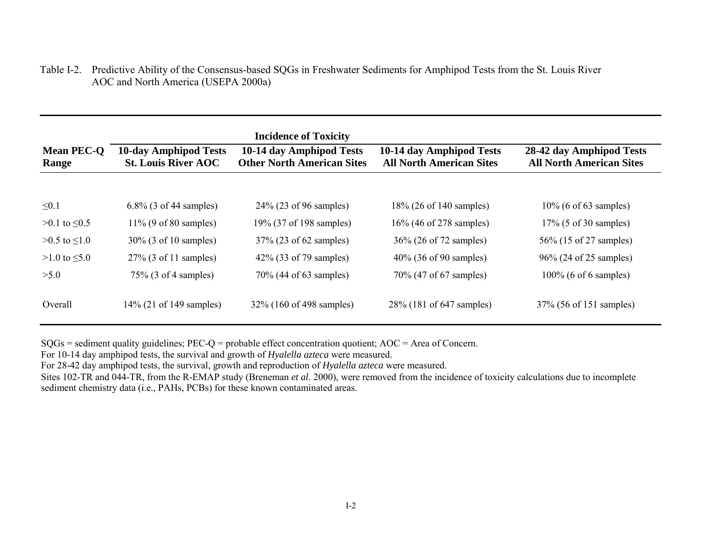Table I-2. Predictive Ability of the Consensus-based SQGs in Freshwater Sediments for Amphipod Tests from the St. Louis River AOC and North America (USEPA 2000a)

|                            |                                                            | <b>Incidence of Toxicity</b>                                  |                                                             |                                                             |
|----------------------------|------------------------------------------------------------|---------------------------------------------------------------|-------------------------------------------------------------|-------------------------------------------------------------|
| <b>Mean PEC-O</b><br>Range | <b>10-day Amphipod Tests</b><br><b>St. Louis River AOC</b> | 10-14 day Amphipod Tests<br><b>Other North American Sites</b> | 10-14 day Amphipod Tests<br><b>All North American Sites</b> | 28-42 day Amphipod Tests<br><b>All North American Sites</b> |
|                            |                                                            |                                                               |                                                             |                                                             |
| $\leq 0.1$                 | 6.8% (3 of 44 samples)                                     | $24\%$ (23 of 96 samples)                                     | 18% (26 of 140 samples)                                     | $10\%$ (6 of 63 samples)                                    |
| $>0.1$ to $\leq 0.5$       | $11\%$ (9 of 80 samples)                                   | 19% (37 of 198 samples)                                       | 16% (46 of 278 samples)                                     | $17\%$ (5 of 30 samples)                                    |
| $>0.5$ to $\leq1.0$        | 30% (3 of 10 samples)                                      | 37% (23 of 62 samples)                                        | 36\% (26 of 72 samples)                                     | 56\% (15 of 27 samples)                                     |
| $>1.0$ to $\leq 5.0$       | $27\%$ (3 of 11 samples)                                   | 42\% (33 of 79 samples)                                       | 40% (36 of 90 samples)                                      | 96% (24 of 25 samples)                                      |
| >5.0                       | $75\%$ (3 of 4 samples)                                    | 70% (44 of 63 samples)                                        | 70% (47 of 67 samples)                                      | $100\%$ (6 of 6 samples)                                    |
| Overall                    | $14\%$ (21 of 149 samples)                                 | 32% (160 of 498 samples)                                      | 28% (181 of 647 samples)                                    | 37% (56 of 151 samples)                                     |

SQGs = sediment quality guidelines; PEC-Q = probable effect concentration quotient; AOC = Area of Concern.

For 10-14 day amphipod tests, the survival and growth of *Hyalella azteca* were measured.

For 28-42 day amphipod tests, the survival, growth and reproduction of *Hyalella azteca* were measured.

Sites 102-TR and 044-TR, from the R-EMAP study (Breneman *et al*. 2000), were removed from the incidence of toxicity calculations due to incomplete sediment chemistry data (i.e., PAHs, PCBs) for these known contaminated areas.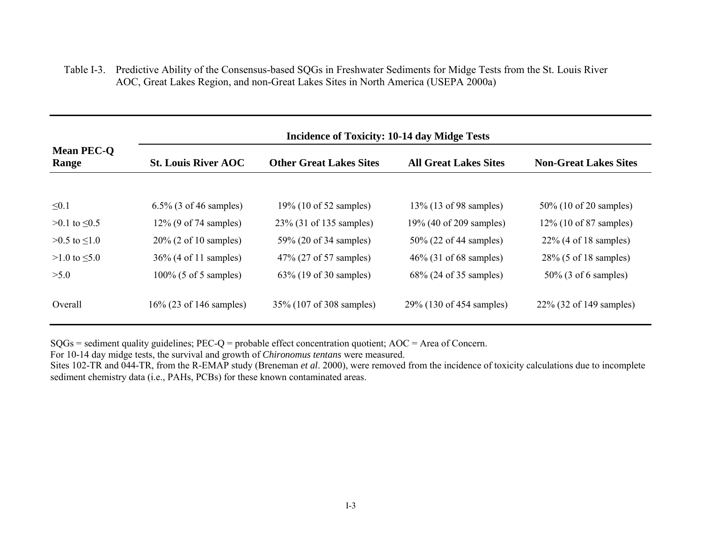Table I-3. Predictive Ability of the Consensus-based SQGs in Freshwater Sediments for Midge Tests from the St. Louis River AOC, Great Lakes Region, and non-Great Lakes Sites in North America (USEPA 2000a)

|                            | Incidence of Toxicity: 10-14 day Midge Tests |                                |                              |                              |  |
|----------------------------|----------------------------------------------|--------------------------------|------------------------------|------------------------------|--|
| <b>Mean PEC-O</b><br>Range | <b>St. Louis River AOC</b>                   | <b>Other Great Lakes Sites</b> | <b>All Great Lakes Sites</b> | <b>Non-Great Lakes Sites</b> |  |
|                            |                                              |                                |                              |                              |  |
| $\leq 0.1$                 | 6.5% (3 of 46 samples)                       | 19% (10 of 52 samples)         | 13% (13 of 98 samples)       | 50\% (10 of 20 samples)      |  |
| $>0.1$ to $\leq 0.5$       | $12\%$ (9 of 74 samples)                     | 23% (31 of 135 samples)        | 19% (40 of 209 samples)      | $12\%$ (10 of 87 samples)    |  |
| $>0.5$ to $\leq1.0$        | $20\%$ (2 of 10 samples)                     | 59% (20 of 34 samples)         | 50% (22 of 44 samples)       | $22\%$ (4 of 18 samples)     |  |
| $>1.0$ to $\leq 5.0$       | $36\%$ (4 of 11 samples)                     | 47\% (27 of 57 samples)        | $46\%$ (31 of 68 samples)    | $28\%$ (5 of 18 samples)     |  |
| >5.0                       | $100\%$ (5 of 5 samples)                     | $63\%$ (19 of 30 samples)      | 68% (24 of 35 samples)       | $50\%$ (3 of 6 samples)      |  |
| Overall                    | $16\%$ (23 of 146 samples)                   | 35% (107 of 308 samples)       | 29% (130 of 454 samples)     | 22\% (32 of 149 samples)     |  |

SQGs = sediment quality guidelines; PEC-Q = probable effect concentration quotient; AOC = Area of Concern.

For 10-14 day midge tests, the survival and growth of *Chironomus tentans* were measured.

Sites 102-TR and 044-TR, from the R-EMAP study (Breneman *et al*. 2000), were removed from the incidence of toxicity calculations due to incomplete sediment chemistry data (i.e., PAHs, PCBs) for these known contaminated areas.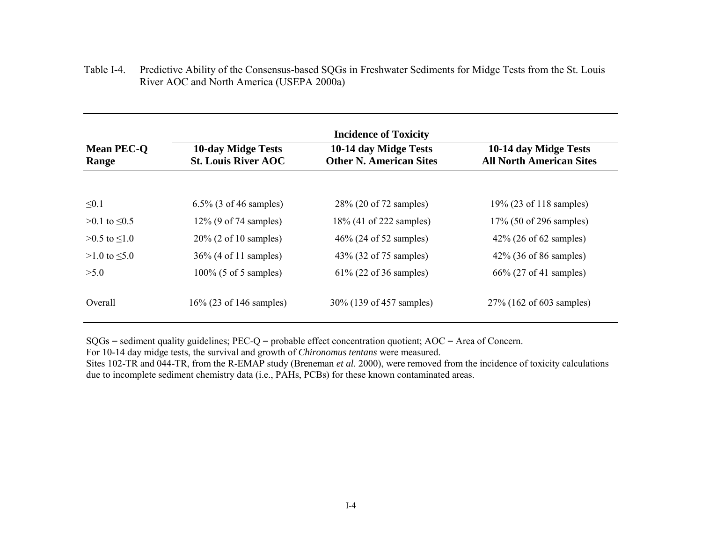|                            | <b>Incidence of Toxicity</b>                            |                                                         |                                                          |  |  |  |
|----------------------------|---------------------------------------------------------|---------------------------------------------------------|----------------------------------------------------------|--|--|--|
| <b>Mean PEC-O</b><br>Range | <b>10-day Midge Tests</b><br><b>St. Louis River AOC</b> | 10-14 day Midge Tests<br><b>Other N. American Sites</b> | 10-14 day Midge Tests<br><b>All North American Sites</b> |  |  |  |
|                            |                                                         |                                                         |                                                          |  |  |  |
| $\leq 0.1$                 | 6.5% (3 of 46 samples)                                  | 28% (20 of 72 samples)                                  | 19% (23 of 118 samples)                                  |  |  |  |
| $>0.1$ to $\leq 0.5$       | $12\%$ (9 of 74 samples)                                | 18% (41 of 222 samples)                                 | 17% (50 of 296 samples)                                  |  |  |  |
| $>0.5$ to $\leq1.0$        | $20\%$ (2 of 10 samples)                                | 46\% (24 of 52 samples)                                 | $42\%$ (26 of 62 samples)                                |  |  |  |
| $>1.0$ to $\leq 5.0$       | 36% (4 of 11 samples)                                   | 43\% (32 of 75 samples)                                 | $42\%$ (36 of 86 samples)                                |  |  |  |
| >5.0                       | $100\%$ (5 of 5 samples)                                | $61\%$ (22 of 36 samples)                               | $66\%$ (27 of 41 samples)                                |  |  |  |
| Overall                    | 16% (23 of 146 samples)                                 | 30% (139 of 457 samples)                                | 27% (162 of 603 samples)                                 |  |  |  |

Table I-4. Predictive Ability of the Consensus-based SQGs in Freshwater Sediments for Midge Tests from the St. Louis River AOC and North America (USEPA 2000a)

SQGs = sediment quality guidelines; PEC-Q = probable effect concentration quotient; AOC = Area of Concern.

For 10-14 day midge tests, the survival and growth of *Chironomus tentans* were measured.

Sites 102-TR and 044-TR, from the R-EMAP study (Breneman *et al*. 2000), were removed from the incidence of toxicity calculations due to incomplete sediment chemistry data (i.e., PAHs, PCBs) for these known contaminated areas.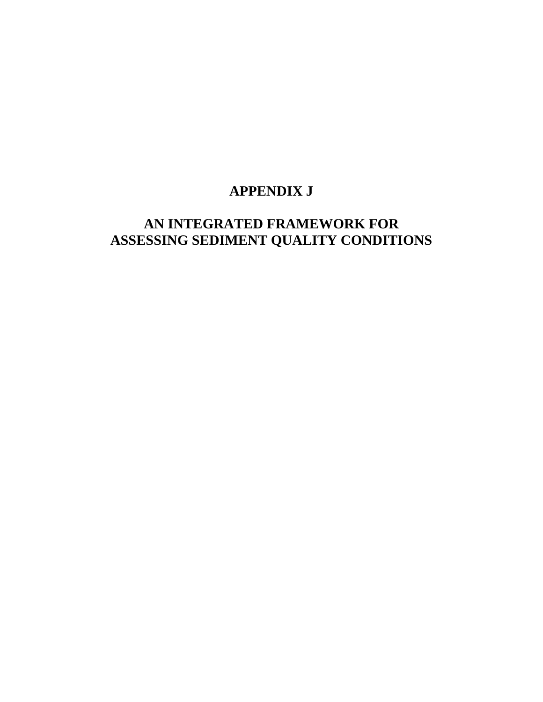# **APPENDIX J**

# **AN INTEGRATED FRAMEWORK FOR ASSESSING SEDIMENT QUALITY CONDITIONS**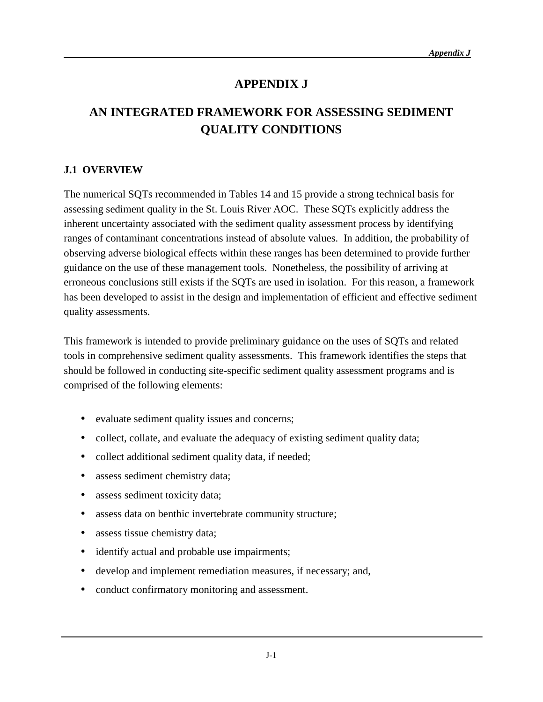## **APPENDIX J**

# **AN INTEGRATED FRAMEWORK FOR ASSESSING SEDIMENT QUALITY CONDITIONS**

## **J.1 OVERVIEW**

The numerical SQTs recommended in Tables 14 and 15 provide a strong technical basis for assessing sediment quality in the St. Louis River AOC. These SQTs explicitly address the inherent uncertainty associated with the sediment quality assessment process by identifying ranges of contaminant concentrations instead of absolute values. In addition, the probability of observing adverse biological effects within these ranges has been determined to provide further guidance on the use of these management tools. Nonetheless, the possibility of arriving at erroneous conclusions still exists if the SQTs are used in isolation. For this reason, a framework has been developed to assist in the design and implementation of efficient and effective sediment quality assessments.

This framework is intended to provide preliminary guidance on the uses of SQTs and related tools in comprehensive sediment quality assessments. This framework identifies the steps that should be followed in conducting site-specific sediment quality assessment programs and is comprised of the following elements:

- evaluate sediment quality issues and concerns;
- collect, collate, and evaluate the adequacy of existing sediment quality data;
- collect additional sediment quality data, if needed;
- assess sediment chemistry data;
- assess sediment toxicity data;
- assess data on benthic invertebrate community structure;
- assess tissue chemistry data;
- identify actual and probable use impairments;
- develop and implement remediation measures, if necessary; and,
- conduct confirmatory monitoring and assessment.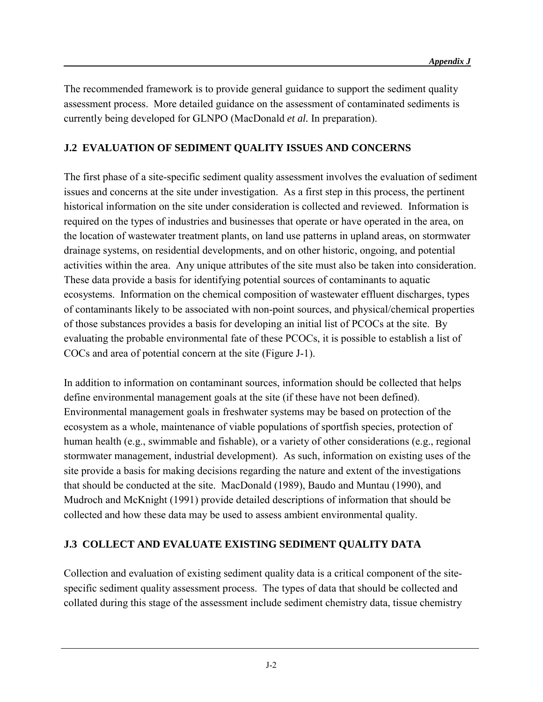The recommended framework is to provide general guidance to support the sediment quality assessment process. More detailed guidance on the assessment of contaminated sediments is currently being developed for GLNPO (MacDonald *et al.* In preparation).

## **J.2 EVALUATION OF SEDIMENT QUALITY ISSUES AND CONCERNS**

The first phase of a site-specific sediment quality assessment involves the evaluation of sediment issues and concerns at the site under investigation. As a first step in this process, the pertinent historical information on the site under consideration is collected and reviewed. Information is required on the types of industries and businesses that operate or have operated in the area, on the location of wastewater treatment plants, on land use patterns in upland areas, on stormwater drainage systems, on residential developments, and on other historic, ongoing, and potential activities within the area. Any unique attributes of the site must also be taken into consideration. These data provide a basis for identifying potential sources of contaminants to aquatic ecosystems. Information on the chemical composition of wastewater effluent discharges, types of contaminants likely to be associated with non-point sources, and physical/chemical properties of those substances provides a basis for developing an initial list of PCOCs at the site. By evaluating the probable environmental fate of these PCOCs, it is possible to establish a list of COCs and area of potential concern at the site (Figure J-1).

In addition to information on contaminant sources, information should be collected that helps define environmental management goals at the site (if these have not been defined). Environmental management goals in freshwater systems may be based on protection of the ecosystem as a whole, maintenance of viable populations of sportfish species, protection of human health (e.g., swimmable and fishable), or a variety of other considerations (e.g., regional stormwater management, industrial development). As such, information on existing uses of the site provide a basis for making decisions regarding the nature and extent of the investigations that should be conducted at the site. MacDonald (1989), Baudo and Muntau (1990), and Mudroch and McKnight (1991) provide detailed descriptions of information that should be collected and how these data may be used to assess ambient environmental quality.

## **J.3 COLLECT AND EVALUATE EXISTING SEDIMENT QUALITY DATA**

Collection and evaluation of existing sediment quality data is a critical component of the sitespecific sediment quality assessment process. The types of data that should be collected and collated during this stage of the assessment include sediment chemistry data, tissue chemistry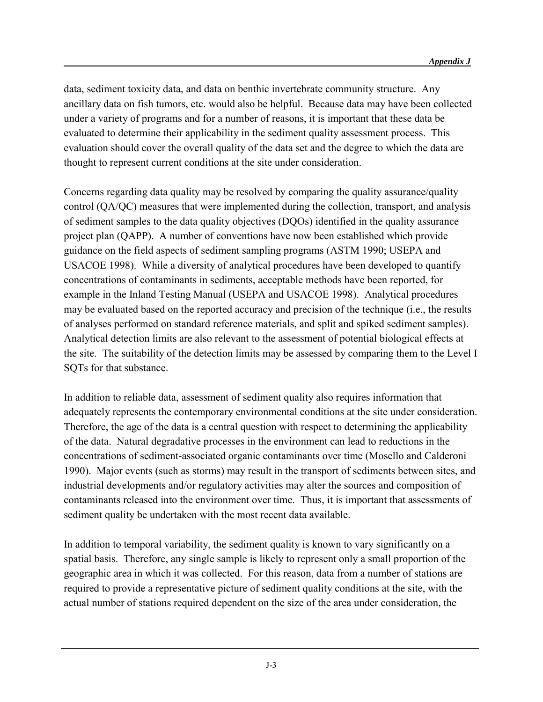data, sediment toxicity data, and data on benthic invertebrate community structure. Any ancillary data on fish tumors, etc. would also be helpful. Because data may have been collected under a variety of programs and for a number of reasons, it is important that these data be evaluated to determine their applicability in the sediment quality assessment process. This evaluation should cover the overall quality of the data set and the degree to which the data are thought to represent current conditions at the site under consideration.

Concerns regarding data quality may be resolved by comparing the quality assurance/quality control (QA/QC) measures that were implemented during the collection, transport, and analysis of sediment samples to the data quality objectives (DQOs) identified in the quality assurance project plan (QAPP). A number of conventions have now been established which provide guidance on the field aspects of sediment sampling programs (ASTM 1990; USEPA and USACOE 1998). While a diversity of analytical procedures have been developed to quantify concentrations of contaminants in sediments, acceptable methods have been reported, for example in the Inland Testing Manual (USEPA and USACOE 1998). Analytical procedures may be evaluated based on the reported accuracy and precision of the technique (i.e., the results of analyses performed on standard reference materials, and split and spiked sediment samples). Analytical detection limits are also relevant to the assessment of potential biological effects at the site. The suitability of the detection limits may be assessed by comparing them to the Level I SQTs for that substance.

In addition to reliable data, assessment of sediment quality also requires information that adequately represents the contemporary environmental conditions at the site under consideration. Therefore, the age of the data is a central question with respect to determining the applicability of the data. Natural degradative processes in the environment can lead to reductions in the concentrations of sediment-associated organic contaminants over time (Mosello and Calderoni 1990). Major events (such as storms) may result in the transport of sediments between sites, and industrial developments and/or regulatory activities may alter the sources and composition of contaminants released into the environment over time. Thus, it is important that assessments of sediment quality be undertaken with the most recent data available.

In addition to temporal variability, the sediment quality is known to vary significantly on a spatial basis. Therefore, any single sample is likely to represent only a small proportion of the geographic area in which it was collected. For this reason, data from a number of stations are required to provide a representative picture of sediment quality conditions at the site, with the actual number of stations required dependent on the size of the area under consideration, the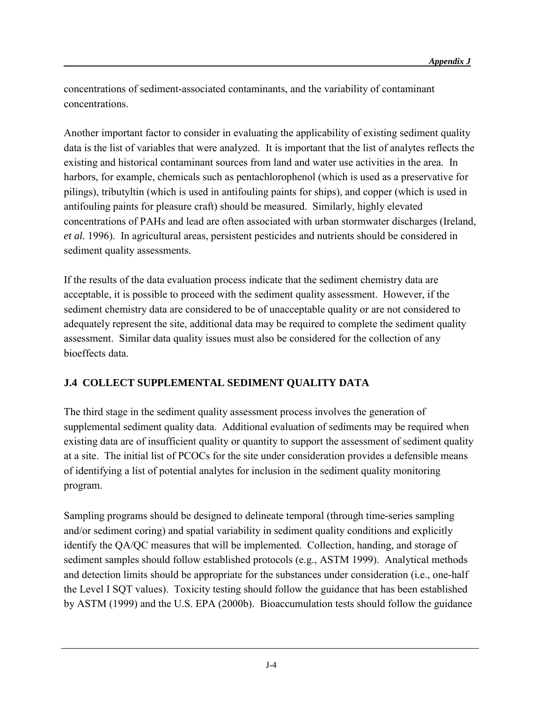concentrations of sediment-associated contaminants, and the variability of contaminant concentrations.

Another important factor to consider in evaluating the applicability of existing sediment quality data is the list of variables that were analyzed. It is important that the list of analytes reflects the existing and historical contaminant sources from land and water use activities in the area. In harbors, for example, chemicals such as pentachlorophenol (which is used as a preservative for pilings), tributyltin (which is used in antifouling paints for ships), and copper (which is used in antifouling paints for pleasure craft) should be measured. Similarly, highly elevated concentrations of PAHs and lead are often associated with urban stormwater discharges (Ireland, *et al.* 1996). In agricultural areas, persistent pesticides and nutrients should be considered in sediment quality assessments.

If the results of the data evaluation process indicate that the sediment chemistry data are acceptable, it is possible to proceed with the sediment quality assessment. However, if the sediment chemistry data are considered to be of unacceptable quality or are not considered to adequately represent the site, additional data may be required to complete the sediment quality assessment. Similar data quality issues must also be considered for the collection of any bioeffects data.

## **J.4 COLLECT SUPPLEMENTAL SEDIMENT QUALITY DATA**

The third stage in the sediment quality assessment process involves the generation of supplemental sediment quality data. Additional evaluation of sediments may be required when existing data are of insufficient quality or quantity to support the assessment of sediment quality at a site. The initial list of PCOCs for the site under consideration provides a defensible means of identifying a list of potential analytes for inclusion in the sediment quality monitoring program.

Sampling programs should be designed to delineate temporal (through time-series sampling and/or sediment coring) and spatial variability in sediment quality conditions and explicitly identify the QA/QC measures that will be implemented. Collection, handing, and storage of sediment samples should follow established protocols (e.g., ASTM 1999). Analytical methods and detection limits should be appropriate for the substances under consideration (i.e., one-half the Level I SQT values). Toxicity testing should follow the guidance that has been established by ASTM (1999) and the U.S. EPA (2000b). Bioaccumulation tests should follow the guidance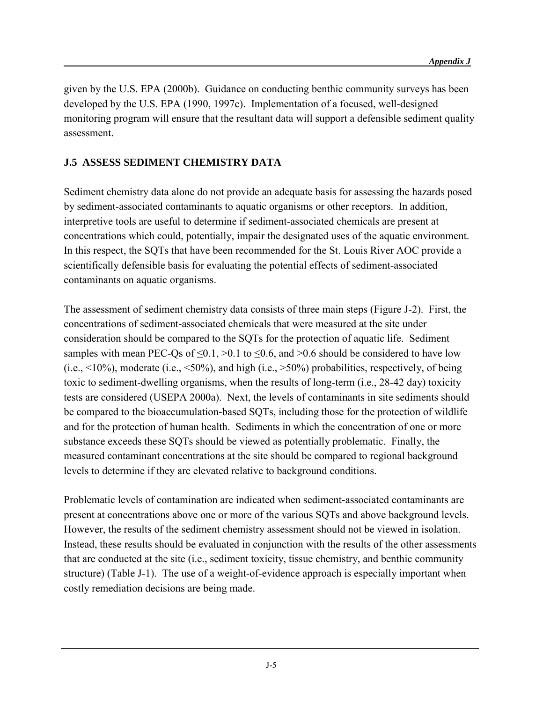given by the U.S. EPA (2000b). Guidance on conducting benthic community surveys has been developed by the U.S. EPA (1990, 1997c). Implementation of a focused, well-designed monitoring program will ensure that the resultant data will support a defensible sediment quality assessment.

## **J.5 ASSESS SEDIMENT CHEMISTRY DATA**

Sediment chemistry data alone do not provide an adequate basis for assessing the hazards posed by sediment-associated contaminants to aquatic organisms or other receptors. In addition, interpretive tools are useful to determine if sediment-associated chemicals are present at concentrations which could, potentially, impair the designated uses of the aquatic environment. In this respect, the SQTs that have been recommended for the St. Louis River AOC provide a scientifically defensible basis for evaluating the potential effects of sediment-associated contaminants on aquatic organisms.

The assessment of sediment chemistry data consists of three main steps (Figure J-2). First, the concentrations of sediment-associated chemicals that were measured at the site under consideration should be compared to the SQTs for the protection of aquatic life. Sediment samples with mean PEC-Qs of  $\leq 0.1$ ,  $> 0.1$  to  $\leq 0.6$ , and  $> 0.6$  should be considered to have low  $(i.e., <10\%)$ , moderate (i.e.,  $<50\%$ ), and high (i.e.,  $>50\%$ ) probabilities, respectively, of being toxic to sediment-dwelling organisms, when the results of long-term (i.e., 28-42 day) toxicity tests are considered (USEPA 2000a).Next, the levels of contaminants in site sediments should be compared to the bioaccumulation-based SQTs, including those for the protection of wildlife and for the protection of human health. Sediments in which the concentration of one or more substance exceeds these SQTs should be viewed as potentially problematic. Finally, the measured contaminant concentrations at the site should be compared to regional background levels to determine if they are elevated relative to background conditions.

Problematic levels of contamination are indicated when sediment-associated contaminants are present at concentrations above one or more of the various SQTs and above background levels. However, the results of the sediment chemistry assessment should not be viewed in isolation. Instead, these results should be evaluated in conjunction with the results of the other assessments that are conducted at the site (i.e., sediment toxicity, tissue chemistry, and benthic community structure) (Table J-1). The use of a weight-of-evidence approach is especially important when costly remediation decisions are being made.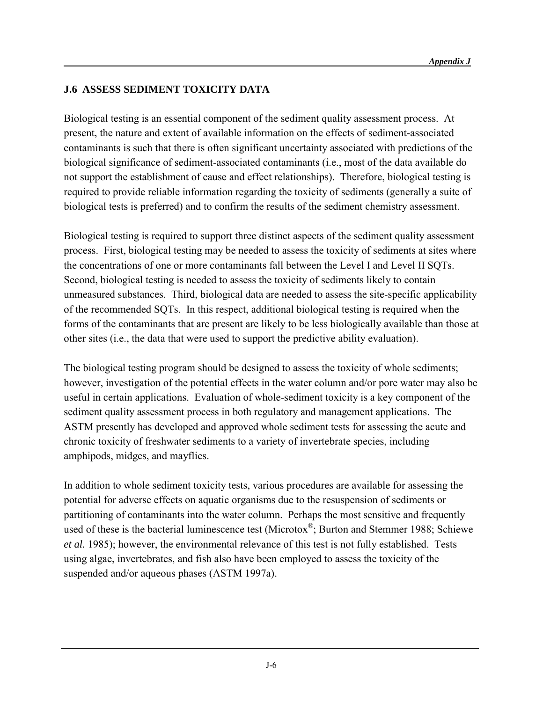### **J.6 ASSESS SEDIMENT TOXICITY DATA**

Biological testing is an essential component of the sediment quality assessment process. At present, the nature and extent of available information on the effects of sediment-associated contaminants is such that there is often significant uncertainty associated with predictions of the biological significance of sediment-associated contaminants (i.e., most of the data available do not support the establishment of cause and effect relationships). Therefore, biological testing is required to provide reliable information regarding the toxicity of sediments (generally a suite of biological tests is preferred) and to confirm the results of the sediment chemistry assessment.

Biological testing is required to support three distinct aspects of the sediment quality assessment process. First, biological testing may be needed to assess the toxicity of sediments at sites where the concentrations of one or more contaminants fall between the Level I and Level II SQTs. Second, biological testing is needed to assess the toxicity of sediments likely to contain unmeasured substances. Third, biological data are needed to assess the site-specific applicability of the recommended SQTs. In this respect, additional biological testing is required when the forms of the contaminants that are present are likely to be less biologically available than those at other sites (i.e., the data that were used to support the predictive ability evaluation).

The biological testing program should be designed to assess the toxicity of whole sediments; however, investigation of the potential effects in the water column and/or pore water may also be useful in certain applications. Evaluation of whole-sediment toxicity is a key component of the sediment quality assessment process in both regulatory and management applications. The ASTM presently has developed and approved whole sediment tests for assessing the acute and chronic toxicity of freshwater sediments to a variety of invertebrate species, including amphipods, midges, and mayflies.

In addition to whole sediment toxicity tests, various procedures are available for assessing the potential for adverse effects on aquatic organisms due to the resuspension of sediments or partitioning of contaminants into the water column. Perhaps the most sensitive and frequently used of these is the bacterial luminescence test (Microtox<sup>®</sup>; Burton and Stemmer 1988; Schiewe *et al.* 1985); however, the environmental relevance of this test is not fully established. Tests using algae, invertebrates, and fish also have been employed to assess the toxicity of the suspended and/or aqueous phases (ASTM 1997a).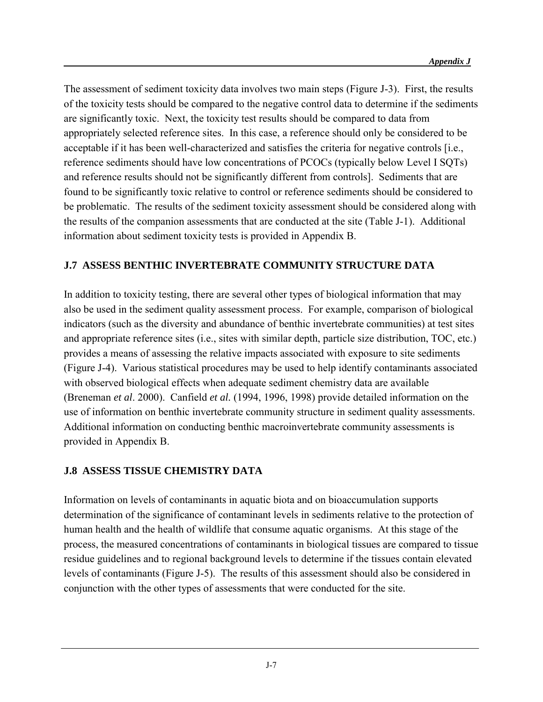The assessment of sediment toxicity data involves two main steps (Figure J-3). First, the results of the toxicity tests should be compared to the negative control data to determine if the sediments are significantly toxic. Next, the toxicity test results should be compared to data from appropriately selected reference sites. In this case, a reference should only be considered to be acceptable if it has been well-characterized and satisfies the criteria for negative controls [i.e., reference sediments should have low concentrations of PCOCs (typically below Level I SQTs) and reference results should not be significantly different from controls]. Sediments that are found to be significantly toxic relative to control or reference sediments should be considered to be problematic. The results of the sediment toxicity assessment should be considered along with the results of the companion assessments that are conducted at the site (Table J-1). Additional information about sediment toxicity tests is provided in Appendix B.

# **J.7 ASSESS BENTHIC INVERTEBRATE COMMUNITY STRUCTURE DATA**

In addition to toxicity testing, there are several other types of biological information that may also be used in the sediment quality assessment process. For example, comparison of biological indicators (such as the diversity and abundance of benthic invertebrate communities) at test sites and appropriate reference sites (i.e., sites with similar depth, particle size distribution, TOC, etc.) provides a means of assessing the relative impacts associated with exposure to site sediments (Figure J-4). Various statistical procedures may be used to help identify contaminants associated with observed biological effects when adequate sediment chemistry data are available (Breneman *et al*. 2000). Canfield *et al.* (1994, 1996, 1998) provide detailed information on the use of information on benthic invertebrate community structure in sediment quality assessments. Additional information on conducting benthic macroinvertebrate community assessments is provided in Appendix B.

## **J.8 ASSESS TISSUE CHEMISTRY DATA**

Information on levels of contaminants in aquatic biota and on bioaccumulation supports determination of the significance of contaminant levels in sediments relative to the protection of human health and the health of wildlife that consume aquatic organisms. At this stage of the process, the measured concentrations of contaminants in biological tissues are compared to tissue residue guidelines and to regional background levels to determine if the tissues contain elevated levels of contaminants (Figure J-5). The results of this assessment should also be considered in conjunction with the other types of assessments that were conducted for the site.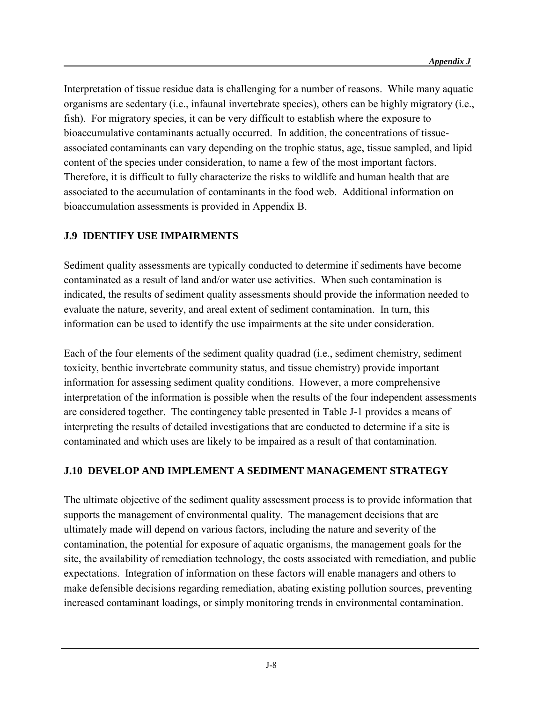Interpretation of tissue residue data is challenging for a number of reasons. While many aquatic organisms are sedentary (i.e., infaunal invertebrate species), others can be highly migratory (i.e., fish). For migratory species, it can be very difficult to establish where the exposure to bioaccumulative contaminants actually occurred. In addition, the concentrations of tissueassociated contaminants can vary depending on the trophic status, age, tissue sampled, and lipid content of the species under consideration, to name a few of the most important factors. Therefore, it is difficult to fully characterize the risks to wildlife and human health that are associated to the accumulation of contaminants in the food web. Additional information on bioaccumulation assessments is provided in Appendix B.

### **J.9 IDENTIFY USE IMPAIRMENTS**

Sediment quality assessments are typically conducted to determine if sediments have become contaminated as a result of land and/or water use activities. When such contamination is indicated, the results of sediment quality assessments should provide the information needed to evaluate the nature, severity, and areal extent of sediment contamination. In turn, this information can be used to identify the use impairments at the site under consideration.

Each of the four elements of the sediment quality quadrad (i.e., sediment chemistry, sediment toxicity, benthic invertebrate community status, and tissue chemistry) provide important information for assessing sediment quality conditions. However, a more comprehensive interpretation of the information is possible when the results of the four independent assessments are considered together. The contingency table presented in Table J-1 provides a means of interpreting the results of detailed investigations that are conducted to determine if a site is contaminated and which uses are likely to be impaired as a result of that contamination.

## **J.10 DEVELOP AND IMPLEMENT A SEDIMENT MANAGEMENT STRATEGY**

The ultimate objective of the sediment quality assessment process is to provide information that supports the management of environmental quality. The management decisions that are ultimately made will depend on various factors, including the nature and severity of the contamination, the potential for exposure of aquatic organisms, the management goals for the site, the availability of remediation technology, the costs associated with remediation, and public expectations. Integration of information on these factors will enable managers and others to make defensible decisions regarding remediation, abating existing pollution sources, preventing increased contaminant loadings, or simply monitoring trends in environmental contamination.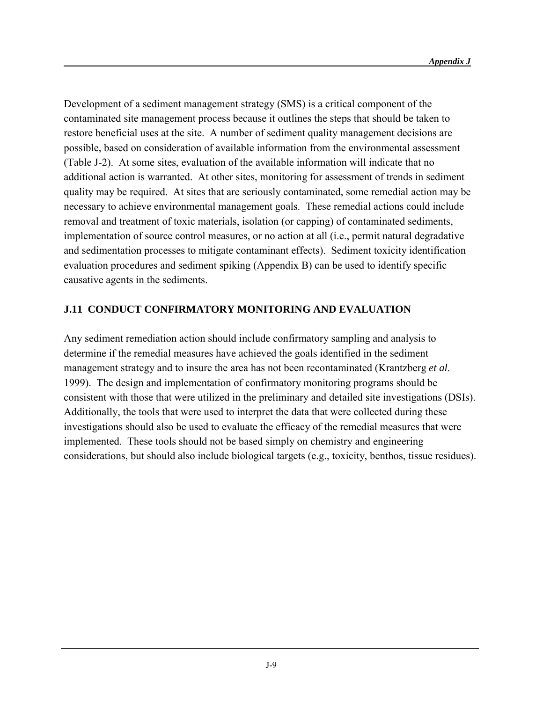Development of a sediment management strategy (SMS) is a critical component of the contaminated site management process because it outlines the steps that should be taken to restore beneficial uses at the site. A number of sediment quality management decisions are possible, based on consideration of available information from the environmental assessment (Table J-2). At some sites, evaluation of the available information will indicate that no additional action is warranted. At other sites, monitoring for assessment of trends in sediment quality may be required. At sites that are seriously contaminated, some remedial action may be necessary to achieve environmental management goals. These remedial actions could include removal and treatment of toxic materials, isolation (or capping) of contaminated sediments, implementation of source control measures, or no action at all (i.e., permit natural degradative and sedimentation processes to mitigate contaminant effects). Sediment toxicity identification evaluation procedures and sediment spiking (Appendix B) can be used to identify specific causative agents in the sediments.

#### **J.11 CONDUCT CONFIRMATORY MONITORING AND EVALUATION**

Any sediment remediation action should include confirmatory sampling and analysis to determine if the remedial measures have achieved the goals identified in the sediment management strategy and to insure the area has not been recontaminated (Krantzberg *et al*. 1999). The design and implementation of confirmatory monitoring programs should be consistent with those that were utilized in the preliminary and detailed site investigations (DSIs). Additionally, the tools that were used to interpret the data that were collected during these investigations should also be used to evaluate the efficacy of the remedial measures that were implemented. These tools should not be based simply on chemistry and engineering considerations, but should also include biological targets (e.g., toxicity, benthos, tissue residues).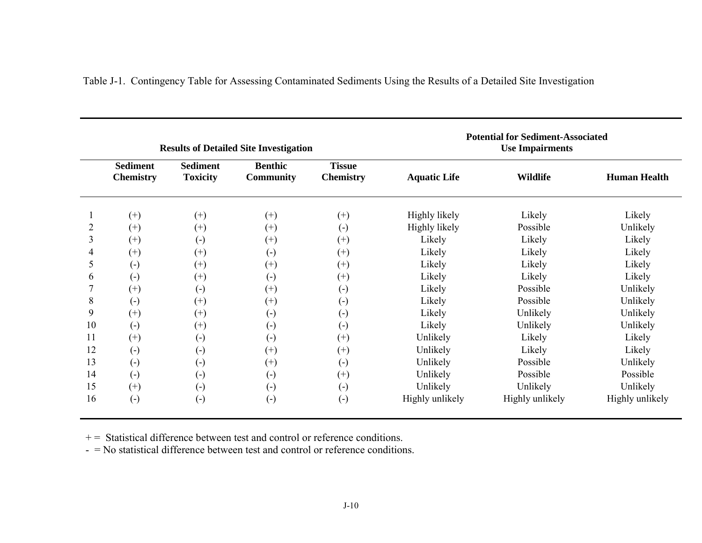|                | <b>Results of Detailed Site Investigation</b> |                                    |                                    |                                   | <b>Potential for Sediment-Associated</b><br><b>Use Impairments</b> |                 |                     |
|----------------|-----------------------------------------------|------------------------------------|------------------------------------|-----------------------------------|--------------------------------------------------------------------|-----------------|---------------------|
|                | <b>Sediment</b><br><b>Chemistry</b>           | <b>Sediment</b><br><b>Toxicity</b> | <b>Benthic</b><br><b>Community</b> | <b>Tissue</b><br><b>Chemistry</b> | <b>Aquatic Life</b>                                                | <b>Wildlife</b> | <b>Human Health</b> |
|                | $(+)$                                         | $(+)$                              | $^{(+)}$                           | $^{(+)}$                          | Highly likely                                                      | Likely          | Likely              |
| $\overline{2}$ | $^{(+)}$                                      | $^{(+)}$                           | $^{(+)}$                           | $\left( -\right)$                 | Highly likely                                                      | Possible        | Unlikely            |
| 3              | $(+)$                                         | $\left( -\right)$                  | $^{(+)}$                           | $^{(+)}$                          | Likely                                                             | Likely          | Likely              |
| 4              | $^{(+)}$                                      | $^{(+)}$                           | $\left( -\right)$                  | $^{(+)}$                          | Likely                                                             | Likely          | Likely              |
| 5              | $\left( -\right)$                             | $^{(+)}$                           | $^{(+)}$                           | $^{(+)}$                          | Likely                                                             | Likely          | Likely              |
| 6              | $\left( -\right)$                             | $^{(+)}$                           | $\left( -\right)$                  | $^{(+)}$                          | Likely                                                             | Likely          | Likely              |
|                | $^{(+)}$                                      | $\left( -\right)$                  | $^{(+)}$                           | $\left( -\right)$                 | Likely                                                             | Possible        | Unlikely            |
| 8              | $(\textnormal{-})$                            | $^{(+)}$                           | $^{(+)}$                           | $\left( -\right)$                 | Likely                                                             | Possible        | Unlikely            |
| 9              | $^{(+)}$                                      | $^{(+)}$                           | $\left( -\right)$                  | $\left( \cdot \right)$            | Likely                                                             | Unlikely        | Unlikely            |
| 10             | $\left( \cdot \right)$                        | $^{(+)}$                           | $\left( -\right)$                  | $\left( -\right)$                 | Likely                                                             | Unlikely        | Unlikely            |
| 11             | $^{(+)}$                                      | $\left( -\right)$                  | $\left( -\right)$                  | $^{(+)}$                          | Unlikely                                                           | Likely          | Likely              |
| 12             | $\left( \cdot \right)$                        | $\left( -\right)$                  | $^{(+)}$                           | $^{(+)}$                          | Unlikely                                                           | Likely          | Likely              |
| 13             | $(\textnormal{-})$                            | $\left( -\right)$                  | $^{(+)}$                           | $\left( -\right)$                 | Unlikely                                                           | Possible        | Unlikely            |
| 14             | $\left( \text{-} \right)$                     | $\left( -\right)$                  | $\left( -\right)$                  | $^{(+)}$                          | Unlikely                                                           | Possible        | Possible            |
| 15             | $^{(+)}$                                      | $\left( -\right)$                  | $\left( -\right)$                  | $\left( -\right)$                 | Unlikely                                                           | Unlikely        | Unlikely            |
| 16             | $\left( -\right)$                             | $\left( -\right)$                  | $\left( -\right)$                  | $\left( -\right)$                 | Highly unlikely                                                    | Highly unlikely | Highly unlikely     |

Table J-1. Contingency Table for Assessing Contaminated Sediments Using the Results of a Detailed Site Investigation

 $+=$  Statistical difference between test and control or reference conditions.

- = No statistical difference between test and control or reference conditions.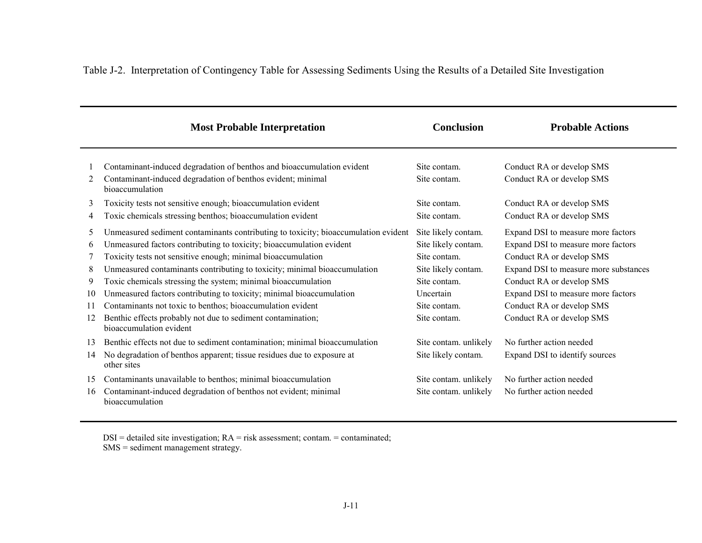|                                    | <b>Most Probable Interpretation</b>                                                                                                                                                                                                                                                                                                                                                                                                                                                                                                                                                                      | <b>Conclusion</b>                                                                                                                              | <b>Probable Actions</b>                                                                                                                                                                                                                                                     |
|------------------------------------|----------------------------------------------------------------------------------------------------------------------------------------------------------------------------------------------------------------------------------------------------------------------------------------------------------------------------------------------------------------------------------------------------------------------------------------------------------------------------------------------------------------------------------------------------------------------------------------------------------|------------------------------------------------------------------------------------------------------------------------------------------------|-----------------------------------------------------------------------------------------------------------------------------------------------------------------------------------------------------------------------------------------------------------------------------|
| 2                                  | Contaminant-induced degradation of benthos and bioaccumulation evident<br>Contaminant-induced degradation of benthos evident; minimal<br>bioaccumulation                                                                                                                                                                                                                                                                                                                                                                                                                                                 | Site contam.<br>Site contam.                                                                                                                   | Conduct RA or develop SMS<br>Conduct RA or develop SMS                                                                                                                                                                                                                      |
| 3<br>4                             | Toxicity tests not sensitive enough; bioaccumulation evident<br>Toxic chemicals stressing benthos; bioaccumulation evident                                                                                                                                                                                                                                                                                                                                                                                                                                                                               | Site contam.<br>Site contam.                                                                                                                   | Conduct RA or develop SMS<br>Conduct RA or develop SMS                                                                                                                                                                                                                      |
| 5<br>6<br>8<br>9<br>10<br>11<br>12 | Unmeasured sediment contaminants contributing to toxicity; bioaccumulation evident<br>Unmeasured factors contributing to toxicity; bioaccumulation evident<br>Toxicity tests not sensitive enough; minimal bioaccumulation<br>Unmeasured contaminants contributing to toxicity; minimal bioaccumulation<br>Toxic chemicals stressing the system; minimal bioaccumulation<br>Unmeasured factors contributing to toxicity; minimal bioaccumulation<br>Contaminants not toxic to benthos; bioaccumulation evident<br>Benthic effects probably not due to sediment contamination;<br>bioaccumulation evident | Site likely contam.<br>Site likely contam.<br>Site contam.<br>Site likely contam.<br>Site contam.<br>Uncertain<br>Site contam.<br>Site contam. | Expand DSI to measure more factors<br>Expand DSI to measure more factors<br>Conduct RA or develop SMS<br>Expand DSI to measure more substances<br>Conduct RA or develop SMS<br>Expand DSI to measure more factors<br>Conduct RA or develop SMS<br>Conduct RA or develop SMS |
| 13<br>14                           | Benthic effects not due to sediment contamination; minimal bioaccumulation<br>No degradation of benthos apparent; tissue residues due to exposure at<br>other sites                                                                                                                                                                                                                                                                                                                                                                                                                                      | Site contam. unlikely<br>Site likely contam.                                                                                                   | No further action needed<br>Expand DSI to identify sources                                                                                                                                                                                                                  |
| 15<br>16                           | Contaminants unavailable to benthos; minimal bioaccumulation<br>Contaminant-induced degradation of benthos not evident; minimal<br>bioaccumulation                                                                                                                                                                                                                                                                                                                                                                                                                                                       | Site contam. unlikely<br>Site contam. unlikely                                                                                                 | No further action needed<br>No further action needed                                                                                                                                                                                                                        |

Table J-2. Interpretation of Contingency Table for Assessing Sediments Using the Results of a Detailed Site Investigation

DSI = detailed site investigation; RA = risk assessment; contam. = contaminated; SMS = sediment management strategy.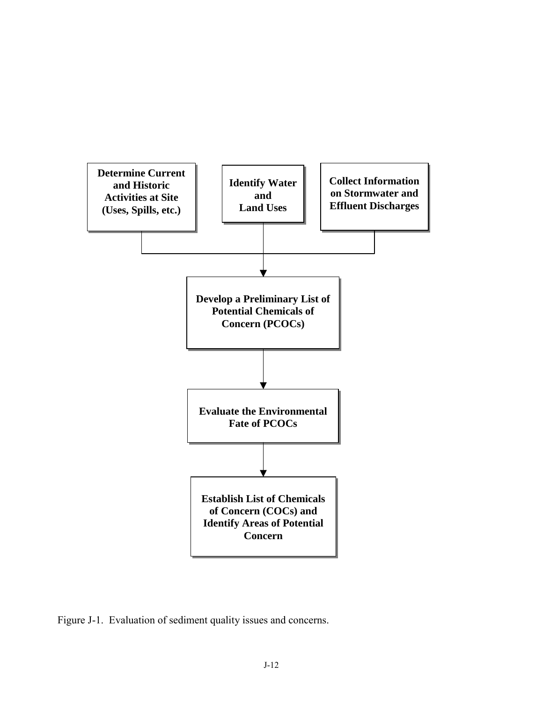

Figure J-1. Evaluation of sediment quality issues and concerns.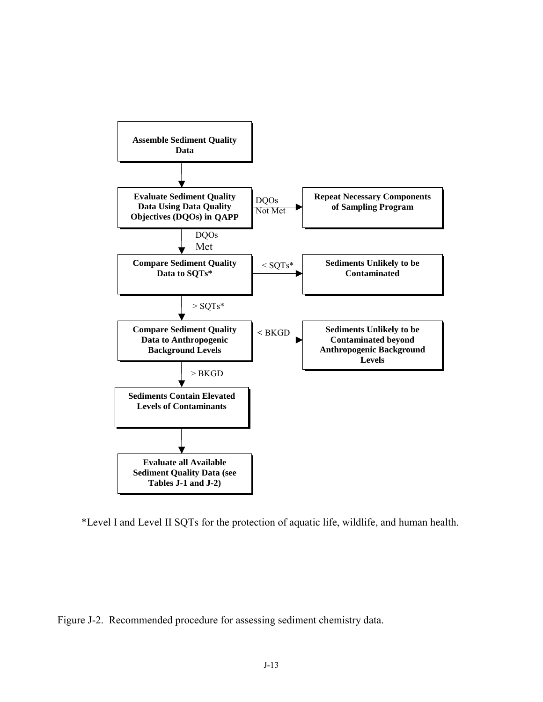

\*Level I and Level II SQTs for the protection of aquatic life, wildlife, and human health.

Figure J-2. Recommended procedure for assessing sediment chemistry data.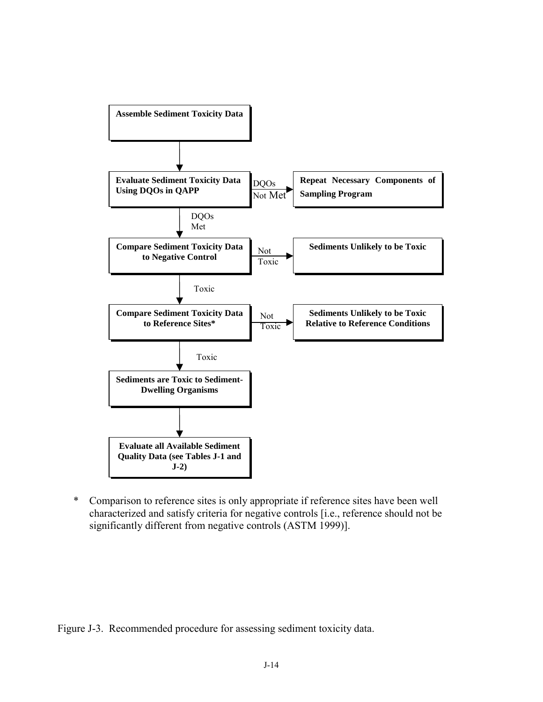

\* Comparison to reference sites is only appropriate if reference sites have been well characterized and satisfy criteria for negative controls [i.e., reference should not be significantly different from negative controls (ASTM 1999)].

Figure J-3. Recommended procedure for assessing sediment toxicity data.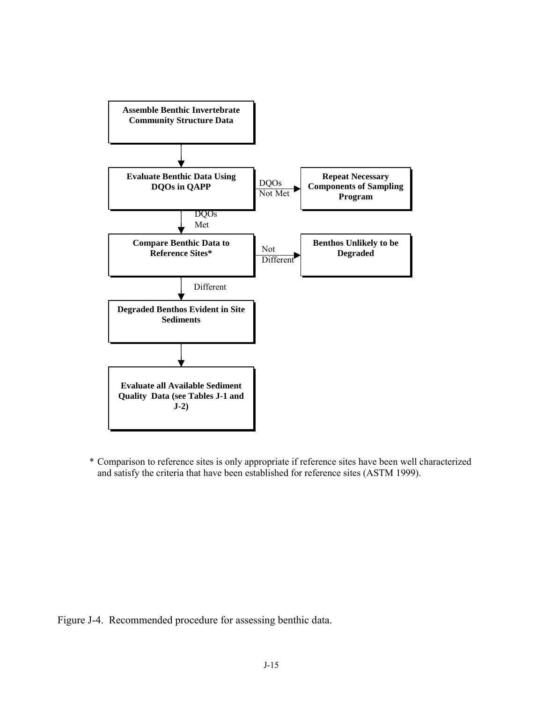

\* Comparison to reference sites is only appropriate if reference sites have been well characterized and satisfy the criteria that have been established for reference sites (ASTM 1999).

Figure J-4. Recommended procedure for assessing benthic data.